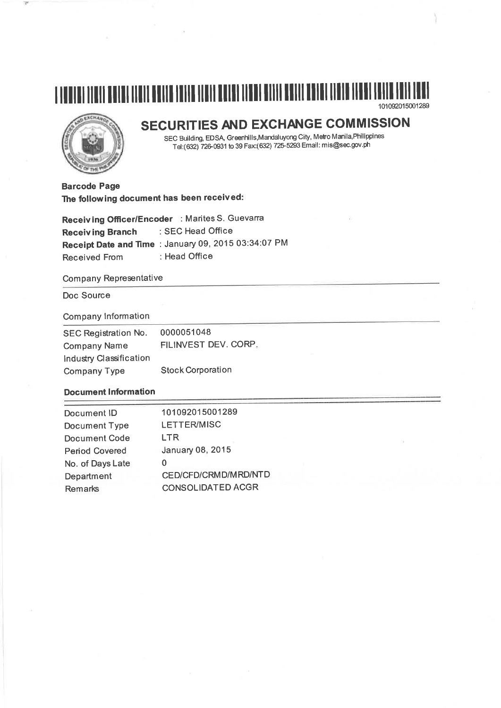# 





# SECURITIES AND EXCHANGE COMMISSION

SEC Building, EDSA, Greenhills, Mandaluyong City, Metro Manila, Philippines Tel:(632) 726-0931 to 39 Fax:(632) 725-5293 Email: mis@sec.gov.ph

**Barcode Page** The following document has been received:

Receiving Officer/Encoder : Marites S. Guevarra : SEC Head Office **Receiving Branch** Receipt Date and Time : January 09, 2015 03:34:07 PM : Head Office **Received From** 

## **Company Representative**

# Doc Source

# **Company Information**

| SEC Registration No.    | 0000051048               |
|-------------------------|--------------------------|
| <b>Company Name</b>     | FILINVEST DEV. CORP.     |
| Industry Classification |                          |
| <b>Company Type</b>     | <b>Stock Corporation</b> |

# **Document Information**

| Document ID           | 101092015001289          |
|-----------------------|--------------------------|
| Document Type         | <b>LETTER/MISC</b>       |
| Document Code         | LTR                      |
| <b>Period Covered</b> | January 08, 2015         |
| No. of Days Late      | 0                        |
| Department            | CED/CFD/CRMD/MRD/NTD     |
| <b>Remarks</b>        | <b>CONSOLIDATED ACGR</b> |
|                       |                          |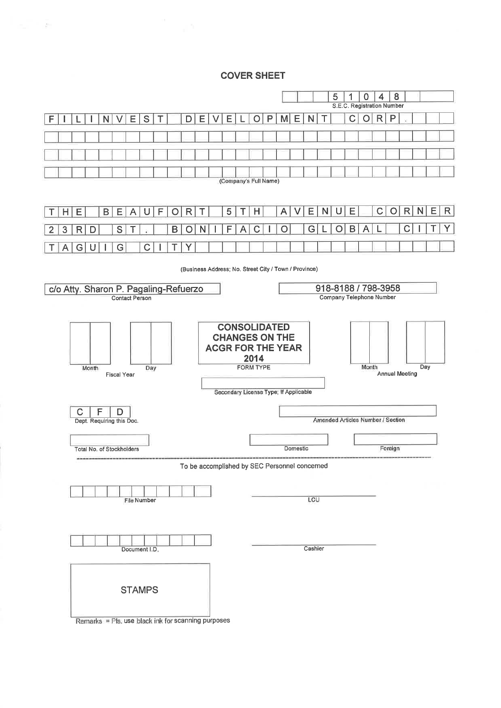# **COVER SHEET**

Service Art

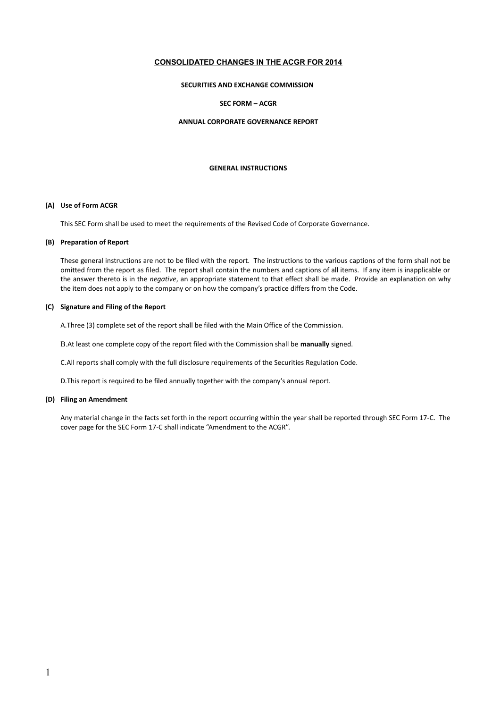# **CONSOLIDATED CHANGES IN THE ACGR FOR 2014**

#### **SECURITIES AND EXCHANGE COMMISSION**

#### **SEC FORM – ACGR**

#### **ANNUAL CORPORATE GOVERNANCE REPORT**

#### **GENERAL INSTRUCTIONS**

#### **(A) Use of Form ACGR**

This SEC Form shall be used to meet the requirements of the Revised Code of Corporate Governance.

#### **(B) Preparation of Report**

These general instructions are not to be filed with the report. The instructions to the various captions of the form shall not be omitted from the report as filed. The report shall contain the numbers and captions of all items. If any item is inapplicable or the answer thereto is in the *negative*, an appropriate statement to that effect shall be made. Provide an explanation on why the item does not apply to the company or on how the company's practice differs from the Code.

#### **(C) Signature and Filing of the Report**

A.Three (3) complete set of the report shall be filed with the Main Office of the Commission.

B.At least one complete copy of the report filed with the Commission shall be **manually** signed.

C.All reports shall comply with the full disclosure requirements of the Securities Regulation Code.

D.This report is required to be filed annually together with the company's annual report.

# **(D) Filing an Amendment**

Any material change in the facts set forth in the report occurring within the year shall be reported through SEC Form 17-C. The cover page for the SEC Form 17-C shall indicate "Amendment to the ACGR".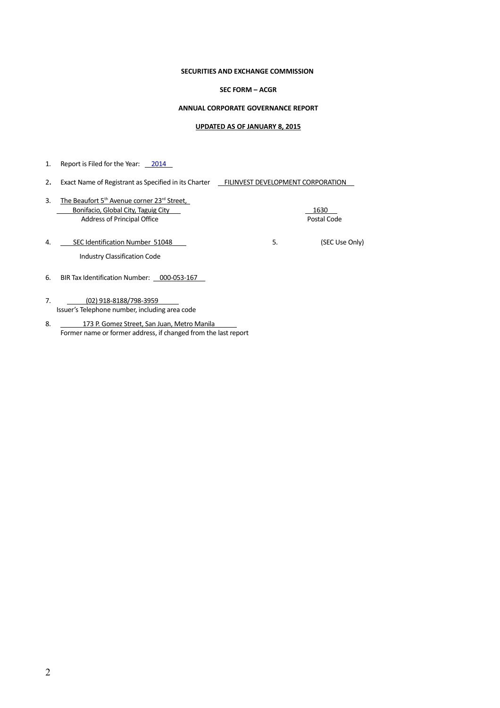#### **SECURITIES AND EXCHANGE COMMISSION**

#### **SEC FORM – ACGR**

#### **ANNUAL CORPORATE GOVERNANCE REPORT**

#### **UPDATED AS OF JANUARY 8, 2015**

1. Report is Filed for the Year: 2014

- 2. Exact Name of Registrant as Specified in its Charter **FILINVEST DEVELOPMENT CORPORATION**
- 3. The Beaufort 5<sup>th</sup> Avenue corner 23<sup>rd</sup> Street, Bonifacio, Global City, Taguig City 1630 Address of Principal Office **Postal Code** Postal Code

- 4. SEC Identification Number 51048 COMPUTE: The SEC Use Only) Industry Classification Code
- 6. BIR Tax Identification Number: 000-053-167
- 7. (02) 918-8188/798-3959 Issuer's Telephone number, including area code
- 8. 173 P. Gomez Street, San Juan, Metro Manila Former name or former address, if changed from the last report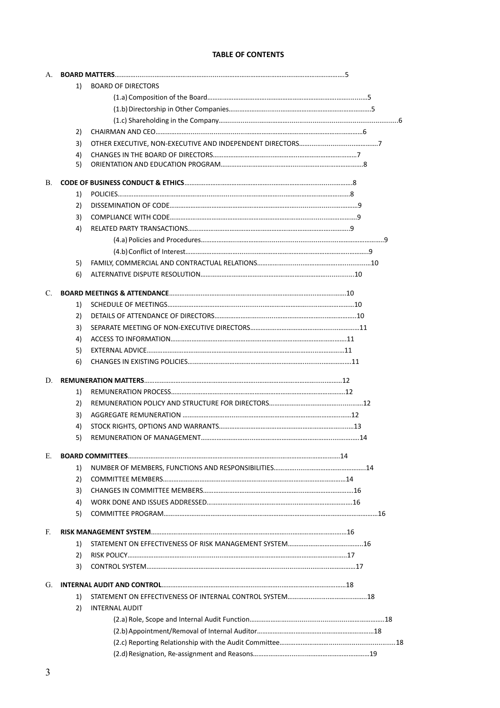# **TABLE OF CONTENTS**

| А. |    |                           |  |
|----|----|---------------------------|--|
|    | 1) | <b>BOARD OF DIRECTORS</b> |  |
|    |    |                           |  |
|    |    |                           |  |
|    |    |                           |  |
|    | 2) |                           |  |
|    | 3) |                           |  |
|    | 4) |                           |  |
|    | 5) |                           |  |
| В. |    |                           |  |
|    | 1) |                           |  |
|    | 2) |                           |  |
|    | 3) |                           |  |
|    | 4) |                           |  |
|    |    |                           |  |
|    |    |                           |  |
|    | 5) |                           |  |
|    | 6) |                           |  |
| C. |    |                           |  |
|    | 1) |                           |  |
|    | 2) |                           |  |
|    | 3) |                           |  |
|    | 4) |                           |  |
|    | 5) |                           |  |
|    | 6) |                           |  |
| D. |    |                           |  |
|    | 1) |                           |  |
|    | 2) |                           |  |
|    | 3) |                           |  |
|    | 4) |                           |  |
|    | 5) |                           |  |
| Е. |    |                           |  |
|    | 1) |                           |  |
|    | 2) |                           |  |
|    | 3) |                           |  |
|    | 4) |                           |  |
|    | 5) |                           |  |
| E. |    |                           |  |
|    | 1) |                           |  |
|    | 2) |                           |  |
|    | 3) |                           |  |
| G. |    |                           |  |
|    | 1) |                           |  |
|    | 2) | <b>INTERNAL AUDIT</b>     |  |
|    |    |                           |  |
|    |    |                           |  |
|    |    |                           |  |
|    |    |                           |  |
|    |    |                           |  |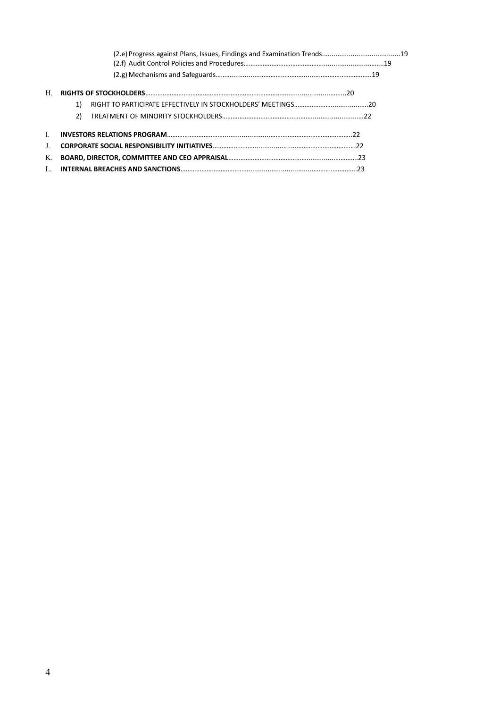| H  |    |  |
|----|----|--|
|    |    |  |
|    | 2) |  |
|    |    |  |
|    |    |  |
| K. |    |  |
|    |    |  |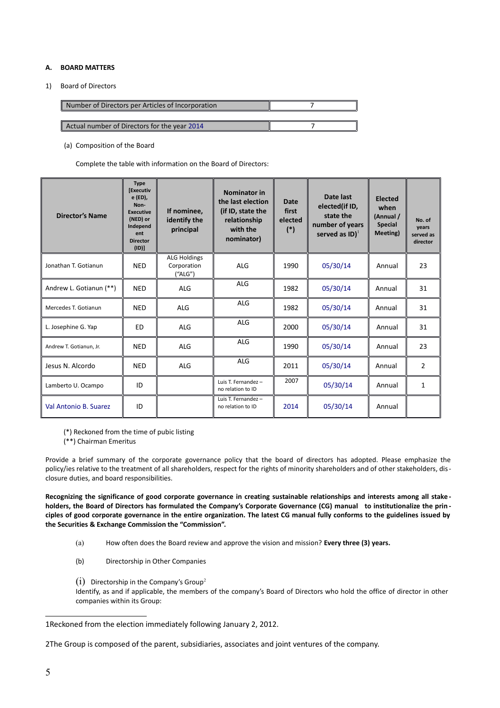#### **A. BOARD MATTERS**

1) Board of Directors

| Number of Directors per Articles of Incorporation |  |
|---------------------------------------------------|--|
|                                                   |  |
| Actual number of Directors for the year 2014      |  |

(a) Composition of the Board

Complete the table with information on the Board of Directors:

| <b>Director's Name</b>  | <b>Type</b><br><b>[Executiv</b><br>e (ED),<br>Non-<br><b>Executive</b><br>(NED) or<br>Independ<br>ent<br><b>Director</b><br>(I <sub>D</sub> ) | If nominee,<br>identify the<br>principal      | Nominator in<br>the last election<br>(if ID, state the<br>relationship<br>with the<br>nominator) | <b>Date</b><br>first<br>elected<br>$(*)$ | Date last<br>elected(if ID,<br>state the<br>number of years<br>served as $ID)^{1}$ | <b>Elected</b><br>when<br>(Annual /<br><b>Special</b><br>Meeting) | No. of<br>years<br>served as<br>director |
|-------------------------|-----------------------------------------------------------------------------------------------------------------------------------------------|-----------------------------------------------|--------------------------------------------------------------------------------------------------|------------------------------------------|------------------------------------------------------------------------------------|-------------------------------------------------------------------|------------------------------------------|
| Jonathan T. Gotianun    | <b>NED</b>                                                                                                                                    | <b>ALG Holdings</b><br>Corporation<br>("ALG") | <b>ALG</b>                                                                                       | 1990                                     | 05/30/14                                                                           | Annual                                                            | 23                                       |
| Andrew L. Gotianun (**) | <b>NED</b>                                                                                                                                    | <b>ALG</b>                                    | ALG                                                                                              | 1982                                     | 05/30/14                                                                           | Annual                                                            | 31                                       |
| Mercedes T. Gotianun    | <b>NED</b>                                                                                                                                    | <b>ALG</b>                                    | ALG                                                                                              | 1982                                     | 05/30/14                                                                           | Annual                                                            | 31                                       |
| L. Josephine G. Yap     | ED                                                                                                                                            | <b>ALG</b>                                    | <b>ALG</b>                                                                                       | 2000                                     | 05/30/14                                                                           | Annual                                                            | 31                                       |
| Andrew T. Gotianun, Jr. | <b>NED</b>                                                                                                                                    | <b>ALG</b>                                    | ALG                                                                                              | 1990                                     | 05/30/14                                                                           | Annual                                                            | 23                                       |
| Jesus N. Alcordo        | <b>NED</b>                                                                                                                                    | <b>ALG</b>                                    | <b>ALG</b>                                                                                       | 2011                                     | 05/30/14                                                                           | Annual                                                            | $\overline{2}$                           |
| Lamberto U. Ocampo      | ID                                                                                                                                            |                                               | Luis T. Fernandez -<br>no relation to ID                                                         | 2007                                     | 05/30/14                                                                           | Annual                                                            | $\mathbf{1}$                             |
| Val Antonio B. Suarez   | ID                                                                                                                                            |                                               | Luis T. Fernandez -<br>no relation to ID                                                         | 2014                                     | 05/30/14                                                                           | Annual                                                            |                                          |

(\*) Reckoned from the time of pubic listing

(\*\*) Chairman Emeritus

Provide a brief summary of the corporate governance policy that the board of directors has adopted. Please emphasize the policy/ies relative to the treatment of all shareholders, respect for the rights of minority shareholders and of other stakeholders, disclosure duties, and board responsibilities.

**Recognizing the significance of good corporate governance in creating sustainable relationships and interests among all stake holders, the Board of Directors has formulated the Company's Corporate Governance (CG) manual to institutionalize the prin ciples of good corporate governance in the entire organization. The latest CG manual fully conforms to the guidelines issued by the Securities & Exchange Commission the "Commission".**

- (a) How often does the Board review and approve the vision and mission? **Every three (3) years.**
- (b) Directorship in Other Companies
- $(i)$  Directorship in the Company's Group<sup>[2](#page-6-1)</sup>

Identify, as and if applicable, the members of the company's Board of Directors who hold the office of director in other companies within its Group:

<span id="page-6-1"></span>2The Group is composed of the parent, subsidiaries, associates and joint ventures of the company.

<span id="page-6-0"></span><sup>1</sup>Reckoned from the election immediately following January 2, 2012.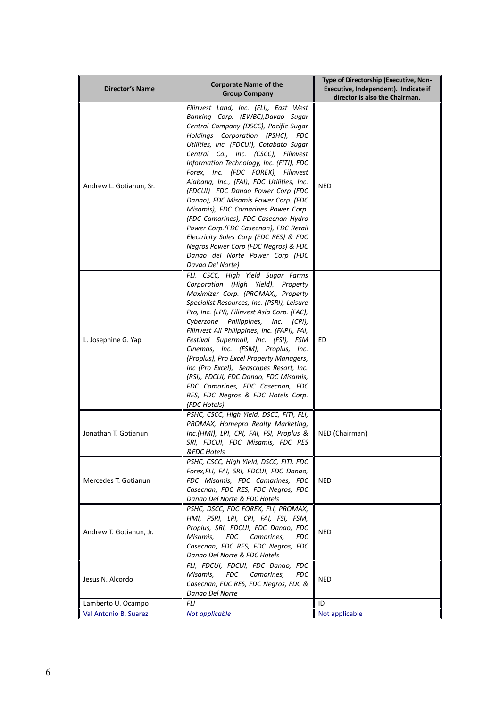| <b>Director's Name</b>  | <b>Corporate Name of the</b><br><b>Group Company</b>                                                                                                                                                                                                                                                                                                                                                                                                                                                                                                                                                                                                                                                                  | Type of Directorship (Executive, Non-<br>Executive, Independent). Indicate if<br>director is also the Chairman. |
|-------------------------|-----------------------------------------------------------------------------------------------------------------------------------------------------------------------------------------------------------------------------------------------------------------------------------------------------------------------------------------------------------------------------------------------------------------------------------------------------------------------------------------------------------------------------------------------------------------------------------------------------------------------------------------------------------------------------------------------------------------------|-----------------------------------------------------------------------------------------------------------------|
| Andrew L. Gotianun, Sr. | Filinvest Land, Inc. (FLI), East West<br>Banking Corp. (EWBC), Davao Sugar<br>Central Company (DSCC), Pacific Sugar<br>Holdings Corporation (PSHC), FDC<br>Utilities, Inc. (FDCUI), Cotabato Sugar<br>Central Co., Inc. (CSCC), Filinvest<br>Information Technology, Inc. (FITI), FDC<br>Forex, Inc. (FDC FOREX), Filinvest<br>Alabang, Inc., (FAI), FDC Utilities, Inc.<br>(FDCUI) FDC Danao Power Corp (FDC<br>Danao), FDC Misamis Power Corp. (FDC<br>Misamis), FDC Camarines Power Corp.<br>(FDC Camarines), FDC Casecnan Hydro<br>Power Corp.(FDC Casecnan), FDC Retail<br>Electricity Sales Corp (FDC RES) & FDC<br>Negros Power Corp (FDC Negros) & FDC<br>Danao del Norte Power Corp (FDC<br>Davao Del Norte) | <b>NED</b>                                                                                                      |
| L. Josephine G. Yap     | FLI, CSCC, High Yield Sugar Farms<br>Corporation (High Yield), Property<br>Maximizer Corp. (PROMAX), Property<br>Specialist Resources, Inc. (PSRI), Leisure<br>Pro, Inc. (LPI), Filinvest Asia Corp. (FAC),<br>Cyberzone Philippines,<br>Inc. $(CPI)$ ,<br>Filinvest All Philippines, Inc. (FAPI), FAI,<br>Festival Supermall, Inc. (FSI), FSM<br>Cinemas, Inc. (FSM), Proplus, Inc.<br>(Proplus), Pro Excel Property Managers,<br>Inc (Pro Excel), Seascapes Resort, Inc.<br>(RSI), FDCUI, FDC Danao, FDC Misamis,<br>FDC Camarines, FDC Casecnan, FDC<br>RES, FDC Negros & FDC Hotels Corp.<br>(FDC Hotels)                                                                                                         | ED                                                                                                              |
| Jonathan T. Gotianun    | PSHC, CSCC, High Yield, DSCC, FITI, FLI,<br>PROMAX, Homepro Realty Marketing,<br>Inc.(HMI), LPI, CPI, FAI, FSI, Proplus &<br>SRI, FDCUI, FDC Misamis, FDC RES<br>&FDC Hotels                                                                                                                                                                                                                                                                                                                                                                                                                                                                                                                                          | NED (Chairman)                                                                                                  |
| Mercedes T. Gotianun    | PSHC, CSCC, High Yield, DSCC, FITI, FDC<br>Forex, FLI, FAI, SRI, FDCUI, FDC Danao,<br>FDC Misamis, FDC Camarines, FDC<br>Casecnan, FDC RES, FDC Negros, FDC<br>Danao Del Norte & FDC Hotels                                                                                                                                                                                                                                                                                                                                                                                                                                                                                                                           | NED                                                                                                             |
| Andrew T. Gotianun, Jr. | PSHC, DSCC, FDC FOREX, FLI, PROMAX,<br>HMI, PSRI, LPI, CPI, FAI, FSI, FSM,<br>Proplus, SRI, FDCUI, FDC Danao, FDC<br>FDC<br>Camarines.<br>Misamis,<br>FDC<br>Casecnan, FDC RES, FDC Negros, FDC<br>Danao Del Norte & FDC Hotels                                                                                                                                                                                                                                                                                                                                                                                                                                                                                       | <b>NED</b>                                                                                                      |
| Jesus N. Alcordo        | FLI, FDCUI, FDCUI, FDC Danao, FDC<br><b>FDC</b><br>Camarines,<br><b>FDC</b><br>Misamis,<br>Casecnan, FDC RES, FDC Negros, FDC &<br>Danao Del Norte                                                                                                                                                                                                                                                                                                                                                                                                                                                                                                                                                                    | NED                                                                                                             |
| Lamberto U. Ocampo      | FLI                                                                                                                                                                                                                                                                                                                                                                                                                                                                                                                                                                                                                                                                                                                   | ID                                                                                                              |
| Val Antonio B. Suarez   | Not applicable                                                                                                                                                                                                                                                                                                                                                                                                                                                                                                                                                                                                                                                                                                        | Not applicable                                                                                                  |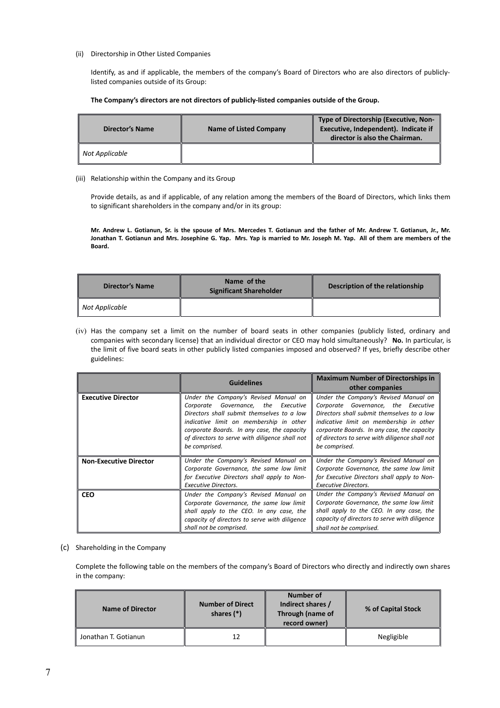#### (ii) Directorship in Other Listed Companies

Identify, as and if applicable, the members of the company's Board of Directors who are also directors of publiclylisted companies outside of its Group:

#### **The Company's directors are not directors of publicly-listed companies outside of the Group.**

| <b>Director's Name</b> | <b>Name of Listed Company</b> | Type of Directorship (Executive, Non-<br>Executive, Independent). Indicate if<br>director is also the Chairman. |
|------------------------|-------------------------------|-----------------------------------------------------------------------------------------------------------------|
| Not Applicable         |                               |                                                                                                                 |

#### (iii) Relationship within the Company and its Group

Provide details, as and if applicable, of any relation among the members of the Board of Directors, which links them to significant shareholders in the company and/or in its group:

**Mr. Andrew L. Gotianun, Sr. is the spouse of Mrs. Mercedes T. Gotianun and the father of Mr. Andrew T. Gotianun, Jr., Mr. Jonathan T. Gotianun and Mrs. Josephine G. Yap. Mrs. Yap is married to Mr. Joseph M. Yap. All of them are members of the Board.** 

| <b>Director's Name</b> | Name of the<br><b>Significant Shareholder</b> | Description of the relationship |  |
|------------------------|-----------------------------------------------|---------------------------------|--|
| Not Applicable         |                                               |                                 |  |

(iv) Has the company set a limit on the number of board seats in other companies (publicly listed, ordinary and companies with secondary license) that an individual director or CEO may hold simultaneously? **No.** In particular, is the limit of five board seats in other publicly listed companies imposed and observed? If yes, briefly describe other guidelines:

|                               | <b>Guidelines</b>                                                                                                                                                                                                                                                                          | <b>Maximum Number of Directorships in</b><br>other companies                                                                                                                                                                                                                            |  |
|-------------------------------|--------------------------------------------------------------------------------------------------------------------------------------------------------------------------------------------------------------------------------------------------------------------------------------------|-----------------------------------------------------------------------------------------------------------------------------------------------------------------------------------------------------------------------------------------------------------------------------------------|--|
| <b>Executive Director</b>     | Under the Company's Revised Manual on<br>Governance, the Executive<br>Corporate<br>Directors shall submit themselves to a low<br>indicative limit on membership in other<br>corporate Boards. In any case, the capacity<br>of directors to serve with diligence shall not<br>be comprised. | Under the Company's Revised Manual on<br>Corporate Governance, the Executive<br>Directors shall submit themselves to a low<br>indicative limit on membership in other<br>corporate Boards. In any case, the capacity<br>of directors to serve with diligence shall not<br>be comprised. |  |
| <b>Non-Executive Director</b> | Under the Company's Revised Manual on<br>Corporate Governance, the same low limit<br>for Executive Directors shall apply to Non-<br><b>Executive Directors.</b>                                                                                                                            | Under the Company's Revised Manual on<br>Corporate Governance, the same low limit<br>for Executive Directors shall apply to Non-<br><b>Executive Directors.</b>                                                                                                                         |  |
| <b>CEO</b>                    | Under the Company's Revised Manual on<br>Corporate Governance, the same low limit<br>shall apply to the CEO. In any case, the<br>capacity of directors to serve with diligence<br>shall not be comprised.                                                                                  | Under the Company's Revised Manual on<br>Corporate Governance, the same low limit<br>shall apply to the CEO. In any case, the<br>capacity of directors to serve with diligence<br>shall not be comprised.                                                                               |  |

#### (c) Shareholding in the Company

Complete the following table on the members of the company's Board of Directors who directly and indirectly own shares in the company:

| <b>Name of Director</b> | <b>Number of Direct</b><br>shares $(*)$ | Number of<br>Indirect shares /<br>Through (name of<br>record owner) | % of Capital Stock |
|-------------------------|-----------------------------------------|---------------------------------------------------------------------|--------------------|
| Jonathan T. Gotianun    | 12                                      |                                                                     | Negligible         |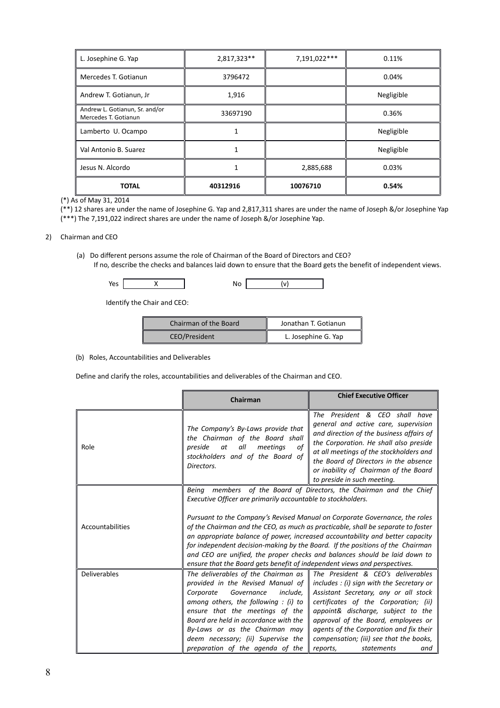| L. Josephine G. Yap                                    | 2,817,323**  | 7,191,022*** | 0.11%      |
|--------------------------------------------------------|--------------|--------------|------------|
| Mercedes T. Gotianun                                   | 3796472      |              | 0.04%      |
| Andrew T. Gotianun, Jr                                 | 1,916        |              | Negligible |
| Andrew L. Gotianun, Sr. and/or<br>Mercedes T. Gotianun | 33697190     |              | 0.36%      |
| Lamberto U. Ocampo                                     |              |              | Negligible |
| Val Antonio B. Suarez                                  | $\mathbf{1}$ |              | Negligible |
| Jesus N. Alcordo                                       |              | 2,885,688    | 0.03%      |
| <b>TOTAL</b>                                           | 40312916     | 10076710     | 0.54%      |

(\*) As of May 31, 2014

(\*\*) 12 shares are under the name of Josephine G. Yap and 2,817,311 shares are under the name of Joseph &/or Josephine Yap (\*\*\*) The 7,191,022 indirect shares are under the name of Joseph &/or Josephine Yap.

#### 2) Chairman and CEO

(a) Do different persons assume the role of Chairman of the Board of Directors and CEO? If no, describe the checks and balances laid down to ensure that the Board gets the benefit of independent views.

| . |  |  |
|---|--|--|

Identify the Chair and CEO:

| Chairman of the Board | Jonathan T. Gotianun |
|-----------------------|----------------------|
| CEO/President         | L. Josephine G. Yap  |

# (b) Roles, Accountabilities and Deliverables

Define and clarify the roles, accountabilities and deliverables of the Chairman and CEO.

|                     | Chairman                                                                                                                                                                                                                                                                                                                                                                                                                                                                                      | <b>Chief Executive Officer</b>                                                                                                                                                                                                                                                                                                                                        |  |
|---------------------|-----------------------------------------------------------------------------------------------------------------------------------------------------------------------------------------------------------------------------------------------------------------------------------------------------------------------------------------------------------------------------------------------------------------------------------------------------------------------------------------------|-----------------------------------------------------------------------------------------------------------------------------------------------------------------------------------------------------------------------------------------------------------------------------------------------------------------------------------------------------------------------|--|
| Role                | The President & CEO shall have<br>general and active care, supervision<br>The Company's By-Laws provide that<br>and direction of the business affairs of<br>the Chairman of the Board shall<br>the Corporation. He shall also preside<br>all<br>preside<br>at<br>meetings<br>оf<br>at all meetings of the stockholders and<br>stockholders and of the Board of<br>the Board of Directors in the absence<br>Directors.<br>or inability of Chairman of the Board<br>to preside in such meeting. |                                                                                                                                                                                                                                                                                                                                                                       |  |
| Accountabilities    | members of the Board of Directors, the Chairman and the Chief<br><b>Being</b><br>Executive Officer are primarily accountable to stockholders.<br>Pursuant to the Company's Revised Manual on Corporate Governance, the roles<br>of the Chairman and the CEO, as much as practicable, shall be separate to foster<br>an appropriate balance of power, increased accountability and better capacity                                                                                             |                                                                                                                                                                                                                                                                                                                                                                       |  |
|                     | for independent decision-making by the Board. If the positions of the Chairman<br>and CEO are unified, the proper checks and balances should be laid down to<br>ensure that the Board gets benefit of independent views and perspectives.                                                                                                                                                                                                                                                     |                                                                                                                                                                                                                                                                                                                                                                       |  |
| <b>Deliverables</b> | The deliverables of the Chairman as<br>provided in the Revised Manual of<br>Governance<br>Corporate<br>include,<br>among others, the following : $(i)$ to<br>ensure that the meetings of the<br>Board are held in accordance with the<br>By-Laws or as the Chairman may<br>deem necessary; (ii) Supervise the<br>preparation of the agenda of the                                                                                                                                             | The President & CEO's deliverables<br>includes : (i) sign with the Secretary or<br>Assistant Secretary, any or all stock<br>certificates of the Corporation; (ii)<br>appoint& discharge, subject to the<br>approval of the Board, employees or<br>agents of the Corporation and fix their<br>compensation; (iii) see that the books,<br>reports,<br>statements<br>and |  |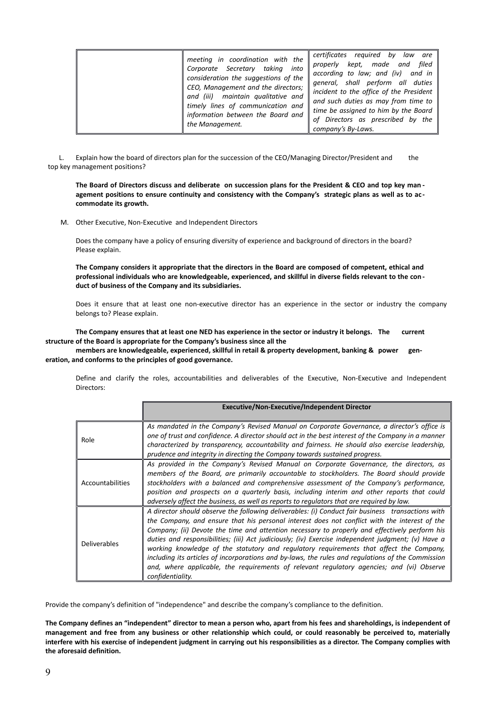| meeting in coordination with the<br>Corporate Secretary taking<br>into<br>consideration the suggestions of the<br>CEO, Management and the directors;<br>and (iii) maintain qualitative and<br>timely lines of communication and<br>information between the Board and<br>the Management. | certificates<br>required by<br>law<br>are<br>kept, made<br>filed<br>and<br>properly<br>according to law; and (iv)<br>and in<br>general, shall perform all duties<br>incident to the office of the President<br>and such duties as may from time to<br>time be assigned to him by the Board<br>of Directors as prescribed by the<br>company's By-Laws. |
|-----------------------------------------------------------------------------------------------------------------------------------------------------------------------------------------------------------------------------------------------------------------------------------------|-------------------------------------------------------------------------------------------------------------------------------------------------------------------------------------------------------------------------------------------------------------------------------------------------------------------------------------------------------|
|-----------------------------------------------------------------------------------------------------------------------------------------------------------------------------------------------------------------------------------------------------------------------------------------|-------------------------------------------------------------------------------------------------------------------------------------------------------------------------------------------------------------------------------------------------------------------------------------------------------------------------------------------------------|

L. Explain how the board of directors plan for the succession of the CEO/Managing Director/President and the top key management positions?

**The Board of Directors discuss and deliberate on succession plans for the President & CEO and top key man agement positions to ensure continuity and consistency with the Company's strategic plans as well as to ac commodate its growth.**

M. Other Executive, Non-Executive and Independent Directors

Does the company have a policy of ensuring diversity of experience and background of directors in the board? Please explain.

**The Company considers it appropriate that the directors in the Board are composed of competent, ethical and professional individuals who are knowledgeable, experienced, and skillful in diverse fields relevant to the con duct of business of the Company and its subsidiaries.**

Does it ensure that at least one non-executive director has an experience in the sector or industry the company belongs to? Please explain.

**The Company ensures that at least one NED has experience in the sector or industry it belongs. The current structure of the Board is appropriate for the Company's business since all the** 

**members are knowledgeable, experienced, skillful in retail & property development, banking & power generation, and conforms to the principles of good governance.** 

Define and clarify the roles, accountabilities and deliverables of the Executive, Non-Executive and Independent Directors:

|                     | <b>Executive/Non-Executive/Independent Director</b>                                                                                                                                                                                                                                                                                                                                                                                                                                                                                                                                                                                                                                                                        |
|---------------------|----------------------------------------------------------------------------------------------------------------------------------------------------------------------------------------------------------------------------------------------------------------------------------------------------------------------------------------------------------------------------------------------------------------------------------------------------------------------------------------------------------------------------------------------------------------------------------------------------------------------------------------------------------------------------------------------------------------------------|
| Role                | As mandated in the Company's Revised Manual on Corporate Governance, a director's office is<br>one of trust and confidence. A director should act in the best interest of the Company in a manner<br>characterized by transparency, accountability and fairness. He should also exercise leadership,<br>prudence and integrity in directing the Company towards sustained progress.                                                                                                                                                                                                                                                                                                                                        |
| Accountabilities    | As provided in the Company's Revised Manual on Corporate Governance, the directors, as<br>members of the Board, are primarily accountable to stockholders. The Board should provide<br>stockholders with a balanced and comprehensive assessment of the Company's performance,<br>position and prospects on a quarterly basis, including interim and other reports that could<br>adversely affect the business, as well as reports to regulators that are required by law.                                                                                                                                                                                                                                                 |
| <b>Deliverables</b> | A director should observe the following deliverables: (i) Conduct fair business transactions with<br>the Company, and ensure that his personal interest does not conflict with the interest of the<br>Company; (ii) Devote the time and attention necessary to properly and effectively perform his<br>duties and responsibilities; (iii) Act judiciously; (iv) Exercise independent judgment; (v) Have a<br>working knowledge of the statutory and regulatory requirements that affect the Company,<br>including its articles of incorporations and by-laws, the rules and regulations of the Commission<br>and, where applicable, the requirements of relevant regulatory agencies; and (vi) Observe<br>confidentiality. |

Provide the company's definition of "independence" and describe the company's compliance to the definition.

**The Company defines an "independent" director to mean a person who, apart from his fees and shareholdings, is independent of management and free from any business or other relationship which could, or could reasonably be perceived to, materially interfere with his exercise of independent judgment in carrying out his responsibilities as a director. The Company complies with the aforesaid definition.**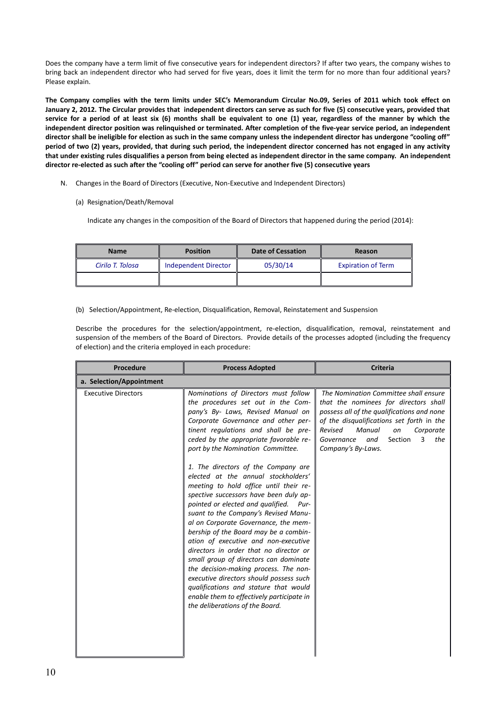Does the company have a term limit of five consecutive years for independent directors? If after two years, the company wishes to bring back an independent director who had served for five years, does it limit the term for no more than four additional years? Please explain.

**The Company complies with the term limits under SEC's Memorandum Circular No.09, Series of 2011 which took effect on January 2, 2012. The Circular provides that independent directors can serve as such for five (5) consecutive years, provided that service for a period of at least six (6) months shall be equivalent to one (1) year, regardless of the manner by which the independent director position was relinquished or terminated. After completion of the five-year service period, an independent director shall be ineligible for election as such in the same company unless the independent director has undergone "cooling off" period of two (2) years, provided, that during such period, the independent director concerned has not engaged in any activity that under existing rules disqualifies a person from being elected as independent director in the same company. An independent director re-elected as such after the "cooling off" period can serve for another five (5) consecutive years** 

- N. Changes in the Board of Directors (Executive, Non-Executive and Independent Directors)
	- (a) Resignation/Death/Removal

Indicate any changes in the composition of the Board of Directors that happened during the period (2014):

| <b>Name</b>      | <b>Position</b>      | <b>Date of Cessation</b> | Reason                    |
|------------------|----------------------|--------------------------|---------------------------|
| Cirilo T. Tolosa | Independent Director | 05/30/14                 | <b>Expiration of Term</b> |
|                  |                      |                          |                           |

(b) Selection/Appointment, Re-election, Disqualification, Removal, Reinstatement and Suspension

Describe the procedures for the selection/appointment, re-election, disqualification, removal, reinstatement and suspension of the members of the Board of Directors. Provide details of the processes adopted (including the frequency of election) and the criteria employed in each procedure:

| <b>Procedure</b>           | <b>Process Adopted</b>                                                                                                                                                                                                                                                                                                                                                                                                                                                                                                                                                                                                                                                                                                                                                                                                                                                                                                                                         | <b>Criteria</b>                                                                                                                                                                                                                                                                     |
|----------------------------|----------------------------------------------------------------------------------------------------------------------------------------------------------------------------------------------------------------------------------------------------------------------------------------------------------------------------------------------------------------------------------------------------------------------------------------------------------------------------------------------------------------------------------------------------------------------------------------------------------------------------------------------------------------------------------------------------------------------------------------------------------------------------------------------------------------------------------------------------------------------------------------------------------------------------------------------------------------|-------------------------------------------------------------------------------------------------------------------------------------------------------------------------------------------------------------------------------------------------------------------------------------|
| a. Selection/Appointment   |                                                                                                                                                                                                                                                                                                                                                                                                                                                                                                                                                                                                                                                                                                                                                                                                                                                                                                                                                                |                                                                                                                                                                                                                                                                                     |
| <b>Executive Directors</b> | Nominations of Directors must follow<br>the procedures set out in the Com-<br>pany's By- Laws, Revised Manual on<br>Corporate Governance and other per-<br>tinent regulations and shall be pre-<br>ceded by the appropriate favorable re-<br>port by the Nomination Committee.<br>1. The directors of the Company are<br>elected at the annual stockholders'<br>meeting to hold office until their re-<br>spective successors have been duly ap-<br>pointed or elected and qualified.<br>Pur-<br>suant to the Company's Revised Manu-<br>al on Corporate Governance, the mem-<br>bership of the Board may be a combin-<br>ation of executive and non-executive<br>directors in order that no director or<br>small group of directors can dominate<br>the decision-making process. The non-<br>executive directors should possess such<br>qualifications and stature that would<br>enable them to effectively participate in<br>the deliberations of the Board. | The Nomination Committee shall ensure<br>that the nominees for directors shall<br>possess all of the qualifications and none<br>of the disqualifications set forth in the<br>Revised<br>Manual<br>on<br>Corporate<br>3<br>the<br>Governance<br>and<br>Section<br>Company's By-Laws. |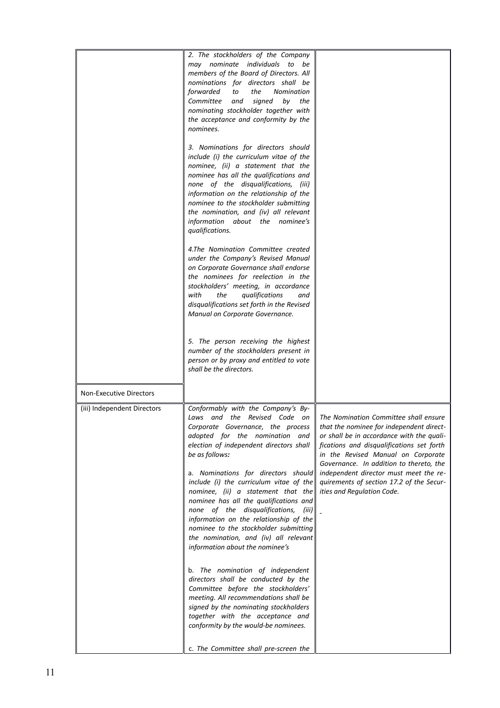|                                | 2. The stockholders of the Company<br>may nominate individuals to be<br>members of the Board of Directors. All<br>nominations for directors shall be<br>forwarded<br>the<br><b>Nomination</b><br>to<br>Committee<br>and<br>signed<br>by<br>the<br>nominating stockholder together with<br>the acceptance and conformity by the<br>nominees.<br>3. Nominations for directors should<br>include (i) the curriculum vitae of the<br>nominee, (ii) a statement that the<br>nominee has all the qualifications and<br>none of the disqualifications, (iii)<br>information on the relationship of the<br>nominee to the stockholder submitting<br>the nomination, and (iv) all relevant<br>information about the nominee's<br>qualifications.<br>4.The Nomination Committee created<br>under the Company's Revised Manual<br>on Corporate Governance shall endorse<br>the nominees for reelection in the<br>stockholders' meeting, in accordance<br>with<br>the<br>qualifications<br>and<br>disqualifications set forth in the Revised<br>Manual on Corporate Governance. |                                                                                                                                                                                                                                                                                                                                                                                  |
|--------------------------------|---------------------------------------------------------------------------------------------------------------------------------------------------------------------------------------------------------------------------------------------------------------------------------------------------------------------------------------------------------------------------------------------------------------------------------------------------------------------------------------------------------------------------------------------------------------------------------------------------------------------------------------------------------------------------------------------------------------------------------------------------------------------------------------------------------------------------------------------------------------------------------------------------------------------------------------------------------------------------------------------------------------------------------------------------------------------|----------------------------------------------------------------------------------------------------------------------------------------------------------------------------------------------------------------------------------------------------------------------------------------------------------------------------------------------------------------------------------|
|                                | 5. The person receiving the highest<br>number of the stockholders present in<br>person or by proxy and entitled to vote<br>shall be the directors.                                                                                                                                                                                                                                                                                                                                                                                                                                                                                                                                                                                                                                                                                                                                                                                                                                                                                                                  |                                                                                                                                                                                                                                                                                                                                                                                  |
| <b>Non-Executive Directors</b> |                                                                                                                                                                                                                                                                                                                                                                                                                                                                                                                                                                                                                                                                                                                                                                                                                                                                                                                                                                                                                                                                     |                                                                                                                                                                                                                                                                                                                                                                                  |
| (iii) Independent Directors    | Conformably with the Company's By-<br>Laws and the Revised Code on<br>Corporate Governance, the process<br>adopted for the nomination and<br>election of independent directors shall<br>be as follows:<br>a. Nominations for directors should<br>include (i) the curriculum vitae of the<br>nominee, (ii) a statement that the<br>nominee has all the qualifications and<br>none of the disqualifications, (iii)<br>information on the relationship of the<br>nominee to the stockholder submitting<br>the nomination, and (iv) all relevant<br>information about the nominee's<br>b. The nomination of independent<br>directors shall be conducted by the<br>Committee before the stockholders'                                                                                                                                                                                                                                                                                                                                                                    | The Nomination Committee shall ensure<br>that the nominee for independent direct-<br>or shall be in accordance with the quali-<br>fications and disqualifications set forth<br>in the Revised Manual on Corporate<br>Governance. In addition to thereto, the<br>independent director must meet the re-<br>quirements of section 17.2 of the Secur-<br>ities and Regulation Code. |
|                                | meeting. All recommendations shall be<br>signed by the nominating stockholders<br>together with the acceptance and<br>conformity by the would-be nominees.<br>c. The Committee shall pre-screen the                                                                                                                                                                                                                                                                                                                                                                                                                                                                                                                                                                                                                                                                                                                                                                                                                                                                 |                                                                                                                                                                                                                                                                                                                                                                                  |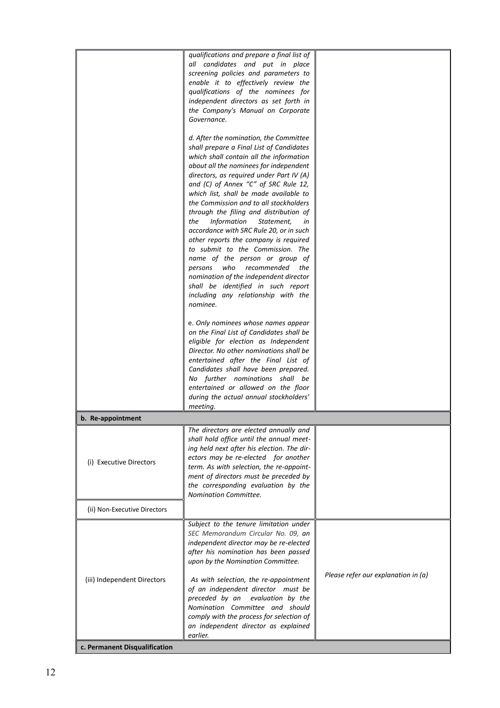|                               | qualifications and prepare a final list of                                    |                                     |
|-------------------------------|-------------------------------------------------------------------------------|-------------------------------------|
|                               | all candidates and put in place                                               |                                     |
|                               | screening policies and parameters to                                          |                                     |
|                               | enable it to effectively review the                                           |                                     |
|                               | qualifications of the nominees for                                            |                                     |
|                               | independent directors as set forth in                                         |                                     |
|                               | the Company's Manual on Corporate                                             |                                     |
|                               | Governance.                                                                   |                                     |
|                               |                                                                               |                                     |
|                               | d. After the nomination, the Committee                                        |                                     |
|                               | shall prepare a Final List of Candidates                                      |                                     |
|                               | which shall contain all the information                                       |                                     |
|                               | about all the nominees for independent                                        |                                     |
|                               | directors, as required under Part IV (A)                                      |                                     |
|                               | and (C) of Annex "C" of SRC Rule 12,                                          |                                     |
|                               | which list, shall be made available to                                        |                                     |
|                               | the Commission and to all stockholders                                        |                                     |
|                               | through the filing and distribution of                                        |                                     |
|                               | <b>Information</b><br>the<br>Statement,<br>in                                 |                                     |
|                               | accordance with SRC Rule 20, or in such                                       |                                     |
|                               | other reports the company is required                                         |                                     |
|                               | to submit to the Commission. The                                              |                                     |
|                               | name of the person or group of                                                |                                     |
|                               | who recommended<br>persons<br>the                                             |                                     |
|                               | nomination of the independent director                                        |                                     |
|                               | shall be identified in such report                                            |                                     |
|                               | including any relationship with the                                           |                                     |
|                               | nominee.                                                                      |                                     |
|                               |                                                                               |                                     |
|                               | e. Only nominees whose names appear                                           |                                     |
|                               | on the Final List of Candidates shall be                                      |                                     |
|                               | eligible for election as Independent                                          |                                     |
|                               | Director. No other nominations shall be                                       |                                     |
|                               | entertained after the Final List of                                           |                                     |
|                               | Candidates shall have been prepared.                                          |                                     |
|                               | No further nominations shall be                                               |                                     |
|                               | entertained or allowed on the floor<br>during the actual annual stockholders' |                                     |
|                               | meeting.                                                                      |                                     |
|                               |                                                                               |                                     |
| b. Re-appointment             |                                                                               |                                     |
|                               | The directors are elected annually and                                        |                                     |
|                               | shall hold office until the annual meet-                                      |                                     |
|                               | ing held next after his election. The dir-                                    |                                     |
| (i) Executive Directors       | ectors may be re-elected for another                                          |                                     |
|                               | term. As with selection, the re-appoint-                                      |                                     |
|                               | ment of directors must be preceded by                                         |                                     |
|                               | the corresponding evaluation by the                                           |                                     |
|                               | Nomination Committee.                                                         |                                     |
| (ii) Non-Executive Directors  |                                                                               |                                     |
|                               | Subject to the tenure limitation under                                        |                                     |
|                               | SEC Memorandum Circular No. 09, an                                            |                                     |
|                               | independent director may be re-elected                                        |                                     |
|                               | after his nomination has been passed                                          |                                     |
|                               | upon by the Nomination Committee.                                             |                                     |
|                               |                                                                               |                                     |
| (iii) Independent Directors   | As with selection, the re-appointment                                         | Please refer our explanation in (a) |
|                               | of an independent director must be                                            |                                     |
|                               | preceded by an<br>evaluation by the                                           |                                     |
|                               | Nomination Committee and should                                               |                                     |
|                               | comply with the process for selection of                                      |                                     |
|                               | an independent director as explained                                          |                                     |
|                               | earlier.                                                                      |                                     |
| c. Permanent Disqualification |                                                                               |                                     |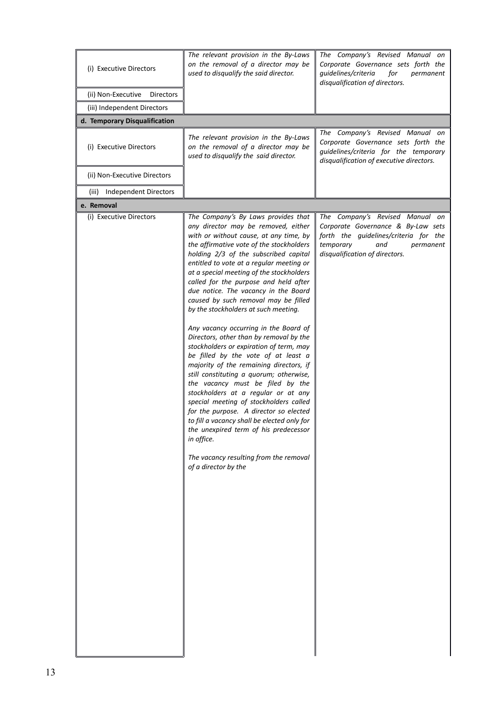| (i) Executive Directors                | The relevant provision in the By-Laws<br>on the removal of a director may be<br>used to disqualify the said director.                                                                                                                                                                                                                                                                                                                                                                                                                                                                                                                                                                                                                                                                                                                                                                                                                                                                                                                                                 | The Company's Revised Manual on<br>Corporate Governance sets forth the<br>guidelines/criteria<br>for<br>permanent<br>disqualification of directors.                               |
|----------------------------------------|-----------------------------------------------------------------------------------------------------------------------------------------------------------------------------------------------------------------------------------------------------------------------------------------------------------------------------------------------------------------------------------------------------------------------------------------------------------------------------------------------------------------------------------------------------------------------------------------------------------------------------------------------------------------------------------------------------------------------------------------------------------------------------------------------------------------------------------------------------------------------------------------------------------------------------------------------------------------------------------------------------------------------------------------------------------------------|-----------------------------------------------------------------------------------------------------------------------------------------------------------------------------------|
| (ii) Non-Executive<br><b>Directors</b> |                                                                                                                                                                                                                                                                                                                                                                                                                                                                                                                                                                                                                                                                                                                                                                                                                                                                                                                                                                                                                                                                       |                                                                                                                                                                                   |
| (iii) Independent Directors            |                                                                                                                                                                                                                                                                                                                                                                                                                                                                                                                                                                                                                                                                                                                                                                                                                                                                                                                                                                                                                                                                       |                                                                                                                                                                                   |
| d. Temporary Disqualification          |                                                                                                                                                                                                                                                                                                                                                                                                                                                                                                                                                                                                                                                                                                                                                                                                                                                                                                                                                                                                                                                                       |                                                                                                                                                                                   |
| (i) Executive Directors                | The relevant provision in the By-Laws<br>on the removal of a director may be<br>used to disqualify the said director.                                                                                                                                                                                                                                                                                                                                                                                                                                                                                                                                                                                                                                                                                                                                                                                                                                                                                                                                                 | The Company's Revised Manual on<br>Corporate Governance sets forth the<br>guidelines/criteria for the temporary<br>disqualification of executive directors.                       |
| (ii) Non-Executive Directors           |                                                                                                                                                                                                                                                                                                                                                                                                                                                                                                                                                                                                                                                                                                                                                                                                                                                                                                                                                                                                                                                                       |                                                                                                                                                                                   |
| (iii) Independent Directors            |                                                                                                                                                                                                                                                                                                                                                                                                                                                                                                                                                                                                                                                                                                                                                                                                                                                                                                                                                                                                                                                                       |                                                                                                                                                                                   |
| e. Removal                             |                                                                                                                                                                                                                                                                                                                                                                                                                                                                                                                                                                                                                                                                                                                                                                                                                                                                                                                                                                                                                                                                       |                                                                                                                                                                                   |
| (i) Executive Directors                | The Company's By Laws provides that<br>any director may be removed, either<br>with or without cause, at any time, by<br>the affirmative vote of the stockholders<br>holding 2/3 of the subscribed capital<br>entitled to vote at a regular meeting or<br>at a special meeting of the stockholders<br>called for the purpose and held after<br>due notice. The vacancy in the Board<br>caused by such removal may be filled<br>by the stockholders at such meeting.<br>Any vacancy occurring in the Board of<br>Directors, other than by removal by the<br>stockholders or expiration of term, may<br>be filled by the vote of at least a<br>majority of the remaining directors, if<br>still constituting a quorum; otherwise,<br>the vacancy must be filed by the<br>stockholders at a regular or at any<br>special meeting of stockholders called<br>for the purpose. A director so elected<br>to fill a vacancy shall be elected only for<br>the unexpired term of his predecessor<br>in office.<br>The vacancy resulting from the removal<br>of a director by the | The Company's Revised Manual on<br>Corporate Governance & By-Law sets<br>forth the guidelines/criteria for the<br>temporary<br>and<br>permanent<br>disqualification of directors. |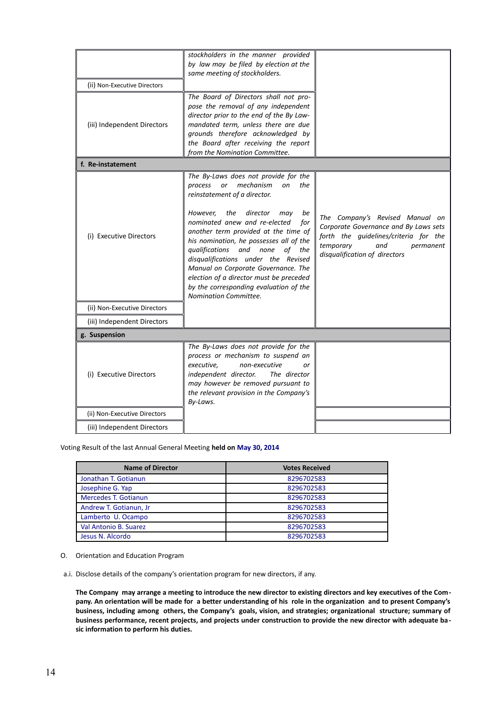|                              | stockholders in the manner provided<br>by law may be filed by election at the<br>same meeting of stockholders.                                                                                                                                                                                                                                                                                                                                                                                                          |                                                                                                                                                                                     |
|------------------------------|-------------------------------------------------------------------------------------------------------------------------------------------------------------------------------------------------------------------------------------------------------------------------------------------------------------------------------------------------------------------------------------------------------------------------------------------------------------------------------------------------------------------------|-------------------------------------------------------------------------------------------------------------------------------------------------------------------------------------|
| (ii) Non-Executive Directors |                                                                                                                                                                                                                                                                                                                                                                                                                                                                                                                         |                                                                                                                                                                                     |
| (iii) Independent Directors  | The Board of Directors shall not pro-<br>pose the removal of any independent<br>director prior to the end of the By Law-<br>mandated term, unless there are due<br>grounds therefore acknowledged by<br>the Board after receiving the report<br>from the Nomination Committee.                                                                                                                                                                                                                                          |                                                                                                                                                                                     |
| f. Re-instatement            |                                                                                                                                                                                                                                                                                                                                                                                                                                                                                                                         |                                                                                                                                                                                     |
| (i) Executive Directors      | The By-Laws does not provide for the<br>mechanism<br>process<br>on<br>the<br>or<br>reinstatement of a director.<br>However,<br>the<br>director<br>be<br>may<br>nominated anew and re-elected<br>for<br>another term provided at the time of<br>his nomination, he possesses all of the<br>qualifications and none<br>of the<br>disqualifications under the Revised<br>Manual on Corporate Governance. The<br>election of a director must be preceded<br>by the corresponding evaluation of the<br>Nomination Committee. | The Company's Revised Manual on<br>Corporate Governance and By Laws sets<br>forth the guidelines/criteria for the<br>temporary<br>and<br>permanent<br>disqualification of directors |
| (ii) Non-Executive Directors |                                                                                                                                                                                                                                                                                                                                                                                                                                                                                                                         |                                                                                                                                                                                     |
| (iii) Independent Directors  |                                                                                                                                                                                                                                                                                                                                                                                                                                                                                                                         |                                                                                                                                                                                     |
| g. Suspension                |                                                                                                                                                                                                                                                                                                                                                                                                                                                                                                                         |                                                                                                                                                                                     |
| (i) Executive Directors      | The By-Laws does not provide for the<br>process or mechanism to suspend an<br>executive.<br>non-executive<br>or<br>independent director.<br>The director<br>may however be removed pursuant to<br>the relevant provision in the Company's<br>By-Laws.                                                                                                                                                                                                                                                                   |                                                                                                                                                                                     |
| (ii) Non-Executive Directors |                                                                                                                                                                                                                                                                                                                                                                                                                                                                                                                         |                                                                                                                                                                                     |
| (iii) Independent Directors  |                                                                                                                                                                                                                                                                                                                                                                                                                                                                                                                         |                                                                                                                                                                                     |

Voting Result of the last Annual General Meeting **held on May 30, 2014**

| <b>Name of Director</b> | <b>Votes Received</b> |
|-------------------------|-----------------------|
| Jonathan T. Gotianun    | 8296702583            |
| Josephine G. Yap        | 8296702583            |
| Mercedes T. Gotianun    | 8296702583            |
| Andrew T. Gotianun, Jr  | 8296702583            |
| Lamberto U. Ocampo      | 8296702583            |
| Val Antonio B. Suarez   | 8296702583            |
| Jesus N. Alcordo        | 8296702583            |

# O. Orientation and Education Program

a.i. Disclose details of the company's orientation program for new directors, if any.

**The Company may arrange a meeting to introduce the new director to existing directors and key executives of the Company. An orientation will be made for a better understanding of his role in the organization and to present Company's business, including among others, the Company's goals, vision, and strategies; organizational structure; summary of business performance, recent projects, and projects under construction to provide the new director with adequate basic information to perform his duties.**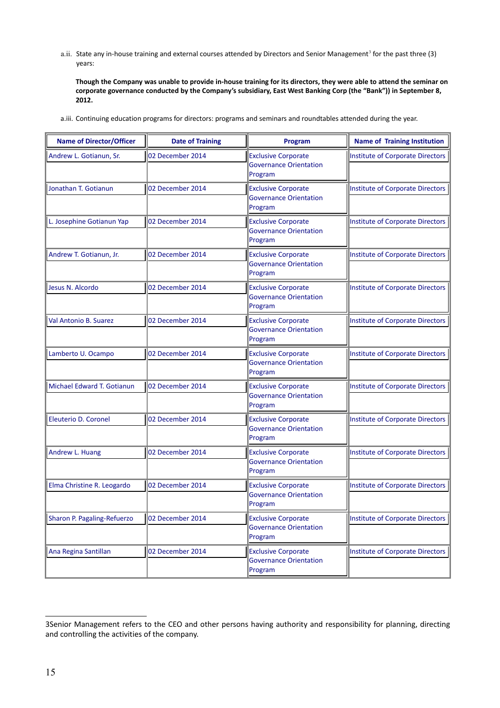a.ii. State any in-house training and external courses attended by Directors and Senior Management<sup>[3](#page-16-0)</sup> for the past three (3) years:

**Though the Company was unable to provide in-house training for its directors, they were able to attend the seminar on corporate governance conducted by the Company's subsidiary, East West Banking Corp (the "Bank")) in September 8, 2012.**

a.iii. Continuing education programs for directors: programs and seminars and roundtables attended during the year.

| <b>Name of Director/Officer</b> | <b>Date of Training</b> | Program                                                                | <b>Name of Training Institution</b> |
|---------------------------------|-------------------------|------------------------------------------------------------------------|-------------------------------------|
| Andrew L. Gotianun, Sr.         | 02 December 2014        | <b>Exclusive Corporate</b><br><b>Governance Orientation</b><br>Program | Institute of Corporate Directors    |
| Jonathan T. Gotianun            | 02 December 2014        | <b>Exclusive Corporate</b><br><b>Governance Orientation</b><br>Program | Institute of Corporate Directors    |
| L. Josephine Gotianun Yap       | 02 December 2014        | <b>Exclusive Corporate</b><br><b>Governance Orientation</b><br>Program | Institute of Corporate Directors    |
| Andrew T. Gotianun, Jr.         | 02 December 2014        | <b>Exclusive Corporate</b><br><b>Governance Orientation</b><br>Program | Institute of Corporate Directors    |
| Jesus N. Alcordo                | 02 December 2014        | <b>Exclusive Corporate</b><br><b>Governance Orientation</b><br>Program | Institute of Corporate Directors    |
| Val Antonio B. Suarez           | 02 December 2014        | <b>Exclusive Corporate</b><br><b>Governance Orientation</b><br>Program | Institute of Corporate Directors    |
| Lamberto U. Ocampo              | 02 December 2014        | <b>Exclusive Corporate</b><br><b>Governance Orientation</b><br>Program | Institute of Corporate Directors    |
| Michael Edward T. Gotianun      | 02 December 2014        | <b>Exclusive Corporate</b><br><b>Governance Orientation</b><br>Program | Institute of Corporate Directors    |
| <b>Eleuterio D. Coronel</b>     | 02 December 2014        | <b>Exclusive Corporate</b><br><b>Governance Orientation</b><br>Program | Institute of Corporate Directors    |
| Andrew L. Huang                 | 02 December 2014        | <b>Exclusive Corporate</b><br><b>Governance Orientation</b><br>Program | Institute of Corporate Directors    |
| Elma Christine R. Leogardo      | 02 December 2014        | <b>Exclusive Corporate</b><br><b>Governance Orientation</b><br>Program | Institute of Corporate Directors    |
| Sharon P. Pagaling-Refuerzo     | 02 December 2014        | <b>Exclusive Corporate</b><br><b>Governance Orientation</b><br>Program | Institute of Corporate Directors    |
| Ana Regina Santillan            | 02 December 2014        | <b>Exclusive Corporate</b><br><b>Governance Orientation</b><br>Program | Institute of Corporate Directors    |

<span id="page-16-0"></span><sup>3</sup>Senior Management refers to the CEO and other persons having authority and responsibility for planning, directing and controlling the activities of the company.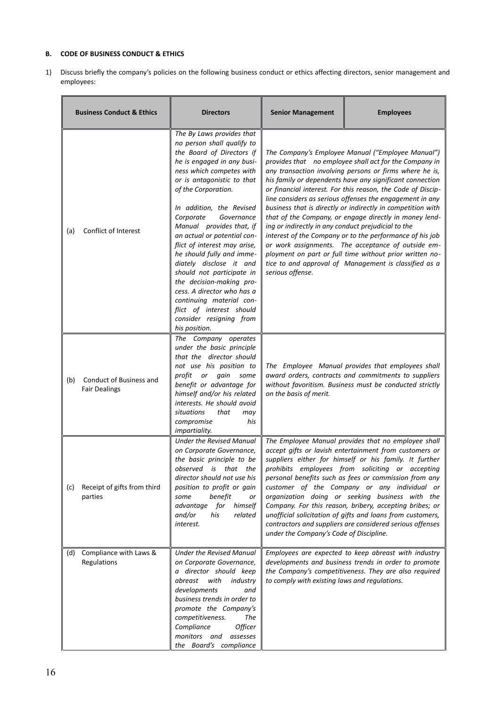# **B. CODE OF BUSINESS CONDUCT & ETHICS**

1) Discuss briefly the company's policies on the following business conduct or ethics affecting directors, senior management and employees:

| <b>Business Conduct &amp; Ethics</b> |                                                 | <b>Directors</b>                                                                                                                                                                                                                                                                                                                                                                                                                                                                                                                                                                                         | <b>Senior Management</b><br><b>Employees</b>                            |                                                                                                                                                                                                                                                                                                                                                                                                                                                                                                                                                                                                                                                                                                                              |
|--------------------------------------|-------------------------------------------------|----------------------------------------------------------------------------------------------------------------------------------------------------------------------------------------------------------------------------------------------------------------------------------------------------------------------------------------------------------------------------------------------------------------------------------------------------------------------------------------------------------------------------------------------------------------------------------------------------------|-------------------------------------------------------------------------|------------------------------------------------------------------------------------------------------------------------------------------------------------------------------------------------------------------------------------------------------------------------------------------------------------------------------------------------------------------------------------------------------------------------------------------------------------------------------------------------------------------------------------------------------------------------------------------------------------------------------------------------------------------------------------------------------------------------------|
| (a)                                  | Conflict of Interest                            | The By Laws provides that<br>no person shall qualify to<br>the Board of Directors if<br>he is engaged in any busi-<br>ness which competes with<br>or is antagonistic to that<br>of the Corporation.<br>In addition, the Revised<br>Corporate<br>Governance<br>Manual provides that, if<br>an actual or potential con-<br>flict of interest may arise,<br>he should fully and imme-<br>diately disclose it and<br>should not participate in<br>the decision-making pro-<br>cess. A director who has a<br>continuing material con-<br>flict of interest should<br>consider resigning from<br>his position. | ing or indirectly in any conduct prejudicial to the<br>serious offense. | The Company's Employee Manual ("Employee Manual")<br>provides that no employee shall act for the Company in<br>any transaction involving persons or firms where he is,<br>his family or dependents have any significant connection<br>or financial interest. For this reason, the Code of Discip-<br>line considers as serious offenses the engagement in any<br>business that is directly or indirectly in competition with<br>that of the Company, or engage directly in money lend-<br>interest of the Company or to the performance of his job<br>or work assignments. The acceptance of outside em-<br>ployment on part or full time without prior written no-<br>tice to and approval of Management is classified as a |
| (b)                                  | Conduct of Business and<br><b>Fair Dealings</b> | The Company operates<br>under the basic principle<br>that the director should<br>not use his position to<br>gain<br>profit or<br>some<br>benefit or advantage for<br>himself and/or his related<br>interests. He should avoid<br>situations<br>that<br>may<br>compromise<br>his<br><i>impartiality.</i>                                                                                                                                                                                                                                                                                                  | on the basis of merit.                                                  | The Employee Manual provides that employees shall<br>award orders, contracts and commitments to suppliers<br>without favoritism. Business must be conducted strictly                                                                                                                                                                                                                                                                                                                                                                                                                                                                                                                                                         |
| (c)                                  | Receipt of gifts from third<br>parties          | <b>Under the Revised Manual</b><br>on Corporate Governance,<br>the basic principle to be<br>observed is<br>that the<br>director should not use his<br>position to profit or gain<br>benefit<br>some<br>or<br>advantage<br>for<br>himself<br>and/or<br>his<br>related<br>interest.                                                                                                                                                                                                                                                                                                                        | under the Company's Code of Discipline.                                 | The Employee Manual provides that no employee shall<br>accept gifts or lavish entertainment from customers or<br>suppliers either for himself or his family. It further<br>prohibits employees from soliciting or accepting<br>personal benefits such as fees or commission from any<br>customer of the Company or any individual or<br>organization doing or seeking business with the<br>Company. For this reason, bribery, accepting bribes; or<br>unofficial solicitation of gifts and loans from customers,<br>contractors and suppliers are considered serious offenses                                                                                                                                                |
| (d)                                  | Compliance with Laws &<br>Regulations           | <b>Under the Revised Manual</b><br>on Corporate Governance,<br>a director should keep<br>abreast<br>with<br>industry<br>developments<br>and<br>business trends in order to<br>promote the Company's<br>competitiveness.<br>The<br>Compliance<br>Officer<br>monitors and<br>assesses<br>the Board's compliance                                                                                                                                                                                                                                                                                            | to comply with existing laws and regulations.                           | Employees are expected to keep abreast with industry<br>developments and business trends in order to promote<br>the Company's competitiveness. They are also required                                                                                                                                                                                                                                                                                                                                                                                                                                                                                                                                                        |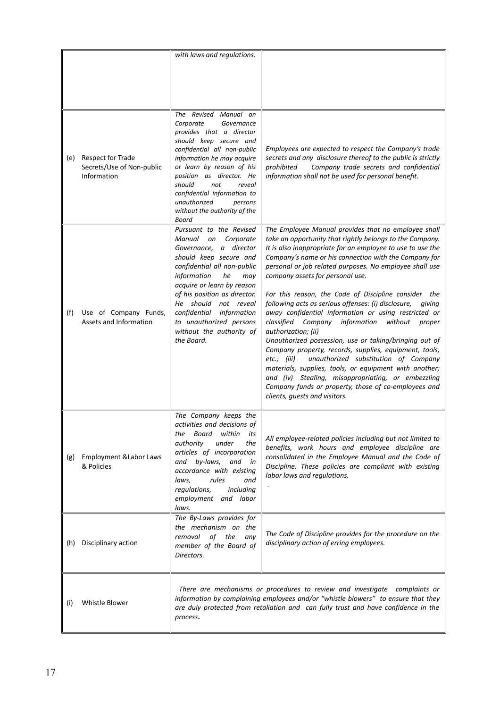|     |                                                               | with laws and regulations.                                                                                                                                                                                                                                                                                                                                          |                                                                                                                                                                                                                                                                                                                                                                                                                                                                                                                                                                                                                                                                                                                                                                                                                                                                                                                                                                                             |
|-----|---------------------------------------------------------------|---------------------------------------------------------------------------------------------------------------------------------------------------------------------------------------------------------------------------------------------------------------------------------------------------------------------------------------------------------------------|---------------------------------------------------------------------------------------------------------------------------------------------------------------------------------------------------------------------------------------------------------------------------------------------------------------------------------------------------------------------------------------------------------------------------------------------------------------------------------------------------------------------------------------------------------------------------------------------------------------------------------------------------------------------------------------------------------------------------------------------------------------------------------------------------------------------------------------------------------------------------------------------------------------------------------------------------------------------------------------------|
| (e) | Respect for Trade<br>Secrets/Use of Non-public<br>Information | The Revised Manual on<br>Corporate<br>Governance<br>provides that a director<br>should keep secure and<br>confidential all non-public<br>information he may acquire<br>or learn by reason of his<br>position as director. He<br>should<br>not<br>reveal<br>confidential information to<br>unauthorized<br>persons<br>without the authority of the<br>Board          | Employees are expected to respect the Company's trade<br>secrets and any disclosure thereof to the public is strictly<br>Company trade secrets and confidential<br>prohibited<br>information shall not be used for personal benefit.                                                                                                                                                                                                                                                                                                                                                                                                                                                                                                                                                                                                                                                                                                                                                        |
| (f) | Use of Company Funds,<br>Assets and Information               | Pursuant to the Revised<br>Manual<br>on<br>Corporate<br>a director<br>Governance,<br>should keep secure and<br>confidential all non-public<br>information<br>he<br>may<br>acquire or learn by reason<br>of his position as director.<br>He should<br>not reveal<br>confidential<br>information<br>to unauthorized persons<br>without the authority of<br>the Board. | The Employee Manual provides that no employee shall<br>take an opportunity that rightly belongs to the Company.<br>It is also inappropriate for an employee to use to use the<br>Company's name or his connection with the Company for<br>personal or job related purposes. No employee shall use<br>company assets for personal use.<br>For this reason, the Code of Discipline consider<br>the<br>following acts as serious offenses: (i) disclosure,<br>giving<br>away confidential information or using restricted or<br>classified Company information<br>without<br>proper<br>authorization; (ii)<br>Unauthorized possession, use or taking/bringing out of<br>Company property, records, supplies, equipment, tools,<br>unauthorized substitution of Company<br>etc.; (iii)<br>materials, supplies, tools, or equipment with another;<br>and (iv) Stealing, misappropriating, or embezzling<br>Company funds or property, those of co-employees and<br>clients, guests and visitors. |
| (g) | <b>Employment &amp; Labor Laws</b><br>& Policies              | The Company keeps the<br>activities and decisions of<br>Board within<br>the<br>its<br>authority<br>under<br>the<br>articles of incorporation<br>and by-laws,<br>and in<br>accordance with existing<br>rules<br>laws,<br>and<br>regulations,<br>including<br>employment and labor<br>laws.                                                                           | All employee-related policies including but not limited to<br>benefits, work hours and employee discipline are<br>consolidated in the Employee Manual and the Code of<br>Discipline. These policies are compliant with existing<br>labor laws and regulations.                                                                                                                                                                                                                                                                                                                                                                                                                                                                                                                                                                                                                                                                                                                              |
| (h) | Disciplinary action                                           | The By-Laws provides for<br>the mechanism on the<br>removal<br>of the<br>any<br>member of the Board of<br>Directors.                                                                                                                                                                                                                                                | The Code of Discipline provides for the procedure on the<br>disciplinary action of erring employees.                                                                                                                                                                                                                                                                                                                                                                                                                                                                                                                                                                                                                                                                                                                                                                                                                                                                                        |
| (i) | Whistle Blower                                                | process.                                                                                                                                                                                                                                                                                                                                                            | There are mechanisms or procedures to review and investigate complaints or<br>information by complaining employees and/or "whistle blowers" to ensure that they<br>are duly protected from retaliation and can fully trust and have confidence in the                                                                                                                                                                                                                                                                                                                                                                                                                                                                                                                                                                                                                                                                                                                                       |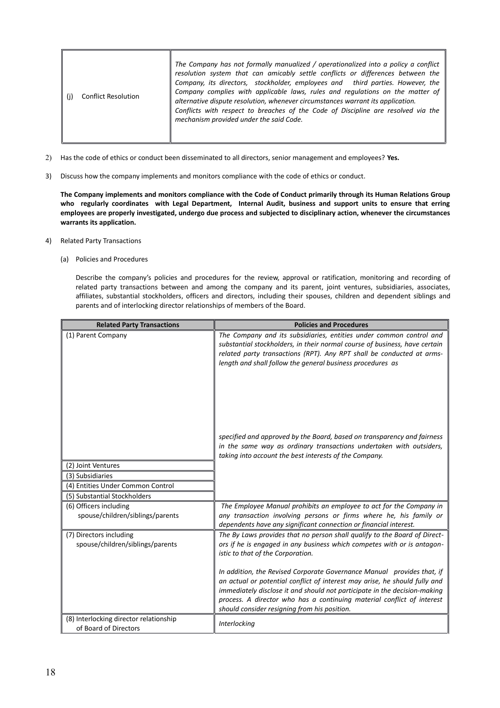| <b>Conflict Resolution</b> | The Company has not formally manualized / operationalized into a policy a conflict<br>resolution system that can amicably settle conflicts or differences between the<br>Company, its directors, stockholder, employees and third parties. However, the<br>Company complies with applicable laws, rules and regulations on the matter of<br>alternative dispute resolution, whenever circumstances warrant its application.<br>Conflicts with respect to breaches of the Code of Discipline are resolved via the<br>mechanism provided under the said Code. |
|----------------------------|-------------------------------------------------------------------------------------------------------------------------------------------------------------------------------------------------------------------------------------------------------------------------------------------------------------------------------------------------------------------------------------------------------------------------------------------------------------------------------------------------------------------------------------------------------------|
|----------------------------|-------------------------------------------------------------------------------------------------------------------------------------------------------------------------------------------------------------------------------------------------------------------------------------------------------------------------------------------------------------------------------------------------------------------------------------------------------------------------------------------------------------------------------------------------------------|

- 2) Has the code of ethics or conduct been disseminated to all directors, senior management and employees? **Yes.**
- 3) Discuss how the company implements and monitors compliance with the code of ethics or conduct.

**The Company implements and monitors compliance with the Code of Conduct primarily through its Human Relations Group who regularly coordinates with Legal Department, Internal Audit, business and support units to ensure that erring employees are properly investigated, undergo due process and subjected to disciplinary action, whenever the circumstances warrants its application.** 

- 4) Related Party Transactions
	- (a) Policies and Procedures

Describe the company's policies and procedures for the review, approval or ratification, monitoring and recording of related party transactions between and among the company and its parent, joint ventures, subsidiaries, associates, affiliates, substantial stockholders, officers and directors, including their spouses, children and dependent siblings and parents and of interlocking director relationships of members of the Board.

| <b>Related Party Transactions</b>                               | <b>Policies and Procedures</b>                                                                                                                                                                                                                                                                                                                              |  |  |
|-----------------------------------------------------------------|-------------------------------------------------------------------------------------------------------------------------------------------------------------------------------------------------------------------------------------------------------------------------------------------------------------------------------------------------------------|--|--|
| (1) Parent Company                                              | The Company and its subsidiaries, entities under common control and<br>substantial stockholders, in their normal course of business, have certain<br>related party transactions (RPT). Any RPT shall be conducted at arms-<br>length and shall follow the general business procedures as                                                                    |  |  |
| (2) Joint Ventures                                              | specified and approved by the Board, based on transparency and fairness<br>in the same way as ordinary transactions undertaken with outsiders,<br>taking into account the best interests of the Company.                                                                                                                                                    |  |  |
| (3) Subsidiaries                                                |                                                                                                                                                                                                                                                                                                                                                             |  |  |
| (4) Entities Under Common Control                               |                                                                                                                                                                                                                                                                                                                                                             |  |  |
| (5) Substantial Stockholders                                    |                                                                                                                                                                                                                                                                                                                                                             |  |  |
| (6) Officers including<br>spouse/children/siblings/parents      | The Employee Manual prohibits an employee to act for the Company in<br>any transaction involving persons or firms where he, his family or<br>dependents have any significant connection or financial interest.                                                                                                                                              |  |  |
| (7) Directors including<br>spouse/children/siblings/parents     | The By Laws provides that no person shall qualify to the Board of Direct-<br>ors if he is engaged in any business which competes with or is antagon-<br>istic to that of the Corporation.                                                                                                                                                                   |  |  |
|                                                                 | In addition, the Revised Corporate Governance Manual provides that, if<br>an actual or potential conflict of interest may arise, he should fully and<br>immediately disclose it and should not participate in the decision-making<br>process. A director who has a continuing material conflict of interest<br>should consider resigning from his position. |  |  |
| (8) Interlocking director relationship<br>of Board of Directors | Interlocking                                                                                                                                                                                                                                                                                                                                                |  |  |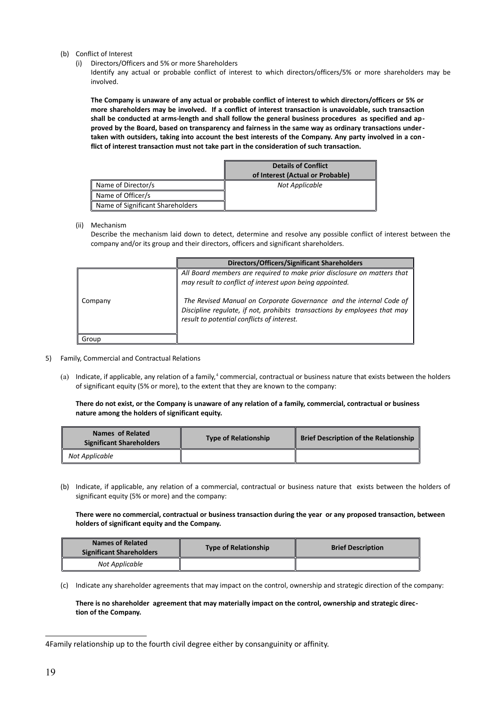- (b) Conflict of Interest
	- (i) Directors/Officers and 5% or more Shareholders

Identify any actual or probable conflict of interest to which directors/officers/5% or more shareholders may be involved.

**The Company is unaware of any actual or probable conflict of interest to which directors/officers or 5% or more shareholders may be involved. If a conflict of interest transaction is unavoidable, such transaction shall be conducted at arms-length and shall follow the general business procedures as specified and approved by the Board, based on transparency and fairness in the same way as ordinary transactions undertaken with outsiders, taking into account the best interests of the Company. Any party involved in a conflict of interest transaction must not take part in the consideration of such transaction.** 

|                                  | <b>Details of Conflict</b>       |
|----------------------------------|----------------------------------|
|                                  | of Interest (Actual or Probable) |
| Name of Director/s               | Not Applicable                   |
| Name of Officer/s                |                                  |
| Name of Significant Shareholders |                                  |

(ii) Mechanism

Describe the mechanism laid down to detect, determine and resolve any possible conflict of interest between the company and/or its group and their directors, officers and significant shareholders.

|         | <b>Directors/Officers/Significant Shareholders</b>                                                                                                                                                                                                                                                                                    |
|---------|---------------------------------------------------------------------------------------------------------------------------------------------------------------------------------------------------------------------------------------------------------------------------------------------------------------------------------------|
| Company | All Board members are required to make prior disclosure on matters that<br>may result to conflict of interest upon being appointed.<br>The Revised Manual on Corporate Governance and the internal Code of<br>Discipline regulate, if not, prohibits transactions by employees that may<br>result to potential conflicts of interest. |
| Group   |                                                                                                                                                                                                                                                                                                                                       |

- 5) Family, Commercial and Contractual Relations
	- (a) Indicate, if applicable, any relation of a family,<sup>[4](#page-20-0)</sup> commercial, contractual or business nature that exists between the holders of significant equity (5% or more), to the extent that they are known to the company:

**There do not exist, or the Company is unaware of any relation of a family, commercial, contractual or business nature among the holders of significant equity.** 

| Names of Related<br><b>Significant Shareholders</b> | <b>Type of Relationship</b> | <b>Brief Description of the Relationship</b> |  |
|-----------------------------------------------------|-----------------------------|----------------------------------------------|--|
| Not Applicable                                      |                             |                                              |  |

(b) Indicate, if applicable, any relation of a commercial, contractual or business nature that exists between the holders of significant equity (5% or more) and the company:

**There were no commercial, contractual or business transaction during the year or any proposed transaction, between holders of significant equity and the Company.**

| <b>Names of Related</b><br><b>Significant Shareholders</b> | <b>Type of Relationship</b> | <b>Brief Description</b> |  |
|------------------------------------------------------------|-----------------------------|--------------------------|--|
| Not Applicable                                             |                             |                          |  |

(c) Indicate any shareholder agreements that may impact on the control, ownership and strategic direction of the company:

## **There is no shareholder agreement that may materially impact on the control, ownership and strategic direction of the Company.**

<span id="page-20-0"></span><sup>4</sup>Family relationship up to the fourth civil degree either by consanguinity or affinity.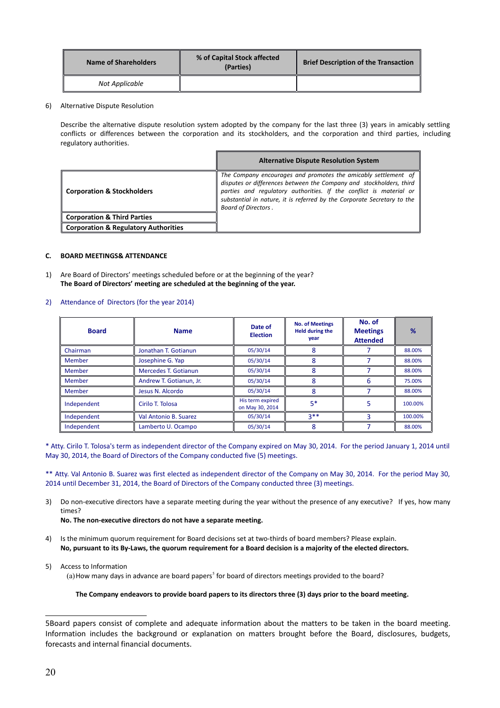| Name of Shareholders | % of Capital Stock affected<br>(Parties) | <b>Brief Description of the Transaction</b> |  |
|----------------------|------------------------------------------|---------------------------------------------|--|
| Not Applicable       |                                          |                                             |  |

6) Alternative Dispute Resolution

Describe the alternative dispute resolution system adopted by the company for the last three (3) years in amicably settling conflicts or differences between the corporation and its stockholders, and the corporation and third parties, including regulatory authorities.

|                                                 | <b>Alternative Dispute Resolution System</b>                                                                                                                                                                                                                                                                         |
|-------------------------------------------------|----------------------------------------------------------------------------------------------------------------------------------------------------------------------------------------------------------------------------------------------------------------------------------------------------------------------|
| <b>Corporation &amp; Stockholders</b>           | The Company encourages and promotes the amicably settlement of<br>disputes or differences between the Company and stockholders, third<br>parties and regulatory authorities. If the conflict is material or<br>substantial in nature, it is referred by the Corporate Secretary to the<br><b>Board of Directors.</b> |
| <b>Corporation &amp; Third Parties</b>          |                                                                                                                                                                                                                                                                                                                      |
| <b>Corporation &amp; Regulatory Authorities</b> |                                                                                                                                                                                                                                                                                                                      |

#### **C. BOARD MEETINGS& ATTENDANCE**

1) Are Board of Directors' meetings scheduled before or at the beginning of the year? **The Board of Directors' meeting are scheduled at the beginning of the year.** 

| 2) Attendance of Directors (for the year 2014) |  |  |
|------------------------------------------------|--|--|
|                                                |  |  |

| <b>Board</b>  | <b>Name</b>             | Date of<br><b>Election</b>          | <b>No. of Meetings</b><br><b>Held during the</b><br>year | No. of<br><b>Meetings</b><br><b>Attended</b> | %       |
|---------------|-------------------------|-------------------------------------|----------------------------------------------------------|----------------------------------------------|---------|
| Chairman      | Jonathan T. Gotianun    | 05/30/14                            |                                                          |                                              | 88.00%  |
| Member        | Josephine G. Yap        | 05/30/14                            | 8                                                        |                                              | 88.00%  |
| <b>Member</b> | Mercedes T. Gotianun    | 05/30/14                            | 8                                                        |                                              | 88.00%  |
| Member        | Andrew T. Gotianun, Jr. | 05/30/14                            |                                                          | 6                                            | 75.00%  |
| Member        | Jesus N. Alcordo        | 05/30/14                            | 8                                                        |                                              | 88.00%  |
| Independent   | Cirilo T. Tolosa        | His term expired<br>on May 30, 2014 | $5*$                                                     | 5                                            | 100.00% |
| Independent   | Val Antonio B. Suarez   | 05/30/14                            | $3**$                                                    | 3                                            | 100.00% |
| Independent   | Lamberto U. Ocampo      | 05/30/14                            | 8                                                        |                                              | 88.00%  |

\* Atty. Cirilo T. Tolosa's term as independent director of the Company expired on May 30, 2014. For the period January 1, 2014 until May 30, 2014, the Board of Directors of the Company conducted five (5) meetings.

\*\* Atty. Val Antonio B. Suarez was first elected as independent director of the Company on May 30, 2014. For the period May 30, 2014 until December 31, 2014, the Board of Directors of the Company conducted three (3) meetings.

3) Do non-executive directors have a separate meeting during the year without the presence of any executive? If yes, how many times?

**No. The non-executive directors do not have a separate meeting.**

4) Is the minimum quorum requirement for Board decisions set at two-thirds of board members? Please explain. **No, pursuant to its By-Laws, the quorum requirement for a Board decision is a majority of the elected directors.** 

5) Access to Information

(a) How many days in advance are board papers<sup>[5](#page-21-0)</sup> for board of directors meetings provided to the board?

#### **The Company endeavors to provide board papers to its directors three (3) days prior to the board meeting.**

<span id="page-21-0"></span><sup>5</sup>Board papers consist of complete and adequate information about the matters to be taken in the board meeting. Information includes the background or explanation on matters brought before the Board, disclosures, budgets, forecasts and internal financial documents.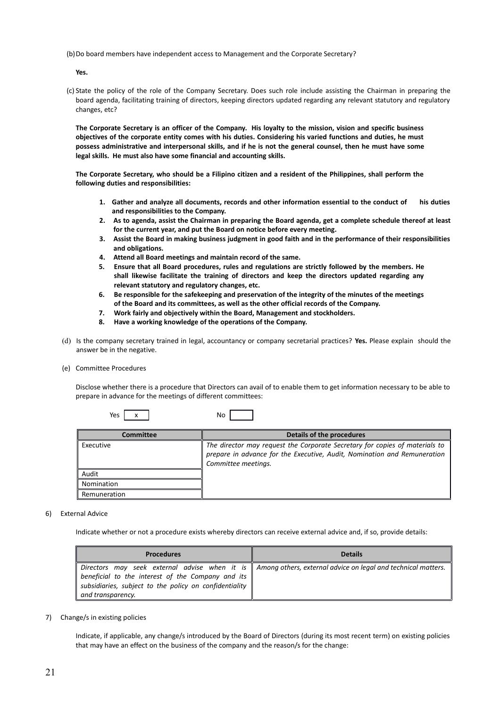(b)Do board members have independent access to Management and the Corporate Secretary?

**Yes.**

(c) State the policy of the role of the Company Secretary. Does such role include assisting the Chairman in preparing the board agenda, facilitating training of directors, keeping directors updated regarding any relevant statutory and regulatory changes, etc?

**The Corporate Secretary is an officer of the Company. His loyalty to the mission, vision and specific business objectives of the corporate entity comes with his duties. Considering his varied functions and duties, he must possess administrative and interpersonal skills, and if he is not the general counsel, then he must have some legal skills. He must also have some financial and accounting skills.**

**The Corporate Secretary, who should be a Filipino citizen and a resident of the Philippines, shall perform the following duties and responsibilities:**

- **1. Gather and analyze all documents, records and other information essential to the conduct of his duties and responsibilities to the Company.**
- **2. As to agenda, assist the Chairman in preparing the Board agenda, get a complete schedule thereof at least for the current year, and put the Board on notice before every meeting.**
- **3. Assist the Board in making business judgment in good faith and in the performance of their responsibilities and obligations.**
- **4. Attend all Board meetings and maintain record of the same.**
- **5. Ensure that all Board procedures, rules and regulations are strictly followed by the members. He shall likewise facilitate the training of directors and keep the directors updated regarding any relevant statutory and regulatory changes, etc.**
- **6. Be responsible for the safekeeping and preservation of the integrity of the minutes of the meetings of the Board and its committees, as well as the other official records of the Company.**
- **7. Work fairly and objectively within the Board, Management and stockholders.**
- **8. Have a working knowledge of the operations of the Company.**
- (d) Is the company secretary trained in legal, accountancy or company secretarial practices? **Yes.** Please explain should the answer be in the negative.
- (e) Committee Procedures

Disclose whether there is a procedure that Directors can avail of to enable them to get information necessary to be able to prepare in advance for the meetings of different committees:

|  | Yes |  | No |  |
|--|-----|--|----|--|
|--|-----|--|----|--|

| Committee    | Details of the procedures                                                   |
|--------------|-----------------------------------------------------------------------------|
| Executive    | The director may request the Corporate Secretary for copies of materials to |
|              | prepare in advance for the Executive, Audit, Nomination and Remuneration    |
|              | Committee meetings.                                                         |
| Audit        |                                                                             |
| Nomination   |                                                                             |
| Remuneration |                                                                             |

6) External Advice

Indicate whether or not a procedure exists whereby directors can receive external advice and, if so, provide details:

| <b>Procedures</b>                                                                                                                | <b>Details</b>                                                                                                 |
|----------------------------------------------------------------------------------------------------------------------------------|----------------------------------------------------------------------------------------------------------------|
| beneficial to the interest of the Company and its<br>subsidiaries, subject to the policy on confidentiality<br>and transparency. | Directors may seek external advise when it is    Among others, external advice on legal and technical matters. |

7) Change/s in existing policies

Indicate, if applicable, any change/s introduced by the Board of Directors (during its most recent term) on existing policies that may have an effect on the business of the company and the reason/s for the change: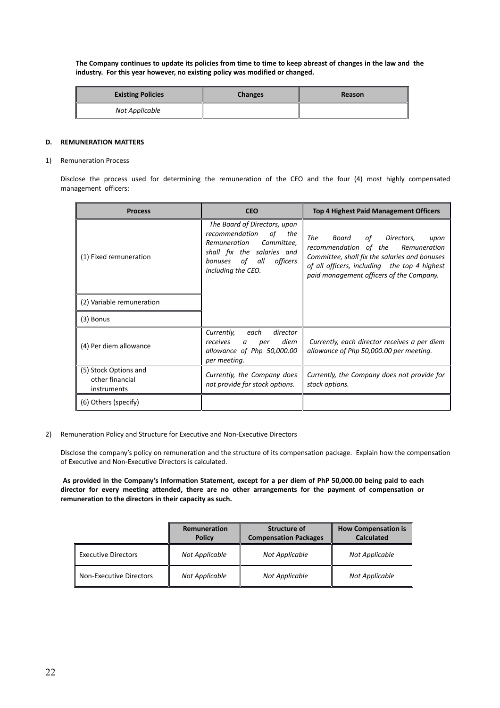**The Company continues to update its policies from time to time to keep abreast of changes in the law and the industry. For this year however, no existing policy was modified or changed.**

| <b>Existing Policies</b> | <b>Changes</b> | Reason |
|--------------------------|----------------|--------|
| Not Applicable           |                |        |

#### **D. REMUNERATION MATTERS**

#### 1) Remuneration Process

Disclose the process used for determining the remuneration of the CEO and the four (4) most highly compensated management officers:

| <b>Process</b>                                          | <b>CEO</b>                                                                                                                                                                     | <b>Top 4 Highest Paid Management Officers</b>                                                                                                                                                                               |
|---------------------------------------------------------|--------------------------------------------------------------------------------------------------------------------------------------------------------------------------------|-----------------------------------------------------------------------------------------------------------------------------------------------------------------------------------------------------------------------------|
| (1) Fixed remuneration                                  | The Board of Directors, upon<br>recommendation<br>of<br>the<br>Remuneration<br>Committee.<br>shall fix the salaries and<br>of all<br>officers<br>bonuses<br>including the CEO. | The<br>Board<br>of<br>Directors,<br>upon<br>recommendation of the Remuneration<br>Committee, shall fix the salaries and bonuses<br>of all officers, including the top 4 highest<br>paid management officers of the Company. |
| (2) Variable remuneration                               |                                                                                                                                                                                |                                                                                                                                                                                                                             |
| (3) Bonus                                               |                                                                                                                                                                                |                                                                                                                                                                                                                             |
| (4) Per diem allowance                                  | Currently,<br>each<br>director<br>diem<br>receives<br>a<br>per<br>allowance of Php 50,000.00<br>per meeting.                                                                   | Currently, each director receives a per diem<br>allowance of Php 50,000.00 per meeting.                                                                                                                                     |
| (5) Stock Options and<br>other financial<br>instruments | Currently, the Company does<br>not provide for stock options.                                                                                                                  | Currently, the Company does not provide for<br>stock options.                                                                                                                                                               |
| (6) Others (specify)                                    |                                                                                                                                                                                |                                                                                                                                                                                                                             |

2) Remuneration Policy and Structure for Executive and Non-Executive Directors

Disclose the company's policy on remuneration and the structure of its compensation package. Explain how the compensation of Executive and Non-Executive Directors is calculated.

**As provided in the Company's Information Statement, except for a per diem of PhP 50,000.00 being paid to each director for every meeting attended, there are no other arrangements for the payment of compensation or remuneration to the directors in their capacity as such.**

|                                | Remuneration<br><b>Policy</b> | Structure of<br><b>Compensation Packages</b> | <b>How Compensation is</b><br><b>Calculated</b> |
|--------------------------------|-------------------------------|----------------------------------------------|-------------------------------------------------|
| <b>Executive Directors</b>     | Not Applicable                | Not Applicable                               | Not Applicable                                  |
| <b>Non-Executive Directors</b> | Not Applicable                | Not Applicable                               | Not Applicable                                  |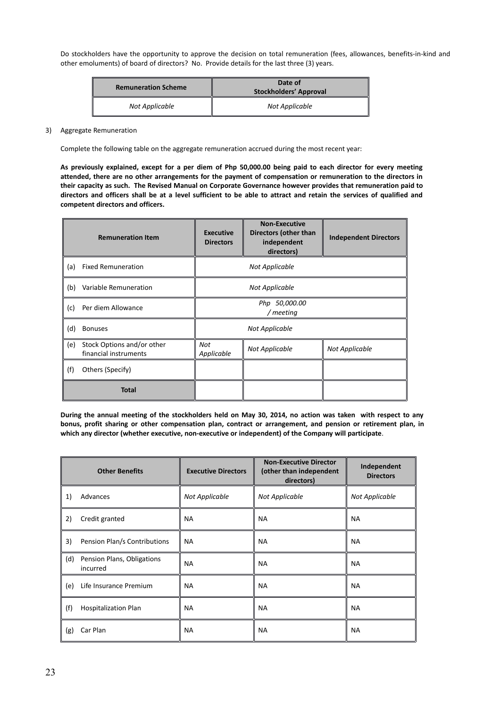Do stockholders have the opportunity to approve the decision on total remuneration (fees, allowances, benefits-in-kind and other emoluments) of board of directors? No. Provide details for the last three (3) years.

| <b>Remuneration Scheme</b> | Date of<br><b>Stockholders' Approval</b> |
|----------------------------|------------------------------------------|
| Not Applicable             | Not Applicable                           |

3) Aggregate Remuneration

Complete the following table on the aggregate remuneration accrued during the most recent year:

**As previously explained, except for a per diem of Php 50,000.00 being paid to each director for every meeting attended, there are no other arrangements for the payment of compensation or remuneration to the directors in their capacity as such. The Revised Manual on Corporate Governance however provides that remuneration paid to directors and officers shall be at a level sufficient to be able to attract and retain the services of qualified and competent directors and officers.**

|     | <b>Remuneration Item</b>                            | <b>Executive</b><br><b>Directors</b>                  | <b>Non-Executive</b><br>Directors (other than<br>independent<br>directors) | <b>Independent Directors</b> |
|-----|-----------------------------------------------------|-------------------------------------------------------|----------------------------------------------------------------------------|------------------------------|
| (a) | <b>Fixed Remuneration</b>                           | Not Applicable                                        |                                                                            |                              |
| (b) | Variable Remuneration                               | Not Applicable                                        |                                                                            |                              |
| (c) | Per diem Allowance                                  | Php 50,000.00<br>/ meeting                            |                                                                            |                              |
| (d) | <b>Bonuses</b>                                      | Not Applicable                                        |                                                                            |                              |
| (e) | Stock Options and/or other<br>financial instruments | Not<br>Not Applicable<br>Not Applicable<br>Applicable |                                                                            |                              |
| (f) | Others (Specify)                                    |                                                       |                                                                            |                              |
|     | <b>Total</b>                                        |                                                       |                                                                            |                              |

**During the annual meeting of the stockholders held on May 30, 2014, no action was taken with respect to any bonus, profit sharing or other compensation plan, contract or arrangement, and pension or retirement plan, in which any director (whether executive, non-executive or independent) of the Company will participate***.* 

|     | <b>Other Benefits</b>                  | <b>Executive Directors</b> | <b>Non-Executive Director</b><br>(other than independent<br>directors) | Independent<br><b>Directors</b> |
|-----|----------------------------------------|----------------------------|------------------------------------------------------------------------|---------------------------------|
| 1)  | Advances                               | Not Applicable             | Not Applicable                                                         | Not Applicable                  |
| 2)  | Credit granted                         | <b>NA</b>                  | <b>NA</b>                                                              | <b>NA</b>                       |
| 3)  | Pension Plan/s Contributions           | <b>NA</b>                  | <b>NA</b>                                                              | <b>NA</b>                       |
| (d) | Pension Plans, Obligations<br>incurred | <b>NA</b>                  | <b>NA</b>                                                              | <b>NA</b>                       |
| (e) | Life Insurance Premium                 | <b>NA</b>                  | <b>NA</b>                                                              | <b>NA</b>                       |
| (f) | <b>Hospitalization Plan</b>            | <b>NA</b>                  | <b>NA</b>                                                              | <b>NA</b>                       |
| (g) | Car Plan                               | <b>NA</b>                  | <b>NA</b>                                                              | <b>NA</b>                       |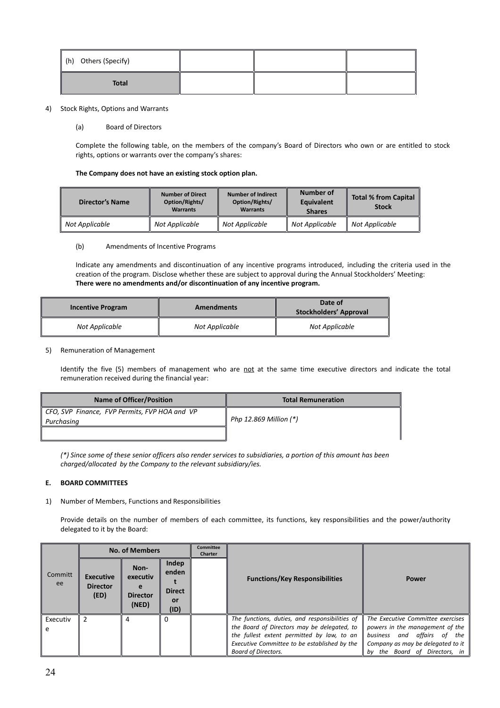| $\parallel$ (h) Others (Specify) |  |  |
|----------------------------------|--|--|
| <b>Total</b>                     |  |  |

#### 4) Stock Rights, Options and Warrants

#### (a) Board of Directors

Complete the following table, on the members of the company's Board of Directors who own or are entitled to stock rights, options or warrants over the company's shares:

#### **The Company does not have an existing stock option plan.**

| <b>Director's Name</b> | <b>Number of Direct</b><br>Option/Rights/<br><b>Warrants</b> | <b>Number of Indirect</b><br>Option/Rights/<br><b>Warrants</b> | Number of<br>Equivalent<br><b>Shares</b> | <b>Total % from Capital</b><br><b>Stock</b> |
|------------------------|--------------------------------------------------------------|----------------------------------------------------------------|------------------------------------------|---------------------------------------------|
| Not Applicable         | Not Applicable                                               | Not Applicable                                                 | Not Applicable                           | Not Applicable                              |

#### (b) Amendments of Incentive Programs

Indicate any amendments and discontinuation of any incentive programs introduced, including the criteria used in the creation of the program. Disclose whether these are subject to approval during the Annual Stockholders' Meeting: **There were no amendments and/or discontinuation of any incentive program.**

| <b>Incentive Program</b> | <b>Amendments</b> | Date of<br>Stockholders' Approval |  |
|--------------------------|-------------------|-----------------------------------|--|
| Not Applicable           | Not Applicable    | Not Applicable                    |  |

#### 5) Remuneration of Management

Identify the five (5) members of management who are not at the same time executive directors and indicate the total remuneration received during the financial year:

| <b>Name of Officer/Position</b>                             | <b>Total Remuneration</b> |  |
|-------------------------------------------------------------|---------------------------|--|
| CFO, SVP Finance, FVP Permits, FVP HOA and VP<br>Purchasing | Php 12.869 Million $(*)$  |  |
|                                                             |                           |  |

*(\*) Since some of these senior officers also render services to subsidiaries, a portion of this amount has been charged/allocated by the Company to the relevant subsidiary/ies.* 

#### **E. BOARD COMMITTEES**

1) Number of Members, Functions and Responsibilities

Provide details on the number of members of each committee, its functions, key responsibilities and the power/authority delegated to it by the Board:

|               |                                             | <b>No. of Members</b>                        |                                               | <b>Committee</b><br><b>Charter</b> |                                                                                                                                                                                                                           |                                                                                                                                                                                 |  |
|---------------|---------------------------------------------|----------------------------------------------|-----------------------------------------------|------------------------------------|---------------------------------------------------------------------------------------------------------------------------------------------------------------------------------------------------------------------------|---------------------------------------------------------------------------------------------------------------------------------------------------------------------------------|--|
| Committ<br>ee | <b>Executive</b><br><b>Director</b><br>(ED) | Non-<br>executiv<br><b>Director</b><br>(NED) | Indep<br>enden<br><b>Direct</b><br>or<br>(1D) |                                    | <b>Functions/Key Responsibilities</b>                                                                                                                                                                                     | <b>Power</b>                                                                                                                                                                    |  |
| Executiv      |                                             | 4                                            |                                               |                                    | The functions, duties, and responsibilities of<br>the Board of Directors may be delegated, to<br>the fullest extent permitted by law, to an<br>Executive Committee to be established by the<br><b>Board of Directors.</b> | The Executive Committee exercises<br>powers in the management of the<br>and affairs of the<br>business<br>Company as may be delegated to it<br>the Board of Directors, in<br>bv |  |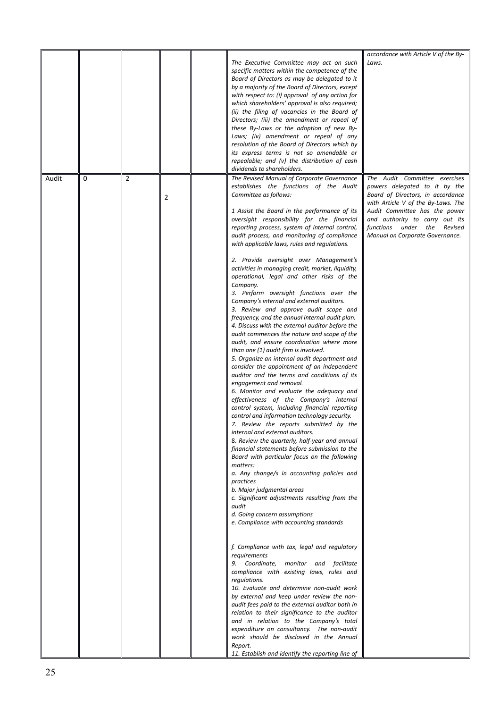|       |   |                |                | The Executive Committee may act on such<br>specific matters within the competence of the<br>Board of Directors as may be delegated to it<br>by a majority of the Board of Directors, except<br>with respect to: (i) approval of any action for<br>which shareholders' approval is also required;<br>(ii) the filing of vacancies in the Board of<br>Directors; (iii) the amendment or repeal of<br>these By-Laws or the adoption of new By-<br>Laws; (iv) amendment or repeal of any<br>resolution of the Board of Directors which by<br>its express terms is not so amendable or<br>repealable; and (v) the distribution of cash<br>dividends to shareholders.                                                                                                                                                                                                                                                                                                                                                                                                                                                                                                                                                                                                                                                                                                                                                                                                                                                                                                                                                                                                                                                                                                                                                                                                                                                                                                                                                                                                                                                                                                                                                                                                                                            | accordance with Article V of the By-<br>Laws.                                                                                                                                                                                                                                  |
|-------|---|----------------|----------------|------------------------------------------------------------------------------------------------------------------------------------------------------------------------------------------------------------------------------------------------------------------------------------------------------------------------------------------------------------------------------------------------------------------------------------------------------------------------------------------------------------------------------------------------------------------------------------------------------------------------------------------------------------------------------------------------------------------------------------------------------------------------------------------------------------------------------------------------------------------------------------------------------------------------------------------------------------------------------------------------------------------------------------------------------------------------------------------------------------------------------------------------------------------------------------------------------------------------------------------------------------------------------------------------------------------------------------------------------------------------------------------------------------------------------------------------------------------------------------------------------------------------------------------------------------------------------------------------------------------------------------------------------------------------------------------------------------------------------------------------------------------------------------------------------------------------------------------------------------------------------------------------------------------------------------------------------------------------------------------------------------------------------------------------------------------------------------------------------------------------------------------------------------------------------------------------------------------------------------------------------------------------------------------------------------|--------------------------------------------------------------------------------------------------------------------------------------------------------------------------------------------------------------------------------------------------------------------------------|
| Audit | 0 | $\overline{2}$ | $\overline{2}$ | The Revised Manual of Corporate Governance<br>establishes the functions of the Audit<br>Committee as follows:<br>1 Assist the Board in the performance of its<br>oversight responsibility for the financial<br>reporting process, system of internal control,<br>audit process, and monitoring of compliance<br>with applicable laws, rules and regulations.<br>2. Provide oversight over Management's<br>activities in managing credit, market, liquidity,<br>operational, legal and other risks of the<br>Company.<br>3. Perform oversight functions over the<br>Company's internal and external auditors.<br>3. Review and approve audit scope and<br>frequency, and the annual internal audit plan.<br>4. Discuss with the external auditor before the<br>audit commences the nature and scope of the<br>audit, and ensure coordination where more<br>than one (1) audit firm is involved.<br>5. Organize an internal audit department and<br>consider the appointment of an independent<br>auditor and the terms and conditions of its<br>engagement and removal.<br>6. Monitor and evaluate the adequacy and<br>effectiveness of the Company's internal<br>control system, including financial reporting<br>control and information technology security.<br>7. Review the reports submitted by the<br>internal and external auditors.<br>8. Review the quarterly, half-year and annual<br>financial statements before submission to the<br>Board with particular focus on the following<br>matters:<br>a. Any change/s in accounting policies and<br>practices<br>b. Major judgmental areas<br>c. Significant adjustments resulting from the<br>audit<br>d. Going concern assumptions<br>e. Compliance with accounting standards<br>f. Compliance with tax, legal and regulatory<br>requirements<br>9. Coordinate, monitor and facilitate<br>compliance with existing laws, rules and<br>regulations.<br>10. Evaluate and determine non-audit work<br>by external and keep under review the non-<br>audit fees paid to the external auditor both in<br>relation to their significance to the auditor<br>and in relation to the Company's total<br>expenditure on consultancy. The non-audit<br>work should be disclosed in the Annual<br>Report.<br>11. Establish and identify the reporting line of | The Audit Committee exercises<br>powers delegated to it by the<br>Board of Directors, in accordance<br>with Article V of the By-Laws. The<br>Audit Committee has the power<br>and authority to carry out its<br>functions under the Revised<br>Manual on Corporate Governance. |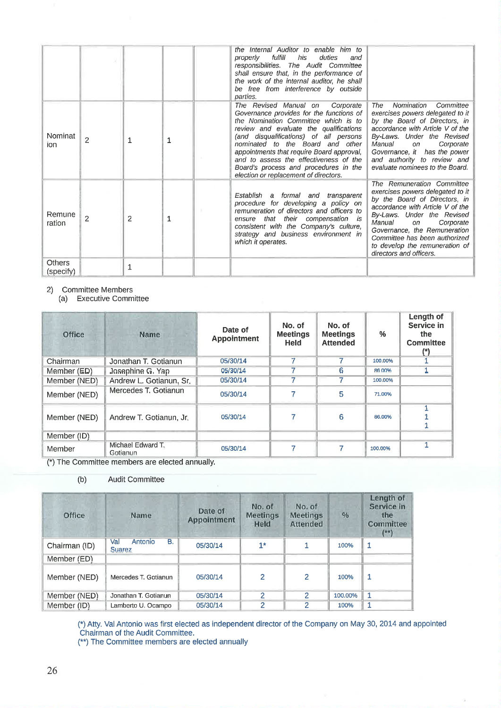|                            |                |   |   | the Internal Auditor to enable him to<br>fulfill<br>duties<br>his<br>properly<br>and<br>responsibilities. The Audit Committee<br>shall ensure that, in the performance of<br>the work of the internal auditor, he shall<br>be free from interference by outside<br>parties.                                                                                                                                          |                                                                                                                                                                                                                                                                                                                              |
|----------------------------|----------------|---|---|----------------------------------------------------------------------------------------------------------------------------------------------------------------------------------------------------------------------------------------------------------------------------------------------------------------------------------------------------------------------------------------------------------------------|------------------------------------------------------------------------------------------------------------------------------------------------------------------------------------------------------------------------------------------------------------------------------------------------------------------------------|
| Nominat<br>ion.            | $\overline{c}$ | 1 | 1 | The Revised Manual on Corporate<br>Governance provides for the functions of<br>the Nomination Committee which is to<br>review and evaluate the qualifications<br>(and disqualifications) of all persons<br>nominated to the Board and other<br>appointments that require Board approval,<br>and to assess the effectiveness of the<br>Board's process and procedures in the<br>election or replacement of directors. | Nomination<br>The<br>Committee<br>exercises powers delegated to it<br>by the Board of Directors, in<br>accordance with Article V of the<br>By-Laws. Under the Revised<br>Manual<br>Corporate<br>on<br>Governance, it has the power<br>and authority to review and<br>evaluate nominees to the Board.                         |
| Remune<br>ration           | 2              | 2 | 1 | Establish a formal and transparent<br>procedure for developing a policy on<br>remuneration of directors and officers to<br>ensure that their compensation is<br>consistent with the Company's culture,<br>strategy and business environment in<br>which it operates.                                                                                                                                                 | The Remuneration Committee<br>exercises powers delegated to it<br>by the Board of Directors, in<br>accordance with Article V of the<br>By-Laws. Under the Revised<br>Manual<br>Corporate<br>on<br>Governance, the Remuneration<br>Committee has been authorized<br>to develop the remuneration of<br>directors and officers. |
| <b>Others</b><br>(specify) |                | 1 |   |                                                                                                                                                                                                                                                                                                                                                                                                                      |                                                                                                                                                                                                                                                                                                                              |

2) Committee Members

(a) Executive Committee

| Office       | Name                          | Date of<br><b>Appointment</b> | No. of<br><b>Meetings</b><br><b>Held</b> | No. of<br><b>Meetings</b><br><b>Attended</b> | %       | Length of<br>Service in<br>the<br><b>Committee</b><br>$(*)$ |
|--------------|-------------------------------|-------------------------------|------------------------------------------|----------------------------------------------|---------|-------------------------------------------------------------|
| Chairman     | Jonathan T. Gotianun          | 05/30/14                      |                                          |                                              | 100,00% |                                                             |
| Member (ED)  | Josephine G. Yap              | 05/30/14                      |                                          | 6                                            | 86.00%  |                                                             |
| Member (NED) | Andrew L. Gotianun, Sr.       | 05/30/14                      |                                          |                                              | 100.00% |                                                             |
| Member (NED) | Mercedes T. Gotianun          | 05/30/14                      |                                          | 5                                            | 71,00%  |                                                             |
| Member (NED) | Andrew T. Gotianun, Jr.       | 05/30/14                      |                                          | 6                                            | 86,00%  |                                                             |
| Member (ID)  |                               |                               |                                          |                                              |         |                                                             |
| Member       | Michael Edward T.<br>Gotianun | 05/30/14                      |                                          |                                              | 100,00% |                                                             |

(\*) The Committee members are elected annually.

 $(b)$ **Audit Committee** 

| Office        | Name                                         | Date of<br>Appointment | No. of<br><b>Meetings</b><br>Held | No. of<br><b>Meetings</b><br><b>Attended</b> | $\%$    | Length of<br>Service in<br>the<br><b>Committee</b><br>$($ **) |
|---------------|----------------------------------------------|------------------------|-----------------------------------|----------------------------------------------|---------|---------------------------------------------------------------|
| Chairman (ID) | <b>B.</b><br>Val<br>Antonio<br><b>Suarez</b> | 05/30/14               | $1*$                              |                                              | 100%    | 1                                                             |
| Member (ED)   |                                              |                        |                                   |                                              |         |                                                               |
| Member (NED)  | Mercedes T. Gotianun                         | 05/30/14               | $\overline{2}$                    | $\overline{2}$                               | 100%    | $\mathbf 1$                                                   |
| Member (NED)  | Jonathan T. Gotianun                         | 05/30/14               | 2                                 | 2                                            | 100.00% | $\mathbf{1}$                                                  |
| Member (ID)   | Lamberto U. Ocampo                           | 05/30/14               | 2                                 | 2                                            | 100%    | 1                                                             |

(\*) Atty. Val Antonio was first elected as independent director of the Company on May 30, 2014 and appointed Chairman of the Audit Committee.<br>
(\*\*) The Committee members are elected annually

Ġ.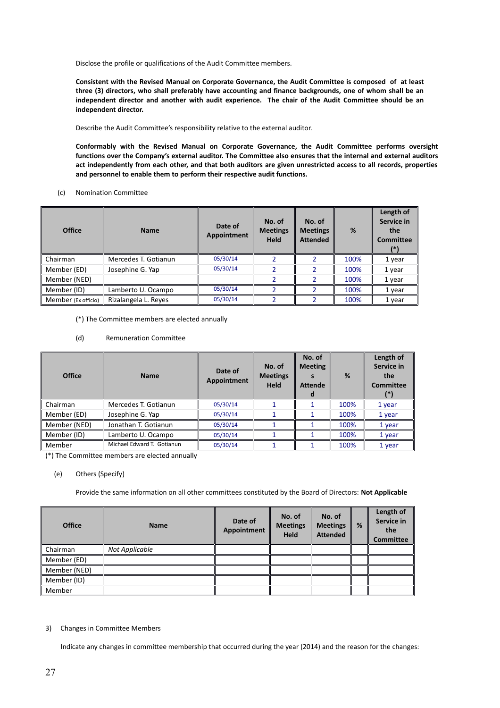Disclose the profile or qualifications of the Audit Committee members.

**Consistent with the Revised Manual on Corporate Governance, the Audit Committee is composed of at least three (3) directors, who shall preferably have accounting and finance backgrounds, one of whom shall be an independent director and another with audit experience. The chair of the Audit Committee should be an independent director.**

Describe the Audit Committee's responsibility relative to the external auditor.

**Conformably with the Revised Manual on Corporate Governance, the Audit Committee performs oversight functions over the Company's external auditor. The Committee also ensures that the internal and external auditors act independently from each other, and that both auditors are given unrestricted access to all records, properties and personnel to enable them to perform their respective audit functions.**

(c) Nomination Committee

| <b>Office</b>       | <b>Name</b>          | Date of<br>Appointment | No. of<br><b>Meetings</b><br><b>Held</b> | No. of<br><b>Meetings</b><br><b>Attended</b> | %    | Length of<br>Service in<br>the<br>Committee<br>$\left  \cdot \right $ |
|---------------------|----------------------|------------------------|------------------------------------------|----------------------------------------------|------|-----------------------------------------------------------------------|
| Chairman            | Mercedes T. Gotianun | 05/30/14               |                                          |                                              | 100% | 1 year                                                                |
| Member (ED)         | Josephine G. Yap     | 05/30/14               |                                          |                                              | 100% | 1 year                                                                |
| Member (NED)        |                      |                        |                                          |                                              | 100% | 1 year                                                                |
| Member (ID)         | Lamberto U. Ocampo   | 05/30/14               |                                          |                                              | 100% | 1 year                                                                |
| Member (Ex officio) | Rizalangela L. Reyes | 05/30/14               |                                          |                                              | 100% | 1 year                                                                |

(\*) The Committee members are elected annually

(d) Remuneration Committee

| <b>Office</b> | <b>Name</b>                | Date of<br>Appointment | No. of<br><b>Meetings</b><br>Held | No. of<br><b>Meeting</b><br><b>Attende</b> | %    | Length of<br>Service in<br>the<br><b>Committee</b><br>(*) |
|---------------|----------------------------|------------------------|-----------------------------------|--------------------------------------------|------|-----------------------------------------------------------|
| Chairman      | Mercedes T. Gotianun       | 05/30/14               |                                   |                                            | 100% | 1 year                                                    |
| Member (ED)   | Josephine G. Yap           | 05/30/14               |                                   |                                            | 100% | 1 year                                                    |
| Member (NED)  | Jonathan T. Gotianun       | 05/30/14               |                                   |                                            | 100% | 1 year                                                    |
| Member (ID)   | Lamberto U. Ocampo         | 05/30/14               |                                   |                                            | 100% | 1 year                                                    |
| Member        | Michael Edward T. Gotianun | 05/30/14               |                                   |                                            | 100% | 1 year                                                    |

(\*) The Committee members are elected annually

#### (e) Others (Specify)

Provide the same information on all other committees constituted by the Board of Directors: **Not Applicable**

| <b>Office</b> | <b>Name</b>    | Date of<br>Appointment | No. of<br><b>Meetings</b><br><b>Held</b> | No. of<br><b>Meetings</b><br><b>Attended</b> | % | Length of<br>Service in<br>the<br><b>Committee</b> |
|---------------|----------------|------------------------|------------------------------------------|----------------------------------------------|---|----------------------------------------------------|
| Chairman      | Not Applicable |                        |                                          |                                              |   |                                                    |
| Member (ED)   |                |                        |                                          |                                              |   |                                                    |
| Member (NED)  |                |                        |                                          |                                              |   |                                                    |
| Member (ID)   |                |                        |                                          |                                              |   |                                                    |
| Member        |                |                        |                                          |                                              |   |                                                    |

#### 3) Changes in Committee Members

Indicate any changes in committee membership that occurred during the year (2014) and the reason for the changes: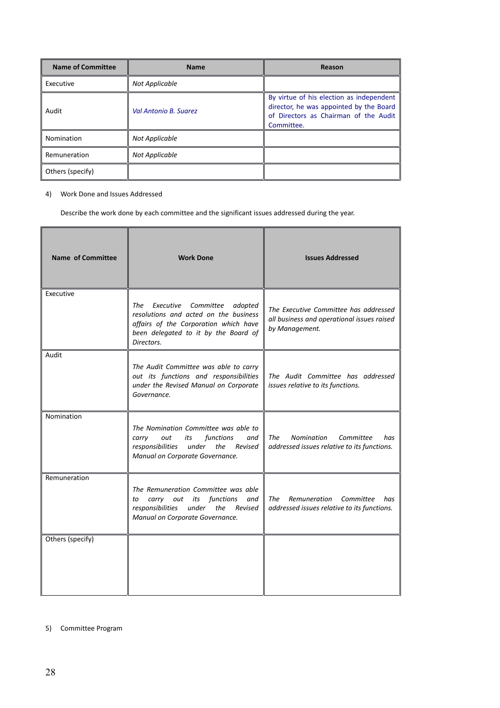| <b>Name of Committee</b> | <b>Name</b>           | Reason                                                                                                                                     |
|--------------------------|-----------------------|--------------------------------------------------------------------------------------------------------------------------------------------|
| Executive                | Not Applicable        |                                                                                                                                            |
| Audit                    | Val Antonio B. Suarez | By virtue of his election as independent<br>director, he was appointed by the Board<br>of Directors as Chairman of the Audit<br>Committee. |
| Nomination               | Not Applicable        |                                                                                                                                            |
| Remuneration             | Not Applicable        |                                                                                                                                            |
| Others (specify)         |                       |                                                                                                                                            |

# 4) Work Done and Issues Addressed

Describe the work done by each committee and the significant issues addressed during the year.

| <b>Name of Committee</b> | <b>Work Done</b>                                                                                                                                                              | <b>Issues Addressed</b>                                                                               |
|--------------------------|-------------------------------------------------------------------------------------------------------------------------------------------------------------------------------|-------------------------------------------------------------------------------------------------------|
| Executive                | Executive Committee<br>adopted<br>The<br>resolutions and acted on the business<br>affairs of the Corporation which have<br>been delegated to it by the Board of<br>Directors. | The Executive Committee has addressed<br>all business and operational issues raised<br>by Management. |
| Audit                    | The Audit Committee was able to carry<br>out its functions and responsibilities<br>under the Revised Manual on Corporate<br>Governance.                                       | The Audit Committee has addressed<br>issues relative to its functions.                                |
| Nomination               | The Nomination Committee was able to<br>functions<br>carry<br>out<br>its<br>and<br>responsibilities<br>under the Revised<br>Manual on Corporate Governance.                   | The<br><b>Nomination</b><br>Committee<br>has<br>addressed issues relative to its functions.           |
| Remuneration             | The Remuneration Committee was able<br>carry out its functions<br>and<br>to<br>responsibilities<br>under the Revised<br>Manual on Corporate Governance.                       | The<br>Remuneration<br>Committee<br>has<br>addressed issues relative to its functions.                |
| Others (specify)         |                                                                                                                                                                               |                                                                                                       |

# 5) Committee Program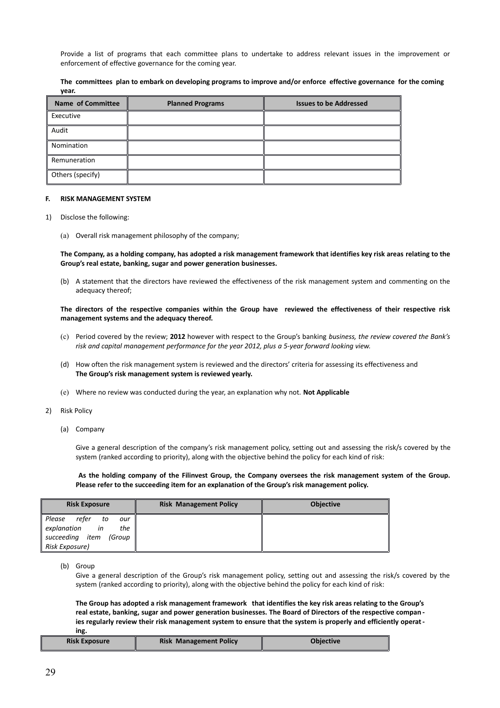Provide a list of programs that each committee plans to undertake to address relevant issues in the improvement or enforcement of effective governance for the coming year.

|       |  |  | The committees plan to embark on developing programs to improve and/or enforce effective governance for the coming |  |  |  |
|-------|--|--|--------------------------------------------------------------------------------------------------------------------|--|--|--|
| year. |  |  |                                                                                                                    |  |  |  |

| <b>Name of Committee</b> | <b>Planned Programs</b> | <b>Issues to be Addressed</b> |
|--------------------------|-------------------------|-------------------------------|
| Executive                |                         |                               |
| Audit                    |                         |                               |
| Nomination               |                         |                               |
| Remuneration             |                         |                               |
| Others (specify)         |                         |                               |

#### **F. RISK MANAGEMENT SYSTEM**

- 1) Disclose the following:
	- (a) Overall risk management philosophy of the company;

**The Company, as a holding company, has adopted a risk management framework that identifies key risk areas relating to the Group's real estate, banking, sugar and power generation businesses.** 

(b) A statement that the directors have reviewed the effectiveness of the risk management system and commenting on the adequacy thereof;

#### **The directors of the respective companies within the Group have reviewed the effectiveness of their respective risk management systems and the adequacy thereof.**

- (c) Period covered by the review; **2012** however with respect to the Group's banking *business, the review covered the Bank's risk and capital management performance for the year 2012, plus a 5-year forward looking view.*
- (d) How often the risk management system is reviewed and the directors' criteria for assessing its effectiveness and **The Group's risk management system is reviewed yearly.**
- (e) Where no review was conducted during the year, an explanation why not. **Not Applicable**
- 2) Risk Policy
	- (a) Company

Give a general description of the company's risk management policy, setting out and assessing the risk/s covered by the system (ranked according to priority), along with the objective behind the policy for each kind of risk:

**As the holding company of the Filinvest Group, the Company oversees the risk management system of the Group. Please refer to the succeeding item for an explanation of the Group's risk management policy.**

| <b>Risk Exposure</b>                                                                                    | <b>Risk Management Policy</b> | <b>Objective</b> |
|---------------------------------------------------------------------------------------------------------|-------------------------------|------------------|
| refer<br>Please<br>to<br>our<br>explanation<br>in<br>the<br>succeeding item<br>(Group<br>Risk Exposure) |                               |                  |

(b) Group

Give a general description of the Group's risk management policy, setting out and assessing the risk/s covered by the system (ranked according to priority), along with the objective behind the policy for each kind of risk:

**The Group has adopted a risk management framework that identifies the key risk areas relating to the Group's real estate, banking, sugar and power generation businesses. The Board of Directors of the respective compan ies regularly review their risk management system to ensure that the system is properly and efficiently operating.** 

| <b>Risk Exposure</b> | <b>Risk Management Policy</b> | <b>Objective</b> |
|----------------------|-------------------------------|------------------|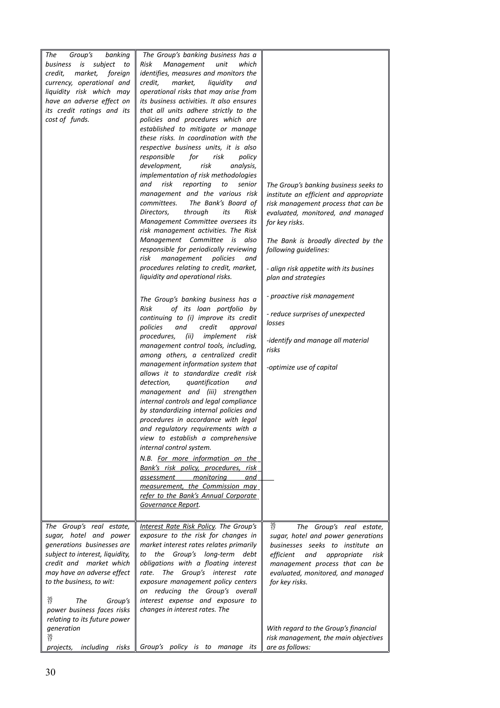| The<br>Group's<br>banking<br>business is<br>subject<br>to<br>credit,<br>market,<br>foreign<br>currency, operational and<br>liquidity risk which may<br>have an adverse effect on<br>its credit ratings and its<br>cost of funds.                                                                            | The Group's banking business has a<br>Risk<br>Management<br>unit<br>which<br>identifies, measures and monitors the<br>credit,<br>market,<br>liquidity<br>and<br>operational risks that may arise from<br>its business activities. It also ensures<br>that all units adhere strictly to the<br>policies and procedures which are<br>established to mitigate or manage<br>these risks. In coordination with the<br>respective business units, it is also<br>responsible<br>for<br>risk<br>policy<br>risk<br>development,<br>analysis,<br>implementation of risk methodologies<br>and<br>risk<br>reporting<br>to<br>senior<br>management and the various risk<br>The Bank's Board of<br>committees.<br>through<br>Directors,<br>its<br>Risk<br>Management Committee oversees its<br>risk management activities. The Risk<br>Management Committee<br>is<br>also<br>responsible for periodically reviewing<br>risk<br>management<br>policies<br>and<br>procedures relating to credit, market,<br>liquidity and operational risks.<br>The Group's banking business has a<br>of its loan portfolio by<br>Risk<br>continuing to (i) improve its credit<br>policies<br>and<br>credit<br>approval<br>procedures,<br>(ii)<br>implement<br>risk<br>management control tools, including,<br>among others, a centralized credit<br>management information system that<br>allows it to standardize credit risk<br>detection,<br>quantification<br>and<br>management and (iii) strengthen<br>internal controls and legal compliance<br>by standardizing internal policies and<br>procedures in accordance with legal<br>and regulatory requirements with a<br>view to establish a comprehensive<br>internal control system.<br>N.B. For more information on the<br>Bank's risk policy, procedures, risk<br>monitoring<br><u>assessment</u><br>and<br>measurement, the Commission may<br>refer to the Bank's Annual Corporate | The Group's banking business seeks to<br>institute an efficient and appropriate<br>risk management process that can be<br>evaluated, monitored, and managed<br>for key risks.<br>The Bank is broadly directed by the<br>following guidelines:<br>- align risk appetite with its busines<br>plan and strategies<br>- proactive risk management<br>- reduce surprises of unexpected<br>losses<br>-identify and manage all material<br>risks<br>-optimize use of capital |
|-------------------------------------------------------------------------------------------------------------------------------------------------------------------------------------------------------------------------------------------------------------------------------------------------------------|--------------------------------------------------------------------------------------------------------------------------------------------------------------------------------------------------------------------------------------------------------------------------------------------------------------------------------------------------------------------------------------------------------------------------------------------------------------------------------------------------------------------------------------------------------------------------------------------------------------------------------------------------------------------------------------------------------------------------------------------------------------------------------------------------------------------------------------------------------------------------------------------------------------------------------------------------------------------------------------------------------------------------------------------------------------------------------------------------------------------------------------------------------------------------------------------------------------------------------------------------------------------------------------------------------------------------------------------------------------------------------------------------------------------------------------------------------------------------------------------------------------------------------------------------------------------------------------------------------------------------------------------------------------------------------------------------------------------------------------------------------------------------------------------------------------------------------------------------------------------------------------------------------------|-----------------------------------------------------------------------------------------------------------------------------------------------------------------------------------------------------------------------------------------------------------------------------------------------------------------------------------------------------------------------------------------------------------------------------------------------------------------------|
|                                                                                                                                                                                                                                                                                                             | Governance Report.                                                                                                                                                                                                                                                                                                                                                                                                                                                                                                                                                                                                                                                                                                                                                                                                                                                                                                                                                                                                                                                                                                                                                                                                                                                                                                                                                                                                                                                                                                                                                                                                                                                                                                                                                                                                                                                                                           |                                                                                                                                                                                                                                                                                                                                                                                                                                                                       |
| The Group's real estate,<br>sugar, hotel and power<br>generations businesses are<br>subject to interest, liquidity,<br>credit and market which<br>may have an adverse effect<br>to the business, to wit:<br>$\frac{35}{17}$<br>The<br>Group's<br>power business faces risks<br>relating to its future power | Interest Rate Risk Policy. The Group's<br>exposure to the risk for changes in<br>market interest rates relates primarily<br>the Group's long-term debt<br>to<br>obligations with a floating interest<br>The Group's interest rate<br>rate.<br>exposure management policy centers<br>on reducing the Group's overall<br>interest expense and exposure to<br>changes in interest rates. The                                                                                                                                                                                                                                                                                                                                                                                                                                                                                                                                                                                                                                                                                                                                                                                                                                                                                                                                                                                                                                                                                                                                                                                                                                                                                                                                                                                                                                                                                                                    | $\frac{35}{17}$<br>The Group's real estate,<br>sugar, hotel and power generations<br>businesses seeks to institute an<br>efficient<br>and<br>appropriate<br>risk<br>management process that can be<br>evaluated, monitored, and managed<br>for key risks.                                                                                                                                                                                                             |
| generation<br>$\frac{35}{17}$<br>projects,<br>including<br>risks                                                                                                                                                                                                                                            | Group's policy is to manage its                                                                                                                                                                                                                                                                                                                                                                                                                                                                                                                                                                                                                                                                                                                                                                                                                                                                                                                                                                                                                                                                                                                                                                                                                                                                                                                                                                                                                                                                                                                                                                                                                                                                                                                                                                                                                                                                              | With regard to the Group's financial<br>risk management, the main objectives<br>are as follows:                                                                                                                                                                                                                                                                                                                                                                       |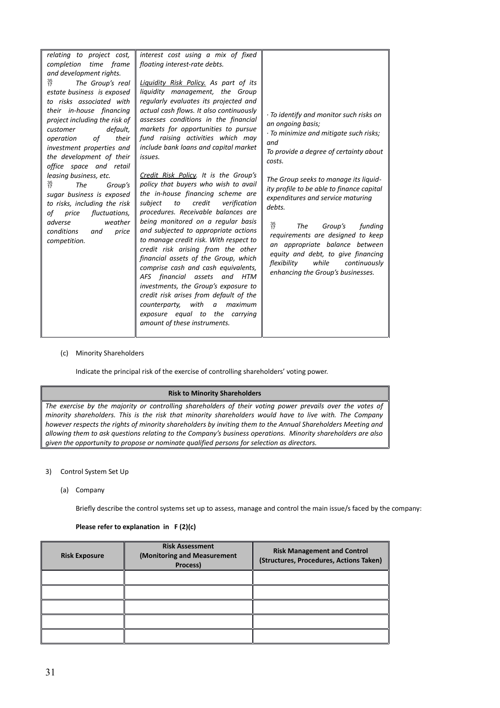| relating to project cost,<br>time frame<br>completion<br>and development rights.<br>$\frac{35}{17}$<br>The Group's real<br>estate business is exposed<br>to risks associated with<br>their in-house financing<br>project including the risk of<br>default,<br>customer<br>their<br>operation<br>of            | interest cost using a mix of fixed<br>floating interest-rate debts.<br><b>Liquidity Risk Policy.</b> As part of its<br>liquidity management, the Group<br>regularly evaluates its projected and<br>actual cash flows. It also continuously<br>assesses conditions in the financial<br>markets for opportunities to pursue<br>fund raising activities which may                                                                                                                                                                                                                                                                                                                                        | $\cdot$ To identify and monitor such risks on<br>an ongoing basis;<br>· To minimize and mitigate such risks;<br>and                                                                                                                                                                                                                                                                                                             |
|---------------------------------------------------------------------------------------------------------------------------------------------------------------------------------------------------------------------------------------------------------------------------------------------------------------|-------------------------------------------------------------------------------------------------------------------------------------------------------------------------------------------------------------------------------------------------------------------------------------------------------------------------------------------------------------------------------------------------------------------------------------------------------------------------------------------------------------------------------------------------------------------------------------------------------------------------------------------------------------------------------------------------------|---------------------------------------------------------------------------------------------------------------------------------------------------------------------------------------------------------------------------------------------------------------------------------------------------------------------------------------------------------------------------------------------------------------------------------|
| investment properties and<br>the development of their<br>office space and retail<br>leasing business, etc.<br>$\frac{35}{17}$<br>The<br>Group's<br>sugar business is exposed<br>to risks, including the risk<br>of price<br>fluctuations,<br>adverse<br>weather<br>conditions<br>price<br>and<br>competition. | include bank loans and capital market<br>issues.<br>Credit Risk Policy. It is the Group's<br>policy that buyers who wish to avail<br>the in-house financing scheme are<br>credit<br>verification<br>subject<br>to<br>procedures. Receivable balances are<br>being monitored on a regular basis<br>and subjected to appropriate actions<br>to manage credit risk. With respect to<br>credit risk arising from the other<br>financial assets of the Group, which<br>comprise cash and cash equivalents,<br>AFS financial assets<br>and HTM<br>investments, the Group's exposure to<br>credit risk arises from default of the<br>with<br>maximum<br>counterparty,<br>a<br>exposure equal to the carrying | To provide a degree of certainty about<br>costs.<br>The Group seeks to manage its liquid-<br>ity profile to be able to finance capital<br>expenditures and service maturing<br>debts.<br>$\frac{35}{17}$<br>The<br>Group's<br>funding<br>requirements are designed to keep<br>an appropriate balance between<br>equity and debt, to give financing<br>while<br>flexibility<br>continuously<br>enhancing the Group's businesses. |
|                                                                                                                                                                                                                                                                                                               | amount of these instruments.                                                                                                                                                                                                                                                                                                                                                                                                                                                                                                                                                                                                                                                                          |                                                                                                                                                                                                                                                                                                                                                                                                                                 |

#### (c) Minority Shareholders

Indicate the principal risk of the exercise of controlling shareholders' voting power.

#### **Risk to Minority Shareholders**

*The exercise by the majority or controlling shareholders of their voting power prevails over the votes of minority shareholders. This is the risk that minority shareholders would have to live with. The Company however respects the rights of minority shareholders by inviting them to the Annual Shareholders Meeting and allowing them to ask questions relating to the Company's business operations. Minority shareholders are also given the opportunity to propose or nominate qualified persons for selection as directors.*

#### 3) Control System Set Up

(a) Company

Briefly describe the control systems set up to assess, manage and control the main issue/s faced by the company:

| <b>Risk Exposure</b> | <b>Risk Assessment</b><br>(Monitoring and Measurement<br>Process) | <b>Risk Management and Control</b><br>(Structures, Procedures, Actions Taken) |
|----------------------|-------------------------------------------------------------------|-------------------------------------------------------------------------------|
|                      |                                                                   |                                                                               |
|                      |                                                                   |                                                                               |
|                      |                                                                   |                                                                               |
|                      |                                                                   |                                                                               |
|                      |                                                                   |                                                                               |

# **Please refer to explanation in F (2)(c)**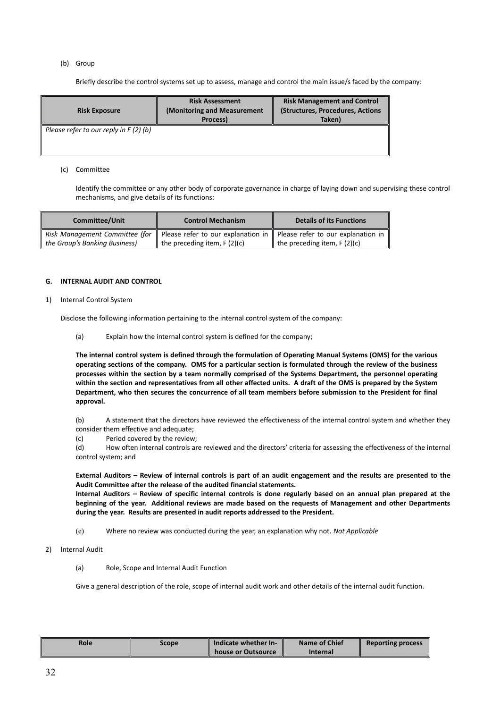#### (b) Group

Briefly describe the control systems set up to assess, manage and control the main issue/s faced by the company:

| <b>Risk Exposure</b>                    | <b>Risk Assessment</b><br>(Monitoring and Measurement<br>Process) | <b>Risk Management and Control</b><br>(Structures, Procedures, Actions<br>Taken) |
|-----------------------------------------|-------------------------------------------------------------------|----------------------------------------------------------------------------------|
| Please refer to our reply in $F(2)$ (b) |                                                                   |                                                                                  |

#### (c) Committee

Identify the committee or any other body of corporate governance in charge of laying down and supervising these control mechanisms, and give details of its functions:

| <b>Committee/Unit</b>          | <b>Control Mechanism</b>           | <b>Details of its Functions</b>                |  |
|--------------------------------|------------------------------------|------------------------------------------------|--|
| Risk Management Committee (for | Please refer to our explanation in | Please refer to our explanation in $\parallel$ |  |
| the Group's Banking Business)  | the preceding item, $F(2)(c)$      | the preceding item, $F(2)(c)$                  |  |

# **G. INTERNAL AUDIT AND CONTROL**

1) Internal Control System

Disclose the following information pertaining to the internal control system of the company:

(a) Explain how the internal control system is defined for the company;

**The internal control system is defined through the formulation of Operating Manual Systems (OMS) for the various operating sections of the company. OMS for a particular section is formulated through the review of the business processes within the section by a team normally comprised of the Systems Department, the personnel operating within the section and representatives from all other affected units. A draft of the OMS is prepared by the System Department, who then secures the concurrence of all team members before submission to the President for final approval.**

(b) A statement that the directors have reviewed the effectiveness of the internal control system and whether they consider them effective and adequate;

(c) Period covered by the review;

(d) How often internal controls are reviewed and the directors' criteria for assessing the effectiveness of the internal control system; and

**External Auditors – Review of internal controls is part of an audit engagement and the results are presented to the Audit Committee after the release of the audited financial statements.**

**Internal Auditors – Review of specific internal controls is done regularly based on an annual plan prepared at the beginning of the year. Additional reviews are made based on the requests of Management and other Departments during the year. Results are presented in audit reports addressed to the President.**

- (e) Where no review was conducted during the year, an explanation why not. *Not Applicable*
- 2) Internal Audit
	- (a) Role, Scope and Internal Audit Function

Give a general description of the role, scope of internal audit work and other details of the internal audit function.

| <b>Role</b> | Scope | Indicate whether In- | <b>Name of Chief</b> | <b>Reporting process</b> |
|-------------|-------|----------------------|----------------------|--------------------------|
|             |       | house or Outsource   | <b>Internal</b>      |                          |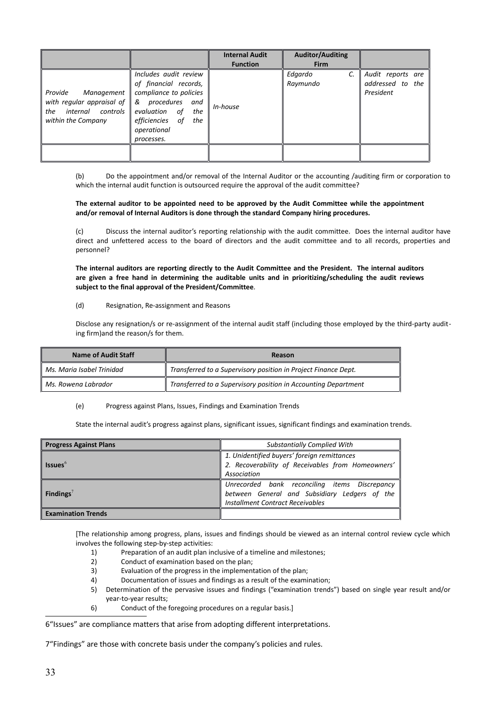|                                                                                                                               |                                                                                                                                                                   | <b>Internal Audit</b><br><b>Function</b> | <b>Auditor/Auditing</b><br><b>Firm</b> |                                                    |
|-------------------------------------------------------------------------------------------------------------------------------|-------------------------------------------------------------------------------------------------------------------------------------------------------------------|------------------------------------------|----------------------------------------|----------------------------------------------------|
| Management<br>Provide<br>with regular appraisal of $\parallel$ & procedures<br>internal controls<br>the<br>within the Company | Includes audit review<br>of financial records,<br>compliance to policies<br>and<br>evaluation of<br>the<br>efficiencies<br>of<br>the<br>operational<br>processes. | In-house                                 | $\mathcal{C}$ .<br>Edgardo<br>Raymundo | Audit reports are<br>addressed to the<br>President |
|                                                                                                                               |                                                                                                                                                                   |                                          |                                        |                                                    |

(b) Do the appointment and/or removal of the Internal Auditor or the accounting /auditing firm or corporation to which the internal audit function is outsourced require the approval of the audit committee?

#### **The external auditor to be appointed need to be approved by the Audit Committee while the appointment and/or removal of Internal Auditors is done through the standard Company hiring procedures.**

(c) Discuss the internal auditor's reporting relationship with the audit committee. Does the internal auditor have direct and unfettered access to the board of directors and the audit committee and to all records, properties and personnel?

**The internal auditors are reporting directly to the Audit Committee and the President. The internal auditors are given a free hand in determining the auditable units and in prioritizing/scheduling the audit reviews subject to the final approval of the President/Committee***.*

(d) Resignation, Re-assignment and Reasons

Disclose any resignation/s or re-assignment of the internal audit staff (including those employed by the third-party auditing firm)and the reason/s for them.

| <b>Name of Audit Staff</b>      | Reason                                                         |
|---------------------------------|----------------------------------------------------------------|
| Ms. Maria Isabel Trinidad       | Transferred to a Supervisory position in Project Finance Dept. |
| $\parallel$ Ms. Rowena Labrador | Transferred to a Supervisory position in Accounting Department |

(e) Progress against Plans, Issues, Findings and Examination Trends

State the internal audit's progress against plans, significant issues, significant findings and examination trends.

| <b>Progress Against Plans</b> | <b>Substantially Complied With</b>                                                               |  |
|-------------------------------|--------------------------------------------------------------------------------------------------|--|
|                               | 1. Unidentified buyers' foreign remittances<br>2. Recoverability of Receivables from Homeowners' |  |
| <b>Issues</b>                 |                                                                                                  |  |
|                               | Association                                                                                      |  |
|                               | Unrecorded bank reconciling items Discrepancy                                                    |  |
| Findings'                     | between General and Subsidiary Ledgers of the                                                    |  |
|                               | Installment Contract Receivables                                                                 |  |
| <b>Examination Trends</b>     |                                                                                                  |  |

[The relationship among progress, plans, issues and findings should be viewed as an internal control review cycle which involves the following step-by-step activities:

- 1) Preparation of an audit plan inclusive of a timeline and milestones;
- 2) Conduct of examination based on the plan;
- 3) Evaluation of the progress in the implementation of the plan;
- 4) Documentation of issues and findings as a result of the examination;
- 5) Determination of the pervasive issues and findings ("examination trends") based on single year result and/or year-to-year results;
- 6) Conduct of the foregoing procedures on a regular basis.]

<span id="page-34-0"></span>6"Issues" are compliance matters that arise from adopting different interpretations.

<span id="page-34-1"></span>7"Findings" are those with concrete basis under the company's policies and rules.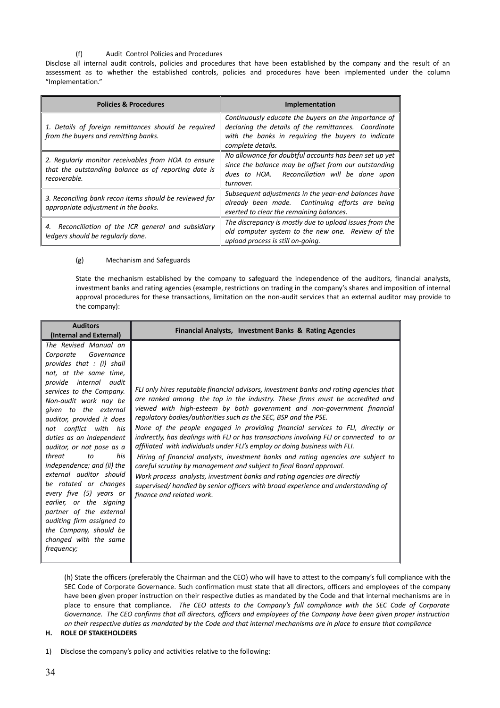# (f) Audit Control Policies and Procedures

Disclose all internal audit controls, policies and procedures that have been established by the company and the result of an assessment as to whether the established controls, policies and procedures have been implemented under the column "Implementation."

| <b>Policies &amp; Procedures</b>                                                                                            | <b>Implementation</b>                                                                                                                                                                   |
|-----------------------------------------------------------------------------------------------------------------------------|-----------------------------------------------------------------------------------------------------------------------------------------------------------------------------------------|
| 1. Details of foreign remittances should be required<br>from the buyers and remitting banks.                                | Continuously educate the buyers on the importance of<br>declaring the details of the remittances. Coordinate<br>with the banks in requiring the buyers to indicate<br>complete details. |
| 2. Regularly monitor receivables from HOA to ensure<br>that the outstanding balance as of reporting date is<br>recoverable. | No allowance for doubtful accounts has been set up yet<br>since the balance may be offset from our outstanding<br>dues to HOA. Reconciliation will be done upon<br>turnover.            |
| 3. Reconciling bank recon items should be reviewed for<br>appropriate adjustment in the books.                              | Subsequent adjustments in the year-end balances have<br>already been made. Continuing efforts are being<br>exerted to clear the remaining balances.                                     |
| 4. Reconciliation of the ICR general and subsidiary<br>ledgers should be regularly done.                                    | The discrepancy is mostly due to upload issues from the<br>old computer system to the new one. Review of the<br>upload process is still on-going.                                       |

#### (g) Mechanism and Safeguards

State the mechanism established by the company to safeguard the independence of the auditors, financial analysts, investment banks and rating agencies (example, restrictions on trading in the company's shares and imposition of internal approval procedures for these transactions, limitation on the non-audit services that an external auditor may provide to the company):

| <b>Auditors</b>                                                                                                                                                                                                                                                                                                                                                                                                                                                                                                                                                                                                          | Financial Analysts, Investment Banks & Rating Agencies                                                                                                                                                                                                                                                                                                                                                                                                                                                                                                                                                                                                                                                                                                                                                                                                                                                                                  |  |
|--------------------------------------------------------------------------------------------------------------------------------------------------------------------------------------------------------------------------------------------------------------------------------------------------------------------------------------------------------------------------------------------------------------------------------------------------------------------------------------------------------------------------------------------------------------------------------------------------------------------------|-----------------------------------------------------------------------------------------------------------------------------------------------------------------------------------------------------------------------------------------------------------------------------------------------------------------------------------------------------------------------------------------------------------------------------------------------------------------------------------------------------------------------------------------------------------------------------------------------------------------------------------------------------------------------------------------------------------------------------------------------------------------------------------------------------------------------------------------------------------------------------------------------------------------------------------------|--|
| (Internal and External)                                                                                                                                                                                                                                                                                                                                                                                                                                                                                                                                                                                                  |                                                                                                                                                                                                                                                                                                                                                                                                                                                                                                                                                                                                                                                                                                                                                                                                                                                                                                                                         |  |
| The Revised Manual on<br>Governance<br>Corporate<br>provides that $:$ (i) shall<br>not, at the same time,<br>provide internal audit<br>services to the Company.<br>Non-audit work nay be<br>given to the external<br>auditor, provided it does<br>not conflict with his<br>duties as an independent<br>auditor, or not pose as a<br>threat<br>his<br>to<br>independence; and (ii) the<br>external auditor should<br>be rotated or changes<br>every five (5) years or<br>earlier, or the signing<br>partner of the external<br>auditing firm assigned to<br>the Company, should be<br>changed with the same<br>frequency; | FLI only hires reputable financial advisors, investment banks and rating agencies that<br>are ranked among the top in the industry. These firms must be accredited and<br>viewed with high-esteem by both government and non-government financial<br>regulatory bodies/authorities such as the SEC, BSP and the PSE.<br>None of the people engaged in providing financial services to FLI, directly or<br>indirectly, has dealings with FLI or has transactions involving FLI or connected to or<br>affiliated with individuals under FLI's employ or doing business with FLI.<br>Hiring of financial analysts, investment banks and rating agencies are subject to<br>careful scrutiny by management and subject to final Board approval.<br>Work process analysts, investment banks and rating agencies are directly<br>supervised/handled by senior officers with broad experience and understanding of<br>finance and related work. |  |
|                                                                                                                                                                                                                                                                                                                                                                                                                                                                                                                                                                                                                          |                                                                                                                                                                                                                                                                                                                                                                                                                                                                                                                                                                                                                                                                                                                                                                                                                                                                                                                                         |  |

(h) State the officers (preferably the Chairman and the CEO) who will have to attest to the company's full compliance with the SEC Code of Corporate Governance. Such confirmation must state that all directors, officers and employees of the company have been given proper instruction on their respective duties as mandated by the Code and that internal mechanisms are in place to ensure that compliance. *The CEO attests to the Company's full compliance with the SEC Code of Corporate Governance. The CEO confirms that all directors, officers and employees of the Company have been given proper instruction on their respective duties as mandated by the Code and that internal mechanisms are in place to ensure that compliance*

#### **H. ROLE OF STAKEHOLDERS**

1) Disclose the company's policy and activities relative to the following: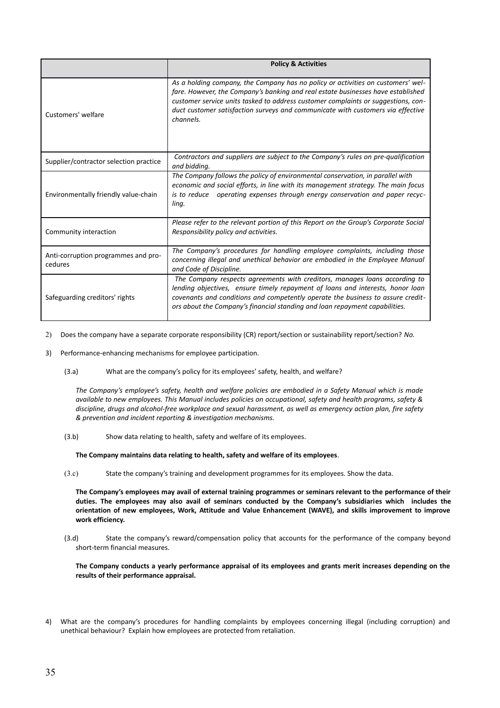|                                                | <b>Policy &amp; Activities</b>                                                                                                                                                                                                                                                                                                                            |
|------------------------------------------------|-----------------------------------------------------------------------------------------------------------------------------------------------------------------------------------------------------------------------------------------------------------------------------------------------------------------------------------------------------------|
| Customers' welfare                             | As a holding company, the Company has no policy or activities on customers' wel-<br>fare. However, the Company's banking and real estate businesses have established<br>customer service units tasked to address customer complaints or suggestions, con-<br>duct customer satisfaction surveys and communicate with customers via effective<br>channels. |
| Supplier/contractor selection practice         | Contractors and suppliers are subject to the Company's rules on pre-qualification<br>and bidding.                                                                                                                                                                                                                                                         |
| Environmentally friendly value-chain           | The Company follows the policy of environmental conservation, in parallel with<br>economic and social efforts, in line with its management strategy. The main focus<br>operating expenses through energy conservation and paper recyc-<br>is to reduce<br>ling.                                                                                           |
| Community interaction                          | Please refer to the relevant portion of this Report on the Group's Corporate Social<br>Responsibility policy and activities.                                                                                                                                                                                                                              |
| Anti-corruption programmes and pro-<br>cedures | The Company's procedures for handling employee complaints, including those<br>concerning illegal and unethical behavior are embodied in the Employee Manual<br>and Code of Discipline.                                                                                                                                                                    |
| Safeguarding creditors' rights                 | The Company respects agreements with creditors, manages loans according to<br>lending objectives, ensure timely repayment of loans and interests, honor loan<br>covenants and conditions and competently operate the business to assure credit-<br>ors about the Company's financial standing and loan repayment capabilities.                            |

2) Does the company have a separate corporate responsibility (CR) report/section or sustainability report/section? *No.*

- 3) Performance-enhancing mechanisms for employee participation.
	- (3.a) What are the company's policy for its employees' safety, health, and welfare?

*The Company's employee's safety, health and welfare policies are embodied in a Safety Manual which is made available to new employees. This Manual includes policies on occupational, safety and health programs, safety & discipline, drugs and alcohol-free workplace and sexual harassment, as well as emergency action plan, fire safety & prevention and incident reporting & investigation mechanisms.* 

(3.b) Show data relating to health, safety and welfare of its employees.

**The Company maintains data relating to health, safety and welfare of its employees***.* 

(3.c) State the company's training and development programmes for its employees. Show the data.

**The Company's employees may avail of external training programmes or seminars relevant to the performance of their duties. The employees may also avail of seminars conducted by the Company's subsidiaries which includes the orientation of new employees, Work, Attitude and Value Enhancement (WAVE), and skills improvement to improve work efficiency.**

(3.d) State the company's reward/compensation policy that accounts for the performance of the company beyond short-term financial measures.

**The Company conducts a yearly performance appraisal of its employees and grants merit increases depending on the results of their performance appraisal.** 

4) What are the company's procedures for handling complaints by employees concerning illegal (including corruption) and unethical behaviour? Explain how employees are protected from retaliation.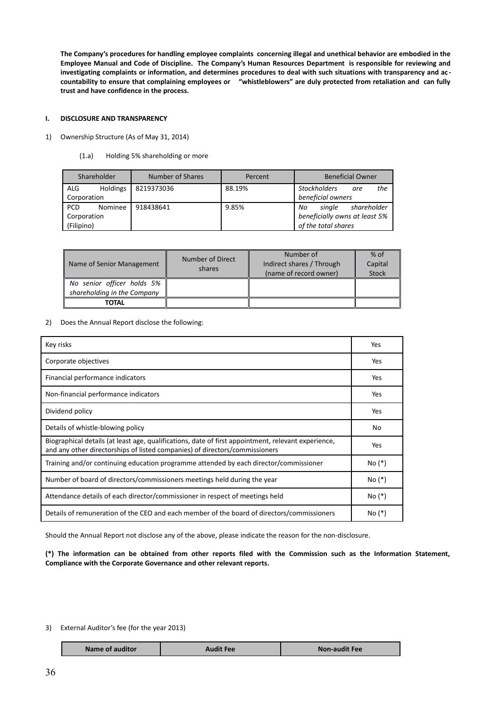**The Company's procedures for handling employee complaints concerning illegal and unethical behavior are embodied in the Employee Manual and Code of Discipline. The Company's Human Resources Department is responsible for reviewing and investigating complaints or information, and determines procedures to deal with such situations with transparency and ac countability to ensure that complaining employees or "whistleblowers" are duly protected from retaliation and can fully trust and have confidence in the process.**

#### **I. DISCLOSURE AND TRANSPARENCY**

- 1) Ownership Structure (As of May 31, 2014)
	- (1.a) Holding 5% shareholding or more

|             | Shareholder     | Number of Shares | Percent | <b>Beneficial Owner</b>           |
|-------------|-----------------|------------------|---------|-----------------------------------|
| <b>ALG</b>  | <b>Holdings</b> | 8219373036       | 88.19%  | the<br><b>Stockholders</b><br>are |
| Corporation |                 |                  |         | beneficial owners                 |
| <b>PCD</b>  | Nominee         | 918438641        | 9.85%   | shareholder<br>single<br>No       |
| Corporation |                 |                  |         | beneficially owns at least 5%     |
| (Filipino)  |                 |                  |         | of the total shares               |

| Name of Senior Management   | Number of Direct<br>shares | Number of<br>Indirect shares / Through<br>(name of record owner) | $%$ of<br>Capital<br><b>Stock</b> |
|-----------------------------|----------------------------|------------------------------------------------------------------|-----------------------------------|
| No senior officer holds 5%  |                            |                                                                  |                                   |
| shareholding in the Company |                            |                                                                  |                                   |
| <b>TOTAL</b>                |                            |                                                                  |                                   |

2) Does the Annual Report disclose the following:

| Key risks                                                                                                                                                                          | Yes      |
|------------------------------------------------------------------------------------------------------------------------------------------------------------------------------------|----------|
| Corporate objectives                                                                                                                                                               | Yes      |
| Financial performance indicators                                                                                                                                                   | Yes      |
| Non-financial performance indicators                                                                                                                                               | Yes      |
| Dividend policy                                                                                                                                                                    | Yes      |
| Details of whistle-blowing policy                                                                                                                                                  | No       |
| Biographical details (at least age, qualifications, date of first appointment, relevant experience,<br>and any other directorships of listed companies) of directors/commissioners | Yes      |
| Training and/or continuing education programme attended by each director/commissioner                                                                                              | No (*)   |
| Number of board of directors/commissioners meetings held during the year                                                                                                           | $No (*)$ |
| Attendance details of each director/commissioner in respect of meetings held                                                                                                       | $No (*)$ |
| Details of remuneration of the CEO and each member of the board of directors/commissioners                                                                                         | No (*)   |

Should the Annual Report not disclose any of the above, please indicate the reason for the non-disclosure.

**(\*) The information can be obtained from other reports filed with the Commission such as the Information Statement, Compliance with the Corporate Governance and other relevant reports.**

#### 3) External Auditor's fee (for the year 2013)

| Name of auditor | Audit Fee | <b>Non-audit Fee</b> |
|-----------------|-----------|----------------------|
|                 |           |                      |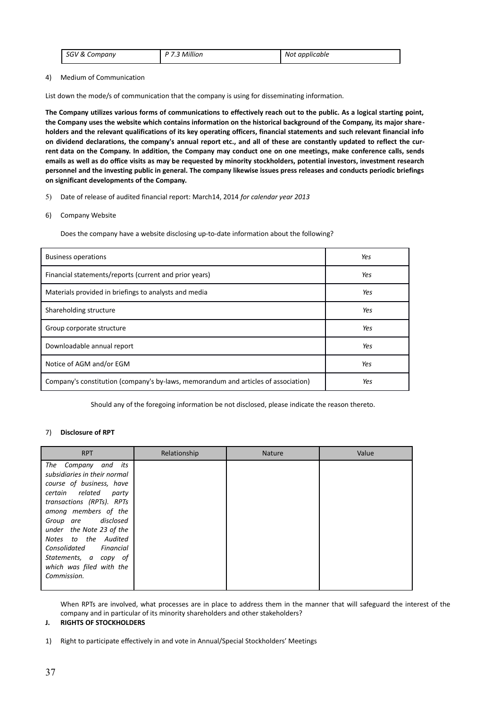| SGV & Company | P 7.3 Million | Not applicable |
|---------------|---------------|----------------|
|---------------|---------------|----------------|

#### 4) Medium of Communication

List down the mode/s of communication that the company is using for disseminating information.

**The Company utilizes various forms of communications to effectively reach out to the public. As a logical starting point, the Company uses the website which contains information on the historical background of the Company, its major shareholders and the relevant qualifications of its key operating officers, financial statements and such relevant financial info on dividend declarations, the company's annual report etc., and all of these are constantly updated to reflect the current data on the Company. In addition, the Company may conduct one on one meetings, make conference calls, sends emails as well as do office visits as may be requested by minority stockholders, potential investors, investment research personnel and the investing public in general. The company likewise issues press releases and conducts periodic briefings on significant developments of the Company.**

5) Date of release of audited financial report: March14, 2014 *for calendar year 2013*

#### 6) Company Website

Does the company have a website disclosing up-to-date information about the following?

| <b>Business operations</b>                                                         | Yes |
|------------------------------------------------------------------------------------|-----|
| Financial statements/reports (current and prior years)                             | Yes |
| Materials provided in briefings to analysts and media                              | Yes |
| Shareholding structure                                                             | Yes |
| Group corporate structure                                                          | Yes |
| Downloadable annual report                                                         | Yes |
| Notice of AGM and/or EGM                                                           | Yes |
| Company's constitution (company's by-laws, memorandum and articles of association) | Yes |

Should any of the foregoing information be not disclosed, please indicate the reason thereto.

#### 7) **Disclosure of RPT**

| <b>RPT</b>                                                                                                                                                                                                                                                                                                                                   | Relationship | <b>Nature</b> | Value |
|----------------------------------------------------------------------------------------------------------------------------------------------------------------------------------------------------------------------------------------------------------------------------------------------------------------------------------------------|--------------|---------------|-------|
| The<br>Company and its<br>subsidiaries in their normal<br>course of business, have<br>certain related<br>party<br>transactions (RPTs). RPTs<br>among members of the<br>Group are disclosed<br>under the Note 23 of the<br>Notes to the Audited<br>Consolidated Financial<br>Statements, a copy of<br>which was filed with the<br>Commission. |              |               |       |
|                                                                                                                                                                                                                                                                                                                                              |              |               |       |

When RPTs are involved, what processes are in place to address them in the manner that will safeguard the interest of the company and in particular of its minority shareholders and other stakeholders?

### **J. RIGHTS OF STOCKHOLDERS**

1) Right to participate effectively in and vote in Annual/Special Stockholders' Meetings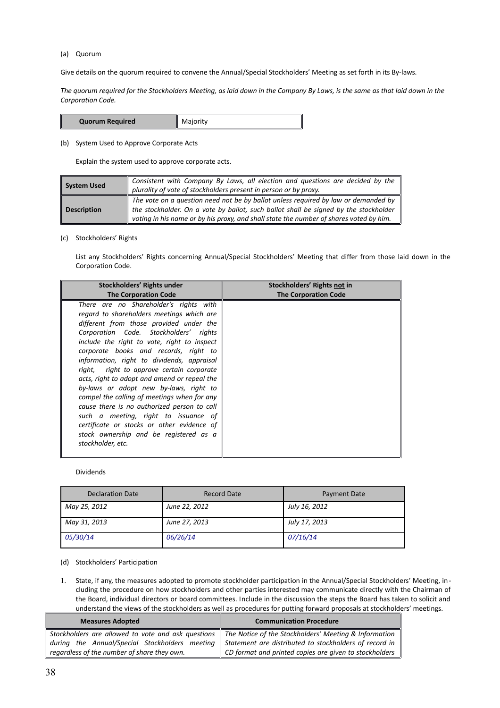#### (a) Quorum

Give details on the quorum required to convene the Annual/Special Stockholders' Meeting as set forth in its By-laws.

*The quorum required for the Stockholders Meeting, as laid down in the Company By Laws, is the same as that laid down in the Corporation Code.*

| <b>Quorum Required</b> | Majority |
|------------------------|----------|
|------------------------|----------|

(b) System Used to Approve Corporate Acts

Explain the system used to approve corporate acts.

| <b>System Used</b> | Consistent with Company By Laws, all election and questions are decided by the<br>plurality of vote of stockholders present in person or by proxy.                                                                                                                   |
|--------------------|----------------------------------------------------------------------------------------------------------------------------------------------------------------------------------------------------------------------------------------------------------------------|
| <b>Description</b> | The vote on a question need not be by ballot unless required by law or demanded by<br>the stockholder. On a vote by ballot, such ballot shall be signed by the stockholder<br>voting in his name or by his proxy, and shall state the number of shares voted by him. |

(c) Stockholders' Rights

List any Stockholders' Rights concerning Annual/Special Stockholders' Meeting that differ from those laid down in the Corporation Code.

| Stockholders' Rights under                                                                                                                                                                                                                                                                                                                                                                                                                                                                                                                                                                                                                                                                               | Stockholders' Rights not in |
|----------------------------------------------------------------------------------------------------------------------------------------------------------------------------------------------------------------------------------------------------------------------------------------------------------------------------------------------------------------------------------------------------------------------------------------------------------------------------------------------------------------------------------------------------------------------------------------------------------------------------------------------------------------------------------------------------------|-----------------------------|
| <b>The Corporation Code</b>                                                                                                                                                                                                                                                                                                                                                                                                                                                                                                                                                                                                                                                                              | <b>The Corporation Code</b> |
| There are no Shareholder's rights with<br>regard to shareholders meetings which are<br>different from those provided under the<br>Corporation Code. Stockholders' rights<br>include the right to vote, right to inspect<br>corporate books and records, right to<br>information, right to dividends, appraisal<br>right, right to approve certain corporate<br>acts, right to adopt and amend or repeal the<br>by-laws or adopt new by-laws, right to<br>compel the calling of meetings when for any<br>cause there is no authorized person to call<br>such a meeting, right to issuance of<br>certificate or stocks or other evidence of<br>stock ownership and be registered as a<br>stockholder, etc. |                             |

#### Dividends

| <b>Declaration Date</b> | <b>Record Date</b> | Payment Date  |
|-------------------------|--------------------|---------------|
| May 25, 2012            | June 22, 2012      | July 16, 2012 |
| May 31, 2013            | June 27, 2013      | July 17, 2013 |
| <i>05/30/14</i>         | 06/26/14           | 07/16/14      |

(d) Stockholders' Participation

1. State, if any, the measures adopted to promote stockholder participation in the Annual/Special Stockholders' Meeting, including the procedure on how stockholders and other parties interested may communicate directly with the Chairman of the Board, individual directors or board committees. Include in the discussion the steps the Board has taken to solicit and understand the views of the stockholders as well as procedures for putting forward proposals at stockholders' meetings.

| <b>Measures Adopted</b>                     | <b>Communication Procedure</b>                                                                              |  |
|---------------------------------------------|-------------------------------------------------------------------------------------------------------------|--|
|                                             | Stockholders are allowed to vote and ask questions    The Notice of the Stockholders' Meeting & Information |  |
|                                             | during the Annual/Special Stockholders meeting   Statement are distributed to stockholders of record in     |  |
| regardless of the number of share they own. | CD format and printed copies are given to stockholders                                                      |  |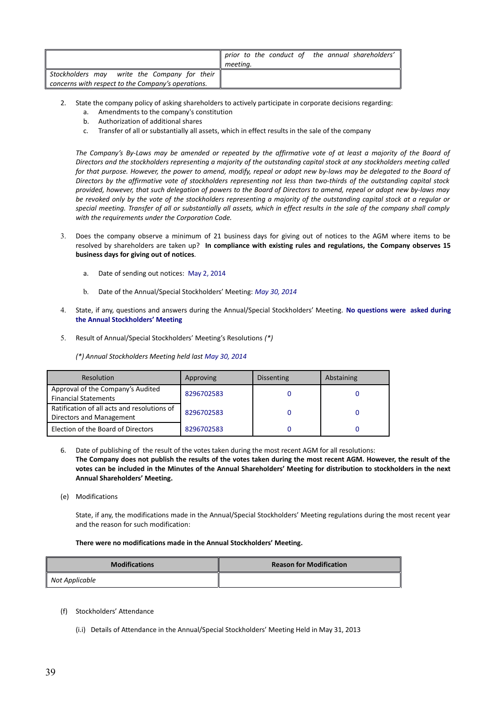|                                                                                                    | prior to the conduct of the annual shareholders'<br>meeting. |
|----------------------------------------------------------------------------------------------------|--------------------------------------------------------------|
| Stockholders may write the Company for their<br>concerns with respect to the Company's operations. |                                                              |

- 2. State the company policy of asking shareholders to actively participate in corporate decisions regarding:
	- a. Amendments to the company's constitution
	- b. Authorization of additional shares
	- c. Transfer of all or substantially all assets, which in effect results in the sale of the company

*The Company's By-Laws may be amended or repeated by the affirmative vote of at least a majority of the Board of Directors and the stockholders representing a majority of the outstanding capital stock at any stockholders meeting called for that purpose. However, the power to amend, modify, repeal or adopt new by-laws may be delegated to the Board of Directors by the affirmative vote of stockholders representing not less than two-thirds of the outstanding capital stock provided, however, that such delegation of powers to the Board of Directors to amend, repeal or adopt new by-laws may be revoked only by the vote of the stockholders representing a majority of the outstanding capital stock at a regular or special meeting. Transfer of all or substantially all assets, which in effect results in the sale of the company shall comply with the requirements under the Corporation Code.*

- 3. Does the company observe a minimum of 21 business days for giving out of notices to the AGM where items to be resolved by shareholders are taken up? **In compliance with existing rules and regulations, the Company observes 15 business days for giving out of notices***.* 
	- a. Date of sending out notices: May 2, 2014
	- b. Date of the Annual/Special Stockholders' Meeting: *May 30, 2014*
- 4. State, if any, questions and answers during the Annual/Special Stockholders' Meeting. **No questions were asked during the Annual Stockholders' Meeting**
- 5. Result of Annual/Special Stockholders' Meeting's Resolutions *(\*)*

*(\*) Annual Stockholders Meeting held last May 30, 2014*

| <b>Resolution</b>                                                       | Approving  | Dissenting | Abstaining |
|-------------------------------------------------------------------------|------------|------------|------------|
| Approval of the Company's Audited<br><b>Financial Statements</b>        | 8296702583 |            |            |
| Ratification of all acts and resolutions of<br>Directors and Management | 8296702583 |            |            |
| Election of the Board of Directors                                      | 8296702583 |            |            |

6. Date of publishing of the result of the votes taken during the most recent AGM for all resolutions: **The Company does not publish the results of the votes taken during the most recent AGM. However, the result of the votes can be included in the Minutes of the Annual Shareholders' Meeting for distribution to stockholders in the next Annual Shareholders' Meeting.** 

(e) Modifications

State, if any, the modifications made in the Annual/Special Stockholders' Meeting regulations during the most recent year and the reason for such modification:

#### **There were no modifications made in the Annual Stockholders' Meeting.**

| <b>Modifications</b> | <b>Reason for Modification</b> |
|----------------------|--------------------------------|
| Not Applicable       |                                |

- (f) Stockholders' Attendance
	- (i.i) Details of Attendance in the Annual/Special Stockholders' Meeting Held in May 31, 2013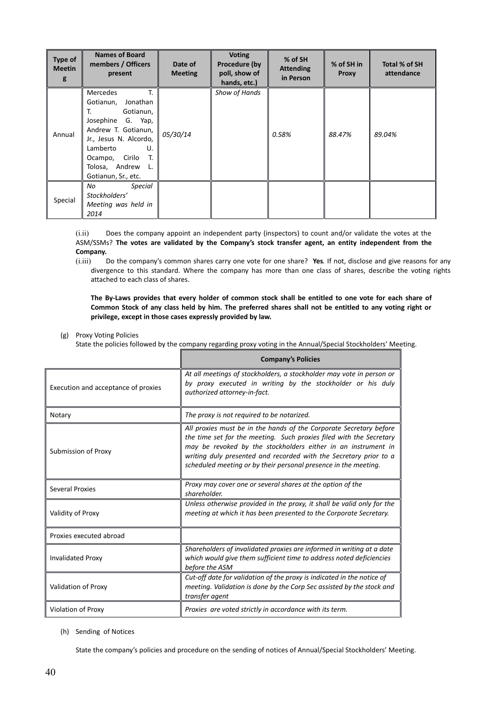| <b>Type of</b><br><b>Meetin</b><br>g | <b>Names of Board</b><br>members / Officers<br>present                                                                                                                                                              | Date of<br><b>Meeting</b> | <b>Voting</b><br>Procedure (by<br>poll, show of<br>hands, etc.) | % of SH<br><b>Attending</b><br>in Person | % of SH in<br><b>Proxy</b> | Total % of SH<br>attendance |
|--------------------------------------|---------------------------------------------------------------------------------------------------------------------------------------------------------------------------------------------------------------------|---------------------------|-----------------------------------------------------------------|------------------------------------------|----------------------------|-----------------------------|
| Annual                               | T.<br>Mercedes<br>Jonathan<br>Gotianun,<br>Gotianun,<br>Т.<br>Josephine G. Yap,<br>Andrew T. Gotianun,<br>Jr., Jesus N. Alcordo,<br>Lamberto<br>U.<br>Ocampo, Cirilo T.<br>Tolosa, Andrew L.<br>Gotianun, Sr., etc. | 05/30/14                  | Show of Hands                                                   | 0.58%                                    | 88.47%                     | 89.04%                      |
| Special                              | <b>Special</b><br>No<br>Stockholders'<br>Meeting was held in<br>2014                                                                                                                                                |                           |                                                                 |                                          |                            |                             |

(i.ii) Does the company appoint an independent party (inspectors) to count and/or validate the votes at the ASM/SSMs? **The votes are validated by the Company's stock transfer agent, an entity independent from the Company.** 

(i.iii) Do the company's common shares carry one vote for one share? **Yes***.* If not, disclose and give reasons for any divergence to this standard. Where the company has more than one class of shares, describe the voting rights attached to each class of shares.

**The By-Laws provides that every holder of common stock shall be entitled to one vote for each share of Common Stock of any class held by him. The preferred shares shall not be entitled to any voting right or privilege, except in those cases expressly provided by law.** 

(g) Proxy Voting Policies

State the policies followed by the company regarding proxy voting in the Annual/Special Stockholders' Meeting.

|                                     | <b>Company's Policies</b>                                                                                                                                                                                                                                                                                                                          |  |  |
|-------------------------------------|----------------------------------------------------------------------------------------------------------------------------------------------------------------------------------------------------------------------------------------------------------------------------------------------------------------------------------------------------|--|--|
| Execution and acceptance of proxies | At all meetings of stockholders, a stockholder may vote in person or<br>by proxy executed in writing by the stockholder or his duly<br>authorized attorney-in-fact.                                                                                                                                                                                |  |  |
| Notary                              | The proxy is not required to be notarized.                                                                                                                                                                                                                                                                                                         |  |  |
| Submission of Proxy                 | All proxies must be in the hands of the Corporate Secretary before<br>the time set for the meeting. Such proxies filed with the Secretary<br>may be revoked by the stockholders either in an instrument in<br>writing duly presented and recorded with the Secretary prior to a<br>scheduled meeting or by their personal presence in the meeting. |  |  |
| <b>Several Proxies</b>              | Proxy may cover one or several shares at the option of the<br>shareholder.                                                                                                                                                                                                                                                                         |  |  |
| Validity of Proxy                   | Unless otherwise provided in the proxy, it shall be valid only for the<br>meeting at which it has been presented to the Corporate Secretary.                                                                                                                                                                                                       |  |  |
| Proxies executed abroad             |                                                                                                                                                                                                                                                                                                                                                    |  |  |
| <b>Invalidated Proxy</b>            | Shareholders of invalidated proxies are informed in writing at a date<br>which would give them sufficient time to address noted deficiencies<br>before the ASM                                                                                                                                                                                     |  |  |
| Validation of Proxy                 | Cut-off date for validation of the proxy is indicated in the notice of<br>meeting. Validation is done by the Corp Sec assisted by the stock and<br>transfer agent                                                                                                                                                                                  |  |  |
| Violation of Proxy                  | Proxies are voted strictly in accordance with its term.                                                                                                                                                                                                                                                                                            |  |  |

(h) Sending of Notices

State the company's policies and procedure on the sending of notices of Annual/Special Stockholders' Meeting.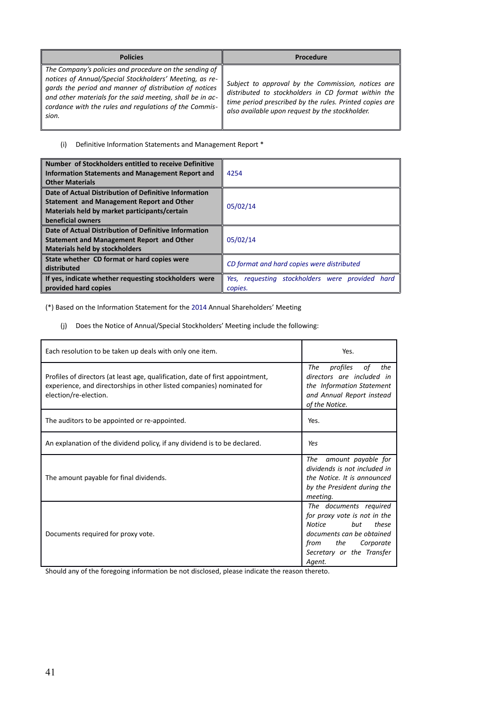| <b>Policies</b>                                                                                                                                                                                                                                                                                             | Procedure                                                                                                                                                                                                               |
|-------------------------------------------------------------------------------------------------------------------------------------------------------------------------------------------------------------------------------------------------------------------------------------------------------------|-------------------------------------------------------------------------------------------------------------------------------------------------------------------------------------------------------------------------|
| The Company's policies and procedure on the sending of<br>notices of Annual/Special Stockholders' Meeting, as re-<br>gards the period and manner of distribution of notices<br>and other materials for the said meeting, shall be in ac-<br>cordance with the rules and regulations of the Commis-<br>sion. | Subject to approval by the Commission, notices are<br>distributed to stockholders in CD format within the<br>time period prescribed by the rules. Printed copies are<br>also available upon request by the stockholder. |

# (i) Definitive Information Statements and Management Report \*

| Number of Stockholders entitled to receive Definitive<br>Information Statements and Management Report and<br><b>Other Materials</b>         | 4254                                                          |
|---------------------------------------------------------------------------------------------------------------------------------------------|---------------------------------------------------------------|
| Date of Actual Distribution of Definitive Information<br>Statement and Management Report and Other                                          |                                                               |
| Materials held by market participants/certain<br>beneficial owners                                                                          | 05/02/14                                                      |
| Date of Actual Distribution of Definitive Information<br>Statement and Management Report and Other<br><b>Materials held by stockholders</b> | 05/02/14                                                      |
| State whether CD format or hard copies were<br>distributed                                                                                  | CD format and hard copies were distributed                    |
| If yes, indicate whether requesting stockholders were<br>provided hard copies                                                               | requesting stockholders were provided hard<br>Yes.<br>copies. |

(\*) Based on the Information Statement for the 2014 Annual Shareholders' Meeting

(j) Does the Notice of Annual/Special Stockholders' Meeting include the following:

| Each resolution to be taken up deals with only one item.                                                                                                                          | Yes.                                                                                                                                                                             |
|-----------------------------------------------------------------------------------------------------------------------------------------------------------------------------------|----------------------------------------------------------------------------------------------------------------------------------------------------------------------------------|
| Profiles of directors (at least age, qualification, date of first appointment,<br>experience, and directorships in other listed companies) nominated for<br>election/re-election. | The<br>profiles<br>the<br>оf<br>directors are included in<br>the Information Statement<br>and Annual Report instead<br>of the Notice.                                            |
| The auditors to be appointed or re-appointed.                                                                                                                                     | Yes.                                                                                                                                                                             |
| An explanation of the dividend policy, if any dividend is to be declared.                                                                                                         | Yes                                                                                                                                                                              |
| The amount payable for final dividends.                                                                                                                                           | amount payable for<br>The<br>dividends is not included in<br>the Notice. It is announced<br>by the President during the<br>meeting.                                              |
| Documents required for proxy vote.                                                                                                                                                | The documents required<br>for proxy vote is not in the<br>Notice<br>but<br>these<br>documents can be obtained<br>the<br>from<br>Corporate<br>Secretary or the Transfer<br>Agent. |

Should any of the foregoing information be not disclosed, please indicate the reason thereto.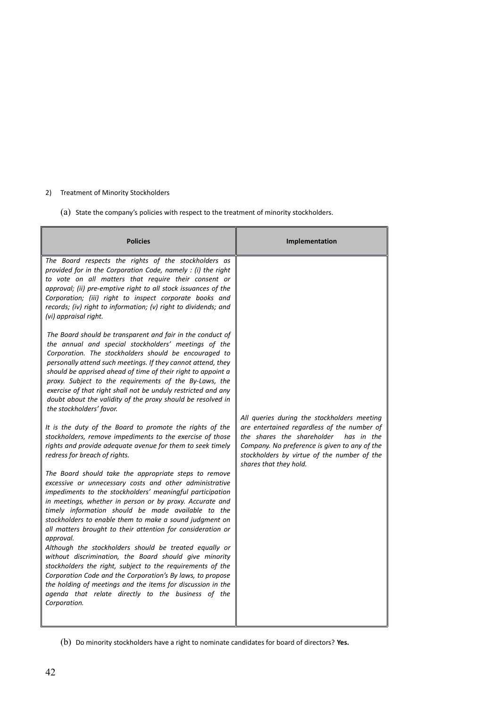# 2) Treatment of Minority Stockholders

(a) State the company's policies with respect to the treatment of minority stockholders.

| <b>Policies</b>                                                                                                                                                                                                                                                                                                                                                                                                                                                                                                                                                                                                                                                                                                                                                                                                             | Implementation                                                                                                                                                  |
|-----------------------------------------------------------------------------------------------------------------------------------------------------------------------------------------------------------------------------------------------------------------------------------------------------------------------------------------------------------------------------------------------------------------------------------------------------------------------------------------------------------------------------------------------------------------------------------------------------------------------------------------------------------------------------------------------------------------------------------------------------------------------------------------------------------------------------|-----------------------------------------------------------------------------------------------------------------------------------------------------------------|
| The Board respects the rights of the stockholders as<br>provided for in the Corporation Code, namely : (i) the right<br>to vote on all matters that require their consent or<br>approval; (ii) pre-emptive right to all stock issuances of the<br>Corporation; (iii) right to inspect corporate books and<br>records; (iv) right to information; (v) right to dividends; and<br>(vi) appraisal right.                                                                                                                                                                                                                                                                                                                                                                                                                       |                                                                                                                                                                 |
| The Board should be transparent and fair in the conduct of<br>the annual and special stockholders' meetings of the<br>Corporation. The stockholders should be encouraged to<br>personally attend such meetings. If they cannot attend, they<br>should be apprised ahead of time of their right to appoint a<br>proxy. Subject to the requirements of the By-Laws, the<br>exercise of that right shall not be unduly restricted and any<br>doubt about the validity of the proxy should be resolved in<br>the stockholders' favor.                                                                                                                                                                                                                                                                                           | All queries during the stockholders meeting<br>are entertained regardless of the number of                                                                      |
| It is the duty of the Board to promote the rights of the<br>stockholders, remove impediments to the exercise of those<br>rights and provide adequate avenue for them to seek timely<br>redress for breach of rights.                                                                                                                                                                                                                                                                                                                                                                                                                                                                                                                                                                                                        | the shares the shareholder has in the<br>Company. No preference is given to any of the<br>stockholders by virtue of the number of the<br>shares that they hold. |
| The Board should take the appropriate steps to remove<br>excessive or unnecessary costs and other administrative<br>impediments to the stockholders' meaningful participation<br>in meetings, whether in person or by proxy. Accurate and<br>timely information should be made available to the<br>stockholders to enable them to make a sound judgment on<br>all matters brought to their attention for consideration or<br>approval.<br>Although the stockholders should be treated equally or<br>without discrimination, the Board should give minority<br>stockholders the right, subject to the requirements of the<br>Corporation Code and the Corporation's By laws, to propose<br>the holding of meetings and the items for discussion in the<br>agenda that relate directly to the business of the<br>Corporation. |                                                                                                                                                                 |

(b) Do minority stockholders have a right to nominate candidates for board of directors? **Yes.**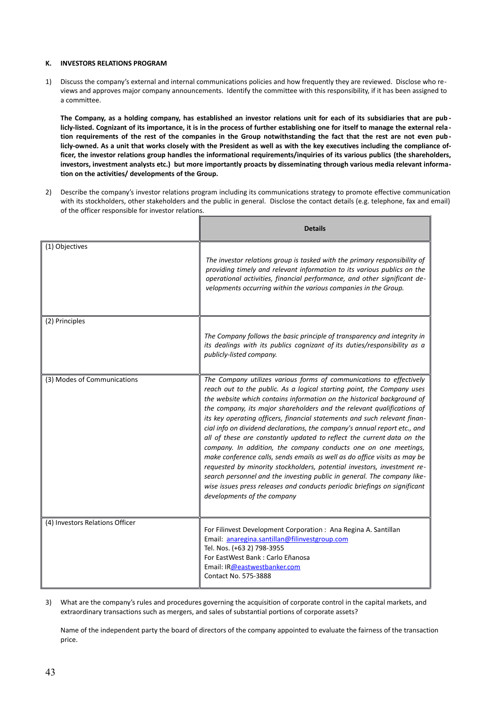#### **K. INVESTORS RELATIONS PROGRAM**

1) Discuss the company's external and internal communications policies and how frequently they are reviewed. Disclose who reviews and approves major company announcements. Identify the committee with this responsibility, if it has been assigned to a committee.

**The Company, as a holding company, has established an investor relations unit for each of its subsidiaries that are pub licly-listed. Cognizant of its importance, it is in the process of further establishing one for itself to manage the external rela tion requirements of the rest of the companies in the Group notwithstanding the fact that the rest are not even pub licly-owned. As a unit that works closely with the President as well as with the key executives including the compliance officer, the investor relations group handles the informational requirements/inquiries of its various publics (the shareholders, investors, investment analysts etc.) but more importantly proacts by disseminating through various media relevant information on the activities/ developments of the Group.**

2) Describe the company's investor relations program including its communications strategy to promote effective communication with its stockholders, other stakeholders and the public in general. Disclose the contact details (e.g. telephone, fax and email) of the officer responsible for investor relations.

|                                 | <b>Details</b>                                                                                                                                                                                                                                                                                                                                                                                                                                                                                                                                                                                                                                                                                                                                                                                                                                                                                                                                          |
|---------------------------------|---------------------------------------------------------------------------------------------------------------------------------------------------------------------------------------------------------------------------------------------------------------------------------------------------------------------------------------------------------------------------------------------------------------------------------------------------------------------------------------------------------------------------------------------------------------------------------------------------------------------------------------------------------------------------------------------------------------------------------------------------------------------------------------------------------------------------------------------------------------------------------------------------------------------------------------------------------|
| (1) Objectives                  | The investor relations group is tasked with the primary responsibility of<br>providing timely and relevant information to its various publics on the<br>operational activities, financial performance, and other significant de-<br>velopments occurring within the various companies in the Group.                                                                                                                                                                                                                                                                                                                                                                                                                                                                                                                                                                                                                                                     |
| (2) Principles                  | The Company follows the basic principle of transparency and integrity in<br>its dealings with its publics cognizant of its duties/responsibility as a<br>publicly-listed company.                                                                                                                                                                                                                                                                                                                                                                                                                                                                                                                                                                                                                                                                                                                                                                       |
| (3) Modes of Communications     | The Company utilizes various forms of communications to effectively<br>reach out to the public. As a logical starting point, the Company uses<br>the website which contains information on the historical background of<br>the company, its major shareholders and the relevant qualifications of<br>its key operating officers, financial statements and such relevant finan-<br>cial info on dividend declarations, the company's annual report etc., and<br>all of these are constantly updated to reflect the current data on the<br>company. In addition, the company conducts one on one meetings,<br>make conference calls, sends emails as well as do office visits as may be<br>requested by minority stockholders, potential investors, investment re-<br>search personnel and the investing public in general. The company like-<br>wise issues press releases and conducts periodic briefings on significant<br>developments of the company |
| (4) Investors Relations Officer | For Filinvest Development Corporation : Ana Regina A. Santillan<br>Email: anaregina.santillan@filinvestgroup.com<br>Tel. Nos. (+63 2) 798-3955<br>For EastWest Bank: Carlo Eñanosa<br>Email: IR@eastwestbanker.com<br>Contact No. 575-3888                                                                                                                                                                                                                                                                                                                                                                                                                                                                                                                                                                                                                                                                                                              |

3) What are the company's rules and procedures governing the acquisition of corporate control in the capital markets, and extraordinary transactions such as mergers, and sales of substantial portions of corporate assets?

Name of the independent party the board of directors of the company appointed to evaluate the fairness of the transaction price.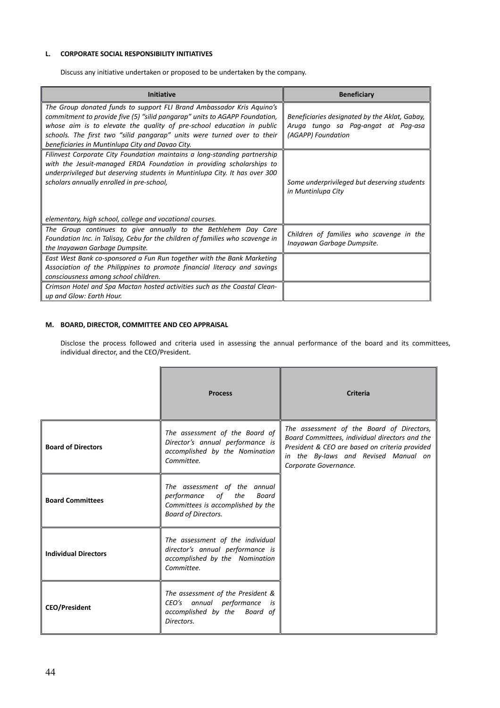# **L. CORPORATE SOCIAL RESPONSIBILITY INITIATIVES**

Discuss any initiative undertaken or proposed to be undertaken by the company.

| <b>Initiative</b>                                                                                                                                                                                                                                                                                                                                           | <b>Beneficiary</b>                                                                                         |
|-------------------------------------------------------------------------------------------------------------------------------------------------------------------------------------------------------------------------------------------------------------------------------------------------------------------------------------------------------------|------------------------------------------------------------------------------------------------------------|
| The Group donated funds to support FLI Brand Ambassador Kris Aguino's<br>commitment to provide five (5) "silid pangarap" units to AGAPP Foundation,<br>whose aim is to elevate the quality of pre-school education in public<br>schools. The first two "silid pangarap" units were turned over to their<br>beneficiaries in Muntinlupa City and Davao City. | Beneficiaries designated by the Aklat, Gabay,<br>Aruga tungo sa Pag-angat at Pag-asa<br>(AGAPP) Foundation |
| Filinvest Corporate City Foundation maintains a long-standing partnership<br>with the Jesuit-managed ERDA Foundation in providing scholarships to<br>underprivileged but deserving students in Muntinlupa City. It has over 300<br>scholars annually enrolled in pre-school,<br>elementary, high school, college and vocational courses.                    | Some underprivileged but deserving students<br>in Muntinlupa City                                          |
| The Group continues to give annually to the Bethlehem Day Care<br>Foundation Inc. in Talisay, Cebu for the children of families who scavenge in<br>the Inayawan Garbage Dumpsite.                                                                                                                                                                           | Children of families who scavenge in the<br>Inayawan Garbage Dumpsite.                                     |
| East West Bank co-sponsored a Fun Run together with the Bank Marketing<br>Association of the Philippines to promote financial literacy and savings<br>consciousness among school children.                                                                                                                                                                  |                                                                                                            |
| Crimson Hotel and Spa Mactan hosted activities such as the Coastal Clean-<br>up and Glow: Earth Hour.                                                                                                                                                                                                                                                       |                                                                                                            |

# **M. BOARD, DIRECTOR, COMMITTEE AND CEO APPRAISAL**

Disclose the process followed and criteria used in assessing the annual performance of the board and its committees, individual director, and the CEO/President.

|                             | <b>Process</b>                                                                                                                 | <b>Criteria</b>                                                                                                                                                                                                |
|-----------------------------|--------------------------------------------------------------------------------------------------------------------------------|----------------------------------------------------------------------------------------------------------------------------------------------------------------------------------------------------------------|
| <b>Board of Directors</b>   | The assessment of the Board of<br>Director's annual performance is<br>accomplished by the Nomination<br>Committee.             | The assessment of the Board of Directors,<br>Board Committees, individual directors and the<br>President & CEO are based on criteria provided<br>in the By-laws and Revised Manual on<br>Corporate Governance. |
| <b>Board Committees</b>     | The assessment of the annual<br>performance of the<br>Board<br>Committees is accomplished by the<br><b>Board of Directors.</b> |                                                                                                                                                                                                                |
| <b>Individual Directors</b> | The assessment of the individual<br>director's annual performance is<br>accomplished by the Nomination<br>Committee.           |                                                                                                                                                                                                                |
| <b>CEO/President</b>        | The assessment of the President &<br>CEO's annual performance<br>is<br>accomplished by the Board of<br>Directors.              |                                                                                                                                                                                                                |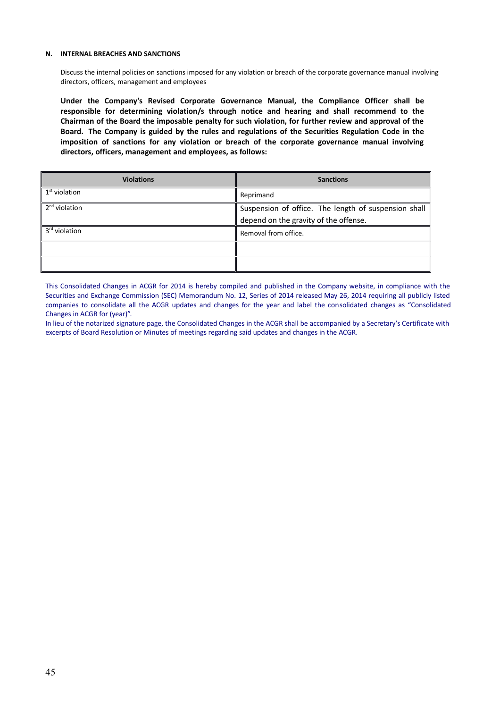#### **N. INTERNAL BREACHES AND SANCTIONS**

Discuss the internal policies on sanctions imposed for any violation or breach of the corporate governance manual involving directors, officers, management and employees

**Under the Company's Revised Corporate Governance Manual, the Compliance Officer shall be responsible for determining violation/s through notice and hearing and shall recommend to the Chairman of the Board the imposable penalty for such violation, for further review and approval of the Board. The Company is guided by the rules and regulations of the Securities Regulation Code in the imposition of sanctions for any violation or breach of the corporate governance manual involving directors, officers, management and employees, as follows:**

| <b>Violations</b> | <b>Sanctions</b>                                     |
|-------------------|------------------------------------------------------|
| $1st$ violation   | Reprimand                                            |
| $2nd$ violation   | Suspension of office. The length of suspension shall |
|                   | depend on the gravity of the offense.                |
| $3rd$ violation   | Removal from office.                                 |
|                   |                                                      |
|                   |                                                      |

This Consolidated Changes in ACGR for 2014 is hereby compiled and published in the Company website, in compliance with the Securities and Exchange Commission (SEC) Memorandum No. 12, Series of 2014 released May 26, 2014 requiring all publicly listed companies to consolidate all the ACGR updates and changes for the year and label the consolidated changes as "Consolidated Changes in ACGR for (year)".

In lieu of the notarized signature page, the Consolidated Changes in the ACGR shall be accompanied by a Secretary's Certificate with excerpts of Board Resolution or Minutes of meetings regarding said updates and changes in the ACGR.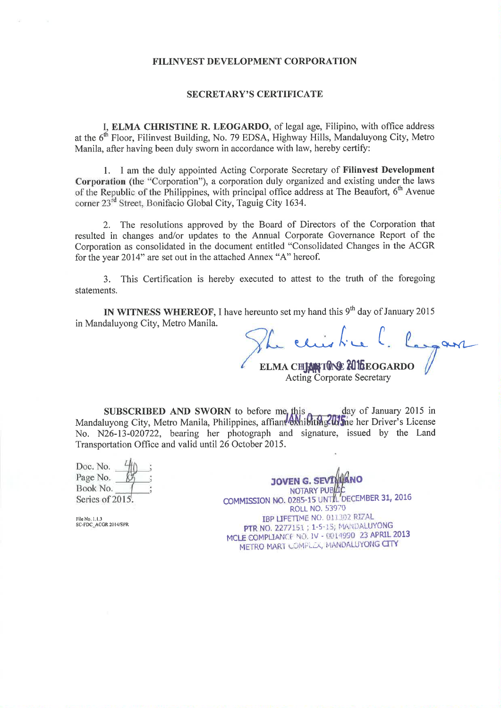# FILINVEST DEVELOPMENT CORPORATION

# **SECRETARY'S CERTIFICATE**

I. ELMA CHRISTINE R. LEOGARDO, of legal age, Filipino, with office address at the 6<sup>th</sup> Floor, Filinvest Building, No. 79 EDSA, Highway Hills, Mandaluyong City, Metro Manila, after having been duly sworn in accordance with law, hereby certify:

1. I am the duly appointed Acting Corporate Secretary of Filinvest Development Corporation (the "Corporation"), a corporation duly organized and existing under the laws of the Republic of the Philippines, with principal office address at The Beaufort. 6<sup>th</sup> Avenue corner 23<sup>rd</sup> Street, Bonifacio Global City, Taguig City 1634.

2. The resolutions approved by the Board of Directors of the Corporation that resulted in changes and/or updates to the Annual Corporate Governance Report of the Corporation as consolidated in the document entitled "Consolidated Changes in the ACGR for the year 2014" are set out in the attached Annex "A" hereof.

3. This Certification is hereby executed to attest to the truth of the foregoing statements.

IN WITNESS WHEREOF, I have hereunto set my hand this 9<sup>th</sup> day of January 2015 in Mandaluyong City, Metro Manila.

 $\lambda$ ELMA CHEANTUNE 20 ILEOGARDO **Acting Corporate Secretary** 

SUBSCRIBED AND SWORN to before me this day of January 2015 in<br>Mandaluyong City, Metro Manila, Philippines, affiant exhibiting the her Driver's License No. N26-13-020722, bearing her photograph and signature, issued by the Land Transportation Office and valid until 26 October 2015.

| Doc. No.       |  |
|----------------|--|
| Page No.       |  |
| Book No.       |  |
| Series of 2015 |  |

JOVEN G. SEVI NOTARY PUBLI COMMISSION NO. 0285-15 UNTAL DECEMBER 31, 2016 **ROLL NO. 53970** IBP LIFETIME NO. 011302 RIZAL PTR NO. 2277151 ; 1-5-15; MANDALUYONG MCLE COMPLIANCE NO. IV - 0014990 23 APRIL 2013 METRO MART COMPLEX, MANDALUYONG CITY

File No. 1, 1, 3<br>SC-FDC ACGR 2014/SPR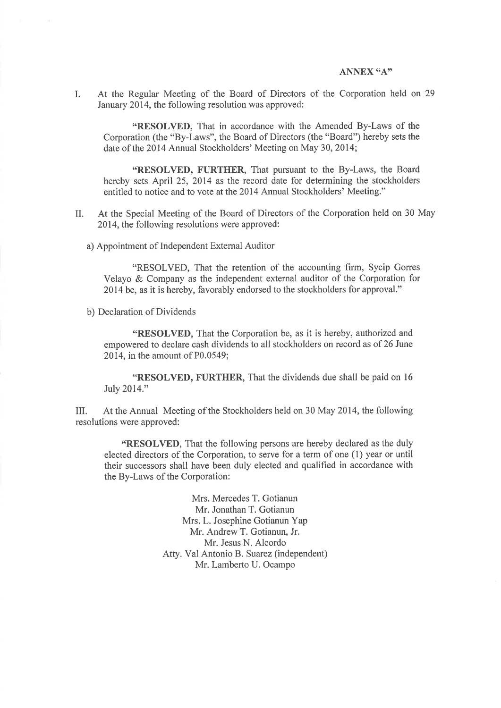# ANNEX "A"

At the Regular Meeting of the Board of Directors of the Corporation held on 29  $\mathbf{L}$ January 2014, the following resolution was approved:

"RESOLVED, That in accordance with the Amended By-Laws of the Corporation (the "By-Laws", the Board of Directors (the "Board") hereby sets the date of the 2014 Annual Stockholders' Meeting on May 30, 2014;

"RESOLVED, FURTHER, That pursuant to the By-Laws, the Board hereby sets April 25, 2014 as the record date for determining the stockholders entitled to notice and to vote at the 2014 Annual Stockholders' Meeting."

- At the Special Meeting of the Board of Directors of the Corporation held on 30 May  $II.$ 2014, the following resolutions were approved:
	- a) Appointment of Independent External Auditor

"RESOLVED, That the retention of the accounting firm, Sycip Gorres Velayo & Company as the independent external auditor of the Corporation for 2014 be, as it is hereby, favorably endorsed to the stockholders for approval."

b) Declaration of Dividends

"RESOLVED, That the Corporation be, as it is hereby, authorized and empowered to declare cash dividends to all stockholders on record as of 26 June 2014, in the amount of P0.0549;

"RESOLVED, FURTHER, That the dividends due shall be paid on 16 July 2014."

At the Annual Meeting of the Stockholders held on 30 May 2014, the following III. resolutions were approved:

"RESOLVED, That the following persons are hereby declared as the duly elected directors of the Corporation, to serve for a term of one (1) year or until their successors shall have been duly elected and qualified in accordance with the By-Laws of the Corporation:

> Mrs. Mercedes T. Gotianun Mr. Jonathan T. Gotianun Mrs. L. Josephine Gotianun Yap Mr. Andrew T. Gotianun, Jr. Mr. Jesus N. Alcordo Atty. Val Antonio B. Suarez (independent) Mr. Lamberto U. Ocampo